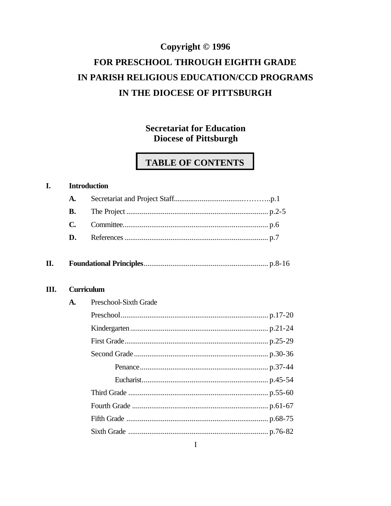# Copyright © 1996 FOR PRESCHOOL THROUGH EIGHTH GRADE IN PARISH RELIGIOUS EDUCATION/CCD PROGRAMS IN THE DIOCESE OF PITTSBURGH

# **Secretariat for Education Diocese of Pittsburgh**

# **TABLE OF CONTENTS**

#### $\mathbf{I}$ . **Introduction**

| П. |  |  |
|----|--|--|
|----|--|--|

#### Ш. **Curriculum**

| A. | Preschool-Sixth Grade |  |
|----|-----------------------|--|
|    |                       |  |
|    |                       |  |
|    |                       |  |
|    |                       |  |
|    |                       |  |
|    |                       |  |
|    |                       |  |
|    |                       |  |
|    |                       |  |
|    |                       |  |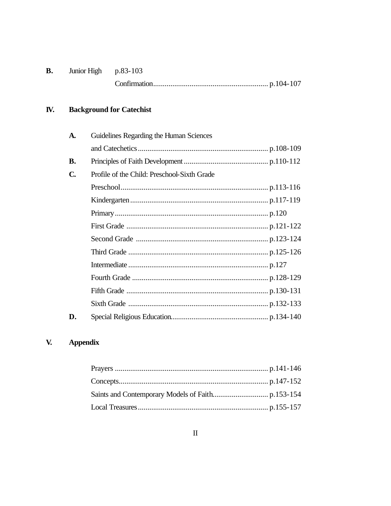| <b>B.</b> | Junior High $p.83-103$ |  |
|-----------|------------------------|--|
|           |                        |  |

#### IV. **Background for Catechist**

| A.           | Guidelines Regarding the Human Sciences     |  |
|--------------|---------------------------------------------|--|
|              |                                             |  |
| <b>B.</b>    |                                             |  |
| $\mathbf{C}$ | Profile of the Child: Preschool-Sixth Grade |  |
|              |                                             |  |
|              |                                             |  |
|              |                                             |  |
|              |                                             |  |
|              |                                             |  |
|              |                                             |  |
|              |                                             |  |
|              |                                             |  |
|              |                                             |  |
|              |                                             |  |
| D.           |                                             |  |

#### $\mathbf{V}$ . **Appendix**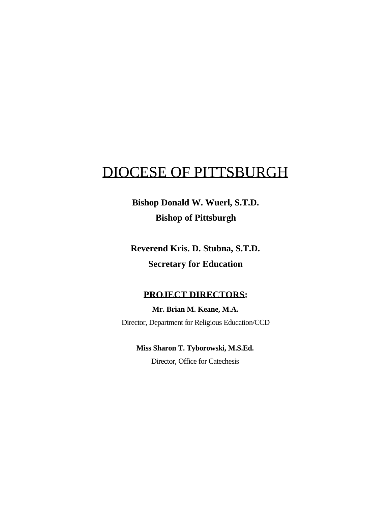# DIOCESE OF PITTSBURGH

**Bishop Donald W. Wuerl, S.T.D. Bishop of Pittsburgh**

**Reverend Kris. D. Stubna, S.T.D. Secretary for Education**

## **PROJECT DIRECTORS:**

**Mr. Brian M. Keane, M.A.** Director, Department for Religious Education/CCD

**Miss Sharon T. Tyborowski, M.S.Ed.** Director, Office for Catechesis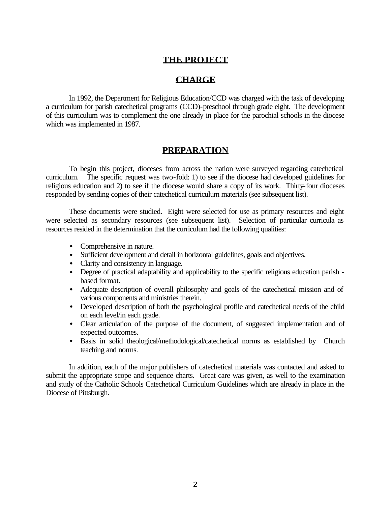## **THE PROJECT**

## **CHARGE**

In 1992, the Department for Religious Education/CCD was charged with the task of developing a curriculum for parish catechetical programs (CCD)-preschool through grade eight. The development of this curriculum was to complement the one already in place for the parochial schools in the diocese which was implemented in 1987.

## **PREPARATION**

To begin this project, dioceses from across the nation were surveyed regarding catechetical curriculum. The specific request was two-fold: 1) to see if the diocese had developed guidelines for religious education and 2) to see if the diocese would share a copy of its work. Thirty-four dioceses responded by sending copies of their catechetical curriculum materials (see subsequent list).

These documents were studied. Eight were selected for use as primary resources and eight were selected as secondary resources (see subsequent list). Selection of particular curricula as resources resided in the determination that the curriculum had the following qualities:

- Comprehensive in nature.
- Sufficient development and detail in horizontal guidelines, goals and objectives.
- Clarity and consistency in language.
- Degree of practical adaptability and applicability to the specific religious education parish based format.
- Adequate description of overall philosophy and goals of the catechetical mission and of various components and ministries therein.
- Developed description of both the psychological profile and catechetical needs of the child on each level/in each grade.
- Clear articulation of the purpose of the document, of suggested implementation and of expected outcomes.
- Basis in solid theological/methodological/catechetical norms as established by Church teaching and norms.

In addition, each of the major publishers of catechetical materials was contacted and asked to submit the appropriate scope and sequence charts. Great care was given, as well to the examination and study of the Catholic Schools Catechetical Curriculum Guidelines which are already in place in the Diocese of Pittsburgh.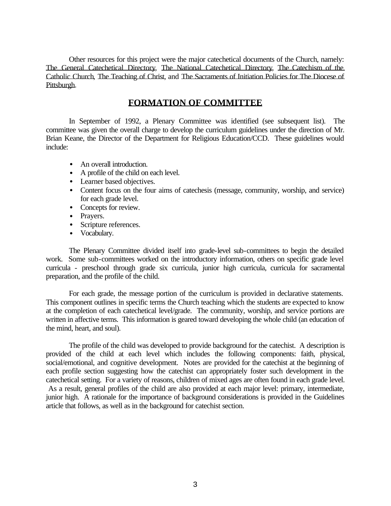Other resources for this project were the major catechetical documents of the Church, namely: The General Catechetical Directory, The National Catechetical Directory, The Catechism of the Catholic Church, The Teaching of Christ, and The Sacraments of Initiation Policies for The Diocese of Pittsburgh.

## **FORMATION OF COMMITTEE**

In September of 1992, a Plenary Committee was identified (see subsequent list). The committee was given the overall charge to develop the curriculum guidelines under the direction of Mr. Brian Keane, the Director of the Department for Religious Education/CCD. These guidelines would include:

- An overall introduction.
- A profile of the child on each level.
- Learner based objectives.
- Content focus on the four aims of catechesis (message, community, worship, and service) for each grade level.
- Concepts for review.
- Prayers.
- Scripture references.
- Vocabulary.

The Plenary Committee divided itself into grade-level sub-committees to begin the detailed work. Some sub-committees worked on the introductory information, others on specific grade level curricula - preschool through grade six curricula, junior high curricula, curricula for sacramental preparation, and the profile of the child.

For each grade, the message portion of the curriculum is provided in declarative statements. This component outlines in specific terms the Church teaching which the students are expected to know at the completion of each catechetical level/grade. The community, worship, and service portions are written in affective terms. This information is geared toward developing the whole child (an education of the mind, heart, and soul).

The profile of the child was developed to provide background for the catechist. A description is provided of the child at each level which includes the following components: faith, physical, social/emotional, and cognitive development. Notes are provided for the catechist at the beginning of each profile section suggesting how the catechist can appropriately foster such development in the catechetical setting. For a variety of reasons, children of mixed ages are often found in each grade level. As a result, general profiles of the child are also provided at each major level: primary, intermediate, junior high. A rationale for the importance of background considerations is provided in the Guidelines article that follows, as well as in the background for catechist section.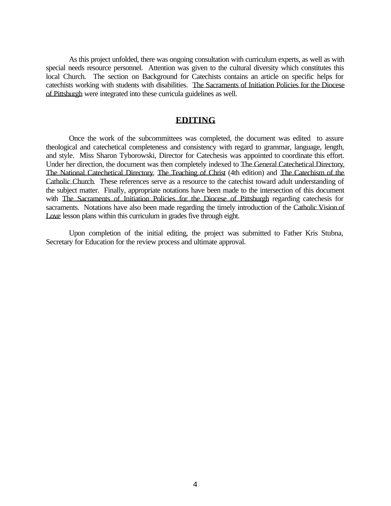As this project unfolded, there was ongoing consultation with curriculum experts, as well as with special needs resource personnel. Attention was given to the cultural diversity which constitutes this local Church. The section on Background for Catechists contains an article on specific helps for catechists working with students with disabilities. The Sacraments of Initiation Policies for the Diocese of Pittsburgh were integrated into these curricula guidelines as well.

## **EDITING**

Once the work of the subcommittees was completed, the document was edited to assure theological and catechetical completeness and consistency with regard to grammar, language, length, and style. Miss Sharon Tyborowski, Director for Catechesis was appointed to coordinate this effort. Under her direction, the document was then completely indexed to The General Catechetical Directory, The National Catechetical Directory, The Teaching of Christ (4th edition) and The Catechism of the Catholic Church. These references serve as a resource to the catechist toward adult understanding of the subject matter. Finally, appropriate notations have been made to the intersection of this document with The Sacraments of Initiation Policies for the Diocese of Pittsburgh regarding catechesis for sacraments. Notations have also been made regarding the timely introduction of the Catholic Vision of Love lesson plans within this curriculum in grades five through eight.

Upon completion of the initial editing, the project was submitted to Father Kris Stubna, Secretary for Education for the review process and ultimate approval.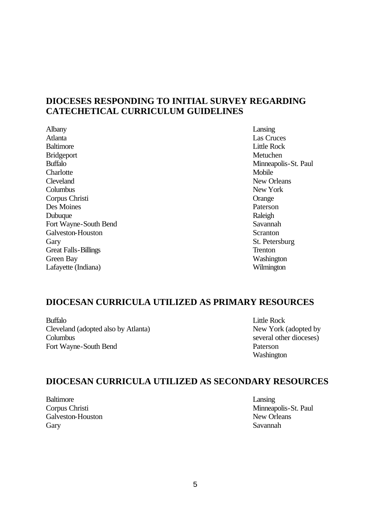## **DIOCESES RESPONDING TO INITIAL SURVEY REGARDING CATECHETICAL CURRICULUM GUIDELINES**

Albany Lansing Atlanta Las Cruces Baltimore Little Rock Bridgeport Metuchen Buffalo Minneapolis-St. Paul Charlotte Mobile Cleveland New Orleans Columbus New York Corpus Christi Orange Des Moines Paterson Dubuque Raleigh Fort Wayne-South Bend Savannah Galveston-Houston Scranton Scranton Scranton Scranton Scranton Scranton Scranton Scranton Scranton Scranton Scranton Scranton Scranton Scranton Scranton Scranton Scranton Scranton Scranton Scranton Scranton Scranton Scrant Gary St. Petersburg Great Falls-Billings Trenton Green Bay Washington Lafayette (Indiana) Wilmington

## **DIOCESAN CURRICULA UTILIZED AS PRIMARY RESOURCES**

Buffalo Little Rock Cleveland (adopted also by Atlanta) New York (adopted by Columbus several other dioceses) Fort Wayne-South Bend Paterson

Washington

## **DIOCESAN CURRICULA UTILIZED AS SECONDARY RESOURCES**

Baltimore Lansing Galveston-Houston **New Orleans** New Orleans Gary Savannah

Corpus Christi Minneapolis-St. Paul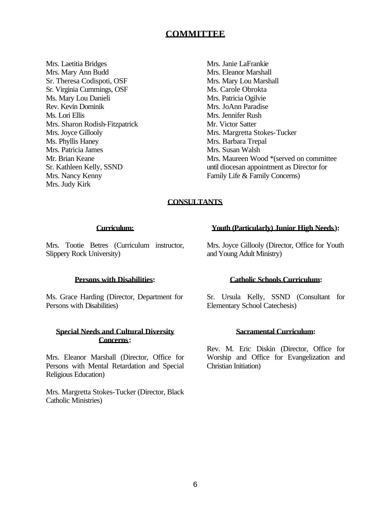## **COMMITTEE**

Mrs. Laetitia Bridges Mrs. Mary Ann Budd Sr. Theresa Codispoti, OSF Sr. Virginia Cummings, OSF Ms. Mary Lou Danieli Rev. Kevin Dominik Ms. Lori Ellis Mrs. Sharon Rodish-Fitzpatrick Mrs. Joyce Gillooly Ms. Phyllis Haney Mrs. Patricia James Mr. Brian Keane Sr. Kathleen Kelly, SSND Mrs. Nancy Kenny Mrs. Judy Kirk

Mrs. Janie LaFrankie Mrs. Eleanor Marshall Mrs. Mary Lou Marshall Ms. Carole Obrokta Mrs. Patricia Ogilvie Mrs. JoAnn Paradise Mrs. Jennifer Rush Mr. Victor Satter Mrs. Margretta Stokes-Tucker Mrs. Barbara Trepal Mrs. Susan Walsh Mrs. Maureen Wood \*(served on committee until diocesan appointment as Director for Family Life & Family Concerns)

## **CONSULTANTS**

#### **Curriculum:**

Mrs. Tootie Betres (Curriculum instructor, Slippery Rock University)

#### **Youth (Particularly) Junior High Needs):**

Mrs. Joyce Gillooly (Director, Office for Youth and Young Adult Ministry)

#### **Persons with Disabilities:**

Ms. Grace Harding (Director, Department for Persons with Disabilities)

### **Special Needs and Cultural Diversity Concerns:**

Mrs. Eleanor Marshall (Director, Office for Persons with Mental Retardation and Special Religious Education)

Mrs. Margretta Stokes-Tucker (Director, Black Catholic Ministries)

#### **Catholic Schools Curriculum:**

Sr. Ursula Kelly, SSND (Consultant for Elementary School Catechesis)

#### **Sacramental Curriculum:**

Rev. M. Eric Diskin (Director, Office for Worship and Office for Evangelization and Christian Initiation)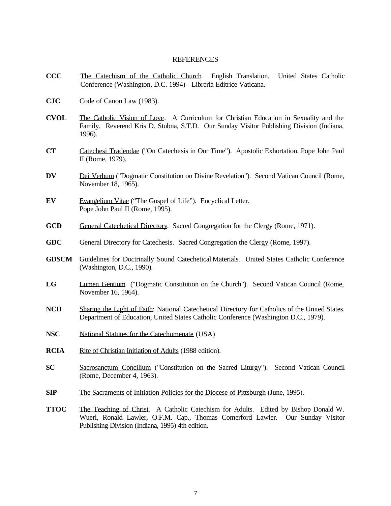#### **REFERENCES**

- **CCC** The Catechism of the Catholic Church. English Translation. United States Catholic Conference (Washington, D.C. 1994) - Libreria Editrice Vaticana.
- **CJC** Code of Canon Law (1983).
- **CVOL** The Catholic Vision of Love. A Curriculum for Christian Education in Sexuality and the Family. Reverend Kris D. Stubna, S.T.D. Our Sunday Visitor Publishing Division (Indiana, 1996).
- **CT** Catechesi Tradendae ("On Catechesis in Our Time"). Apostolic Exhortation. Pope John Paul II (Rome, 1979).
- DV Dei Verbum ("Dogmatic Constitution on Divine Revelation"). Second Vatican Council (Rome, November 18, 1965).
- **EV** Evangelium Vitae ("The Gospel of Life"). Encyclical Letter. Pope John Paul II (Rome, 1995).
- **GCD** General Catechetical Directory. Sacred Congregation for the Clergy (Rome, 1971).
- **GDC** General Directory for Catechesis. Sacred Congregation the Clergy (Rome, 1997).
- **GDSCM** Guidelines for Doctrinally Sound Catechetical Materials. United States Catholic Conference (Washington, D.C., 1990).
- **LG** Lumen Gentium ("Dogmatic Constitution on the Church"). Second Vatican Council (Rome, November 16, 1964).
- **NCD** Sharing the Light of Faith: National Catechetical Directory for Catholics of the United States. Department of Education, United States Catholic Conference (Washington D.C., 1979).
- **NSC** National Statutes for the Catechumenate (USA).
- **RCIA** Rite of Christian Initiation of Adults (1988 edition).
- **SC** Sacrosanctum Concilium ("Constitution on the Sacred Liturgy"). Second Vatican Council (Rome, December 4, 1963).
- **SIP** The Sacraments of Initiation Policies for the Diocese of Pittsburgh (June, 1995).
- **TTOC** The Teaching of Christ. A Catholic Catechism for Adults. Edited by Bishop Donald W. Wuerl, Ronald Lawler, O.F.M. Cap., Thomas Comerford Lawler. Our Sunday Visitor Publishing Division (Indiana, 1995) 4th edition.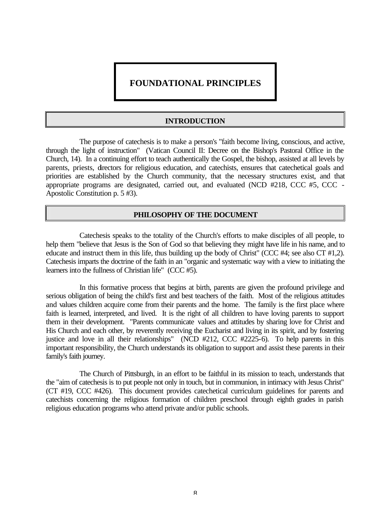## **FOUNDATIONAL PRINCIPLES**

#### **INTRODUCTION**

The purpose of catechesis is to make a person's "faith become living, conscious, and active, through the light of instruction" (Vatican Council II: Decree on the Bishop's Pastoral Office in the Church, 14). In a continuing effort to teach authentically the Gospel, the bishop, assisted at all levels by parents, priests, directors for religious education, and catechists, ensures that catechetical goals and priorities are established by the Church community, that the necessary structures exist, and that appropriate programs are designated, carried out, and evaluated (NCD #218, CCC #5, CCC -Apostolic Constitution p. 5 #3).

#### **PHILOSOPHY OF THE DOCUMENT**

Catechesis speaks to the totality of the Church's efforts to make disciples of all people, to help them "believe that Jesus is the Son of God so that believing they might have life in his name, and to educate and instruct them in this life, thus building up the body of Christ" (CCC #4; see also CT #1,2). Catechesis imparts the doctrine of the faith in an "organic and systematic way with a view to initiating the learners into the fullness of Christian life" (CCC #5).

In this formative process that begins at birth, parents are given the profound privilege and serious obligation of being the child's first and best teachers of the faith. Most of the religious attitudes and values children acquire come from their parents and the home. The family is the first place where faith is learned, interpreted, and lived. It is the right of all children to have loving parents to support them in their development. "Parents communicate values and attitudes by sharing love for Christ and His Church and each other, by reverently receiving the Eucharist and living in its spirit, and by fostering justice and love in all their relationships" (NCD #212, CCC #2225-6). To help parents in this important responsibility, the Church understands its obligation to support and assist these parents in their family's faith journey.

The Church of Pittsburgh, in an effort to be faithful in its mission to teach, understands that the "aim of catechesis is to put people not only in touch, but in communion, in intimacy with Jesus Christ" (CT #19, CCC #426). This document provides catechetical curriculum guidelines for parents and catechists concerning the religious formation of children preschool through eighth grades in parish religious education programs who attend private and/or public schools.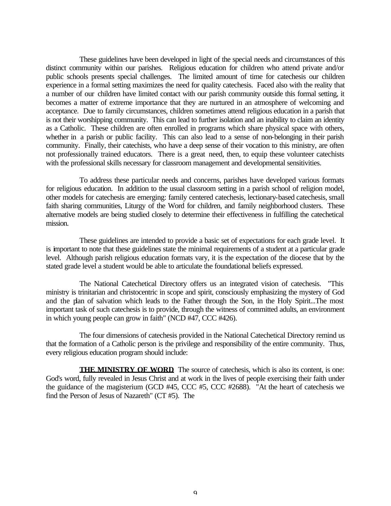These guidelines have been developed in light of the special needs and circumstances of this distinct community within our parishes. Religious education for children who attend private and/or public schools presents special challenges. The limited amount of time for catechesis our children experience in a formal setting maximizes the need for quality catechesis. Faced also with the reality that a number of our children have limited contact with our parish community outside this formal setting, it becomes a matter of extreme importance that they are nurtured in an atmosphere of welcoming and acceptance. Due to family circumstances, children sometimes attend religious education in a parish that is not their worshipping community. This can lead to further isolation and an inability to claim an identity as a Catholic. These children are often enrolled in programs which share physical space with others, whether in a parish or public facility. This can also lead to a sense of non-belonging in their parish community. Finally, their catechists, who have a deep sense of their vocation to this ministry, are often not professionally trained educators. There is a great need, then, to equip these volunteer catechists with the professional skills necessary for classroom management and developmental sensitivities.

To address these particular needs and concerns, parishes have developed various formats for religious education. In addition to the usual classroom setting in a parish school of religion model, other models for catechesis are emerging: family centered catechesis, lectionary-based catechesis, small faith sharing communities, Liturgy of the Word for children, and family neighborhood clusters. These alternative models are being studied closely to determine their effectiveness in fulfilling the catechetical mission.

These guidelines are intended to provide a basic set of expectations for each grade level. It is important to note that these guidelines state the minimal requirements of a student at a particular grade level. Although parish religious education formats vary, it is the expectation of the diocese that by the stated grade level a student would be able to articulate the foundational beliefs expressed.

The National Catechetical Directory offers us an integrated vision of catechesis. "This ministry is trinitarian and christocentric in scope and spirit, consciously emphasizing the mystery of God and the plan of salvation which leads to the Father through the Son, in the Holy Spirit...The most important task of such catechesis is to provide, through the witness of committed adults, an environment in which young people can grow in faith" (NCD #47, CCC #426).

The four dimensions of catechesis provided in the National Catechetical Directory remind us that the formation of a Catholic person is the privilege and responsibility of the entire community. Thus, every religious education program should include:

**THE MINISTRY OF WORD** The source of catechesis, which is also its content, is one: God's word, fully revealed in Jesus Christ and at work in the lives of people exercising their faith under the guidance of the magisterium (GCD #45, CCC #5, CCC #2688). "At the heart of catechesis we find the Person of Jesus of Nazareth" (CT #5). The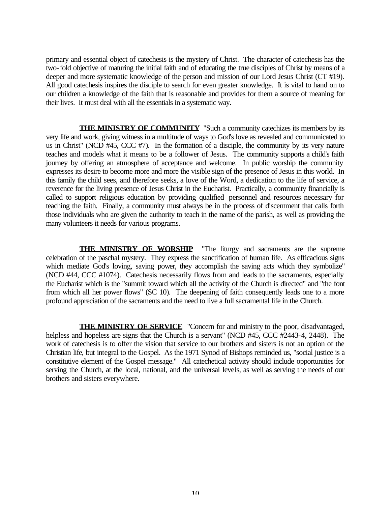primary and essential object of catechesis is the mystery of Christ. The character of catechesis has the two-fold objective of maturing the initial faith and of educating the true disciples of Christ by means of a deeper and more systematic knowledge of the person and mission of our Lord Jesus Christ (CT #19). All good catechesis inspires the disciple to search for even greater knowledge. It is vital to hand on to our children a knowledge of the faith that is reasonable and provides for them a source of meaning for their lives. It must deal with all the essentials in a systematic way.

**THE MINISTRY OF COMMUNITY** "Such a community catechizes its members by its very life and work, giving witness in a multitude of ways to God's love as revealed and communicated to us in Christ" (NCD #45, CCC #7). In the formation of a disciple, the community by its very nature teaches and models what it means to be a follower of Jesus. The community supports a child's faith journey by offering an atmosphere of acceptance and welcome. In public worship the community expresses its desire to become more and more the visible sign of the presence of Jesus in this world. In this family the child sees, and therefore seeks, a love of the Word, a dedication to the life of service, a reverence for the living presence of Jesus Christ in the Eucharist. Practically, a community financially is called to support religious education by providing qualified personnel and resources necessary for teaching the faith. Finally, a community must always be in the process of discernment that calls forth those individuals who are given the authority to teach in the name of the parish, as well as providing the many volunteers it needs for various programs.

**THE MINISTRY OF WORSHIP** "The liturgy and sacraments are the supreme celebration of the paschal mystery. They express the sanctification of human life. As efficacious signs which mediate God's loving, saving power, they accomplish the saving acts which they symbolize" (NCD #44, CCC #1074). Catechesis necessarily flows from and leads to the sacraments, especially the Eucharist which is the "summit toward which all the activity of the Church is directed" and "the font from which all her power flows" (SC 10). The deepening of faith consequently leads one to a more profound appreciation of the sacraments and the need to live a full sacramental life in the Church.

**THE MINISTRY OF SERVICE** "Concern for and ministry to the poor, disadvantaged, helpless and hopeless are signs that the Church is a servant" (NCD #45, CCC #2443-4, 2448). The work of catechesis is to offer the vision that service to our brothers and sisters is not an option of the Christian life, but integral to the Gospel. As the 1971 Synod of Bishops reminded us, "social justice is a constitutive element of the Gospel message." All catechetical activity should include opportunities for serving the Church, at the local, national, and the universal levels, as well as serving the needs of our brothers and sisters everywhere.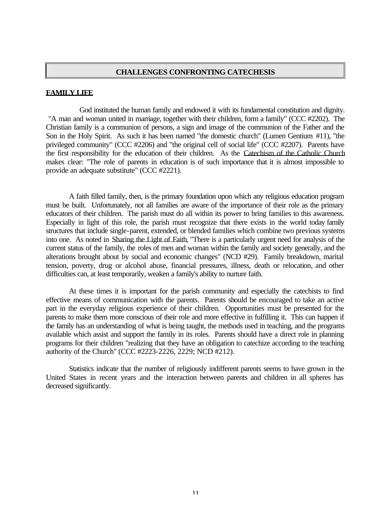#### **CHALLENGES CONFRONTING CATECHESIS**

#### **FAMILY LIFE**

God instituted the human family and endowed it with its fundamental constitution and dignity. "A man and woman united in marriage, together with their children, form a family" (CCC #2202). The Christian family is a communion of persons, a sign and image of the communion of the Father and the Son in the Holy Spirit. As such it has been named "the domestic church" (Lumen Gentium #11), "the privileged community" (CCC #2206) and "the original cell of social life" (CCC #2207). Parents have the first responsibility for the education of their children. As the Catechism of the Catholic Church makes clear: "The role of parents in education is of such importance that it is almost impossible to provide an adequate substitute" (CCC #2221).

A faith filled family, then, is the primary foundation upon which any religious education program must be built. Unfortunately, not all families are aware of the importance of their role as the primary educators of their children. The parish must do all within its power to bring families to this awareness. Especially in light of this role, the parish must recognize that there exists in the world today family structures that include single-parent, extended, or blended families which combine two previous systems into one. As noted in Sharing the Light of Faith, "There is a particularly urgent need for analysis of the current status of the family, the roles of men and woman within the family and society generally, and the alterations brought about by social and economic changes" (NCD #29). Family breakdown, marital tension, poverty, drug or alcohol abuse, financial pressures, illness, death or relocation, and other difficulties can, at least temporarily, weaken a family's ability to nurture faith.

At these times it is important for the parish community and especially the catechists to find effective means of communication with the parents. Parents should be encouraged to take an active part in the everyday religious experience of their children. Opportunities must be presented for the parents to make them more conscious of their role and more effective in fulfilling it. This can happen if the family has an understanding of what is being taught, the methods used in teaching, and the programs available which assist and support the family in its roles. Parents should have a direct role in planning programs for their children "realizing that they have an obligation to catechize according to the teaching authority of the Church" (CCC #2223-2226, 2229; NCD #212).

Statistics indicate that the number of religiously indifferent parents seems to have grown in the United States in recent years and the interaction between parents and children in all spheres has decreased significantly.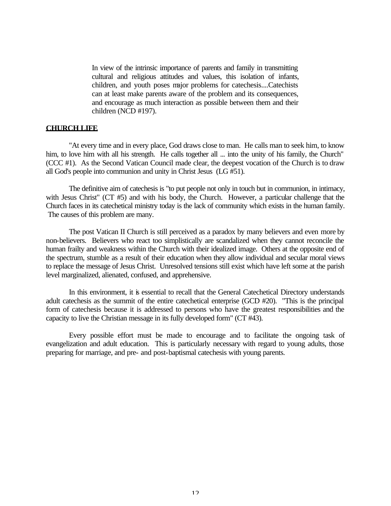In view of the intrinsic importance of parents and family in transmitting cultural and religious attitudes and values, this isolation of infants, children, and youth poses major problems for catechesis....Catechists can at least make parents aware of the problem and its consequences, and encourage as much interaction as possible between them and their children (NCD #197).

#### **CHURCH LIFE**

"At every time and in every place, God draws close to man. He calls man to seek him, to know him, to love him with all his strength. He calls together all ... into the unity of his family, the Church" (CCC #1). As the Second Vatican Council made clear, the deepest vocation of the Church is to draw all God's people into communion and unity in Christ Jesus (LG #51).

The definitive aim of catechesis is "to put people not only in touch but in communion, in intimacy, with Jesus Christ" (CT #5) and with his body, the Church. However, a particular challenge that the Church faces in its catechetical ministry today is the lack of community which exists in the human family. The causes of this problem are many.

The post Vatican II Church is still perceived as a paradox by many believers and even more by non-believers. Believers who react too simplistically are scandalized when they cannot reconcile the human frailty and weakness within the Church with their idealized image. Others at the opposite end of the spectrum, stumble as a result of their education when they allow individual and secular moral views to replace the message of Jesus Christ. Unresolved tensions still exist which have left some at the parish level marginalized, alienated, confused, and apprehensive.

In this environment, it is essential to recall that the General Catechetical Directory understands adult catechesis as the summit of the entire catechetical enterprise (GCD #20). "This is the principal form of catechesis because it is addressed to persons who have the greatest responsibilities and the capacity to live the Christian message in its fully developed form" (CT #43).

Every possible effort must be made to encourage and to facilitate the ongoing task of evangelization and adult education. This is particularly necessary with regard to young adults, those preparing for marriage, and pre- and post-baptismal catechesis with young parents.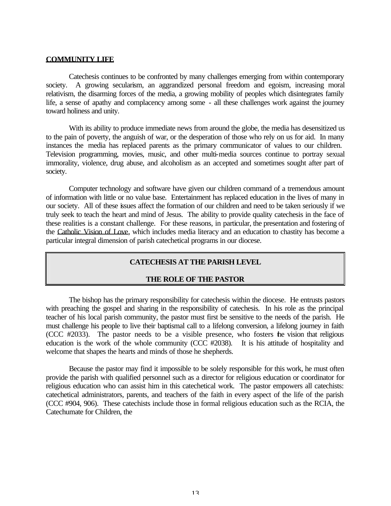#### **COMMUNITY LIFE**

Catechesis continues to be confronted by many challenges emerging from within contemporary society. A growing secularism, an aggrandized personal freedom and egoism, increasing moral relativism, the disarming forces of the media, a growing mobility of peoples which disintegrates family life, a sense of apathy and complacency among some - all these challenges work against the journey toward holiness and unity.

With its ability to produce immediate news from around the globe, the media has desensitized us to the pain of poverty, the anguish of war, or the desperation of those who rely on us for aid. In many instances the media has replaced parents as the primary communicator of values to our children. Television programming, movies, music, and other multi-media sources continue to portray sexual immorality, violence, drug abuse, and alcoholism as an accepted and sometimes sought after part of society.

Computer technology and software have given our children command of a tremendous amount of information with little or no value base. Entertainment has replaced education in the lives of many in our society. All of these issues affect the formation of our children and need to be taken seriously if we truly seek to teach the heart and mind of Jesus. The ability to provide quality catechesis in the face of these realities is a constant challenge. For these reasons, in particular, the presentation and fostering of the Catholic Vision of Love, which includes media literacy and an education to chastity has become a particular integral dimension of parish catechetical programs in our diocese.

## **CATECHESIS AT THE PARISH LEVEL**

#### **THE ROLE OF THE PASTOR**

The bishop has the primary responsibility for catechesis within the diocese. He entrusts pastors with preaching the gospel and sharing in the responsibility of catechesis. In his role as the principal teacher of his local parish community, the pastor must first be sensitive to the needs of the parish. He must challenge his people to live their baptismal call to a lifelong conversion, a lifelong journey in faith (CCC #2033). The pastor needs to be a visible presence, who fosters the vision that religious education is the work of the whole community (CCC #2038). It is his attitude of hospitality and welcome that shapes the hearts and minds of those he shepherds.

Because the pastor may find it impossible to be solely responsible for this work, he must often provide the parish with qualified personnel such as a director for religious education or coordinator for religious education who can assist him in this catechetical work. The pastor empowers all catechists: catechetical administrators, parents, and teachers of the faith in every aspect of the life of the parish (CCC #904, 906). These catechists include those in formal religious education such as the RCIA, the Catechumate for Children, the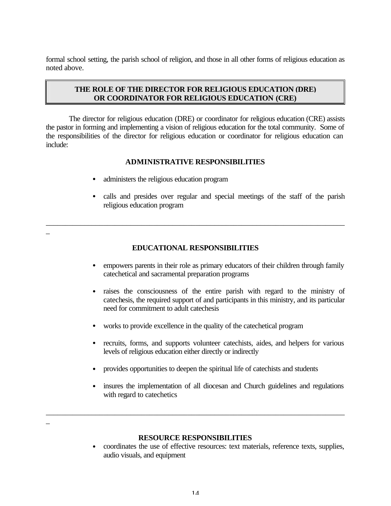formal school setting, the parish school of religion, and those in all other forms of religious education as noted above.

## **THE ROLE OF THE DIRECTOR FOR RELIGIOUS EDUCATION (DRE) OR COORDINATOR FOR RELIGIOUS EDUCATION (CRE)**

The director for religious education (DRE) or coordinator for religious education (CRE) assists the pastor in forming and implementing a vision of religious education for the total community. Some of the responsibilities of the director for religious education or coordinator for religious education can include:

## **ADMINISTRATIVE RESPONSIBILITIES**

- administers the religious education program
- calls and presides over regular and special meetings of the staff of the parish religious education program

## **EDUCATIONAL RESPONSIBILITIES**

\_\_\_\_\_\_\_\_\_\_\_\_\_\_\_\_\_\_\_\_\_\_\_\_\_\_\_\_\_\_\_\_\_\_\_\_\_\_\_\_\_\_\_\_\_\_\_\_\_\_\_\_\_\_\_\_\_\_\_\_\_\_\_\_\_\_\_\_\_\_\_\_\_\_\_\_\_\_

- empowers parents in their role as primary educators of their children through family catechetical and sacramental preparation programs
- raises the consciousness of the entire parish with regard to the ministry of catechesis, the required support of and participants in this ministry, and its particular need for commitment to adult catechesis
- works to provide excellence in the quality of the cate chetical program
- recruits, forms, and supports volunteer catechists, aides, and helpers for various levels of religious education either directly or indirectly
- provides opportunities to deepen the spiritual life of catechists and students
- insures the implementation of all diocesan and Church guidelines and regulations with regard to catechetics

## \_

\_

#### **RESOURCE RESPONSIBILITIES**

\_\_\_\_\_\_\_\_\_\_\_\_\_\_\_\_\_\_\_\_\_\_\_\_\_\_\_\_\_\_\_\_\_\_\_\_\_\_\_\_\_\_\_\_\_\_\_\_\_\_\_\_\_\_\_\_\_\_\_\_\_\_\_\_\_\_\_\_\_\_\_\_\_\_\_\_\_\_

• coordinates the use of effective resources: text materials, reference texts, supplies, audio visuals, and equipment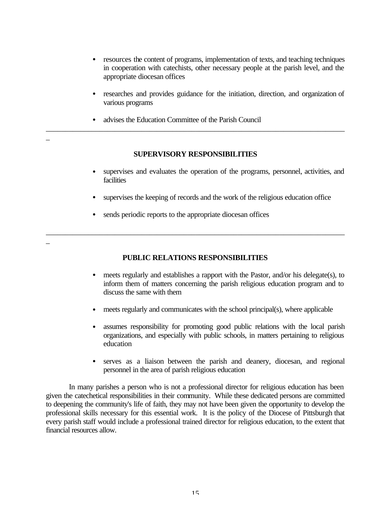- resources the content of programs, implementation of texts, and teaching techniques in cooperation with catechists, other necessary people at the parish level, and the appropriate diocesan offices
- researches and provides guidance for the initiation, direction, and organization of various programs
- advises the Education Committee of the Parish Council

\_

\_

### **SUPERVISORY RESPONSIBILITIES**

\_\_\_\_\_\_\_\_\_\_\_\_\_\_\_\_\_\_\_\_\_\_\_\_\_\_\_\_\_\_\_\_\_\_\_\_\_\_\_\_\_\_\_\_\_\_\_\_\_\_\_\_\_\_\_\_\_\_\_\_\_\_\_\_\_\_\_\_\_\_\_\_\_\_\_\_\_\_

- supervises and evaluates the operation of the programs, personnel, activities, and facilities
- supervises the keeping of records and the work of the religious education office
- sends periodic reports to the appropriate diocesan offices

## **PUBLIC RELATIONS RESPONSIBILITIES**

\_\_\_\_\_\_\_\_\_\_\_\_\_\_\_\_\_\_\_\_\_\_\_\_\_\_\_\_\_\_\_\_\_\_\_\_\_\_\_\_\_\_\_\_\_\_\_\_\_\_\_\_\_\_\_\_\_\_\_\_\_\_\_\_\_\_\_\_\_\_\_\_\_\_\_\_\_\_

- meets regularly and establishes a rapport with the Pastor, and/or his delegate(s), to inform them of matters concerning the parish religious education program and to discuss the same with them
- meets regularly and communicates with the school principal(s), where applicable
- assumes responsibility for promoting good public relations with the local parish organizations, and especially with public schools, in matters pertaining to religious education
- serves as a liaison between the parish and deanery, diocesan, and regional personnel in the area of parish religious education

In many parishes a person who is not a professional director for religious education has been given the catechetical responsibilities in their community. While these dedicated persons are committed to deepening the community's life of faith, they may not have been given the opportunity to develop the professional skills necessary for this essential work. It is the policy of the Diocese of Pittsburgh that every parish staff would include a professional trained director for religious education, to the extent that financial resources allow.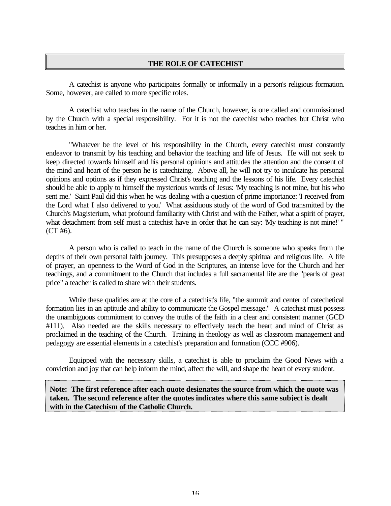#### **THE ROLE OF CATECHIST**

A catechist is anyone who participates formally or informally in a person's religious formation. Some, however, are called to more specific roles.

A catechist who teaches in the name of the Church, however, is one called and commissioned by the Church with a special responsibility. For it is not the catechist who teaches but Christ who teaches in him or her.

"Whatever be the level of his responsibility in the Church, every catechist must constantly endeavor to transmit by his teaching and behavior the teaching and life of Jesus. He will not seek to keep directed towards himself and his personal opinions and attitudes the attention and the consent of the mind and heart of the person he is catechizing. Above all, he will not try to inculcate his personal opinions and options as if they expressed Christ's teaching and the lessons of his life. Every catechist should be able to apply to himself the mysterious words of Jesus: 'My teaching is not mine, but his who sent me.' Saint Paul did this when he was dealing with a question of prime importance: 'I received from the Lord what I also delivered to you.' What assiduous study of the word of God transmitted by the Church's Magisterium, what profound familiarity with Christ and with the Father, what a spirit of prayer, what detachment from self must a catechist have in order that he can say: 'My teaching is not mine!' "  $(CT#6)$ .

A person who is called to teach in the name of the Church is someone who speaks from the depths of their own personal faith journey. This presupposes a deeply spiritual and religious life. A life of prayer, an openness to the Word of God in the Scriptures, an intense love for the Church and her teachings, and a commitment to the Church that includes a full sacramental life are the "pearls of great price" a teacher is called to share with their students.

While these qualities are at the core of a catechist's life, "the summit and center of catechetical formation lies in an aptitude and ability to communicate the Gospel message." A catechist must possess the unambiguous commitment to convey the truths of the faith in a clear and consistent manner (GCD #111). Also needed are the skills necessary to effectively teach the heart and mind of Christ as proclaimed in the teaching of the Church. Training in theology as well as classroom management and pedagogy are essential elements in a catechist's preparation and formation (CCC #906).

Equipped with the necessary skills, a catechist is able to proclaim the Good News with a conviction and joy that can help inform the mind, affect the will, and shape the heart of every student.

**Note: The first reference after each quote designates the source from which the quote was taken. The second reference after the quotes indicates where this same subject is dealt with in the Catechism of the Catholic Church.**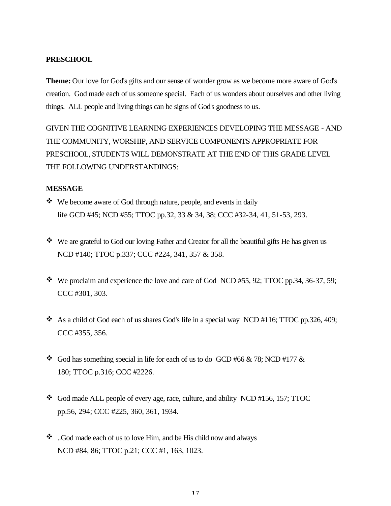## **PRESCHOOL**

**Theme:** Our love for God's gifts and our sense of wonder grow as we become more aware of God's creation. God made each of us someone special. Each of us wonders about ourselves and other living things. ALL people and living things can be signs of God's goodness to us.

GIVEN THE COGNITIVE LEARNING EXPERIENCES DEVELOPING THE MESSAGE - AND THE COMMUNITY, WORSHIP, AND SERVICE COMPONENTS APPROPRIATE FOR PRESCHOOL, STUDENTS WILL DEMONSTRATE AT THE END OF THIS GRADE LEVEL THE FOLLOWING UNDERSTANDINGS:

## **MESSAGE**

- $\bullet\bullet\text{ We become aware of God through nature, people, and events in daily }$ life GCD #45; NCD #55; TTOC pp.32, 33 & 34, 38; CCC #32-34, 41, 51-53, 293.
- $\bullet\bullet\bullet\bullet$  We are grateful to God our loving Father and Creator for all the beautiful gifts He has given us NCD #140; TTOC p.337; CCC #224, 341, 357 & 358.
- $\cdot$  We proclaim and experience the love and care of God NCD #55, 92; TTOC pp.34, 36-37, 59; CCC #301, 303.
- $\cdot$  As a child of God each of us shares God's life in a special way NCD #116; TTOC pp.326, 409; CCC #355, 356.
- $\bullet$  God has something special in life for each of us to do GCD #66 & 78; NCD #177 & 180; TTOC p.316; CCC #2226.
- $\bullet$  God made ALL people of every age, race, culture, and ability NCD #156, 157; TTOC pp.56, 294; CCC #225, 360, 361, 1934.
- $\bullet$  . God made each of us to love Him, and be His child now and always NCD #84, 86; TTOC p.21; CCC #1, 163, 1023.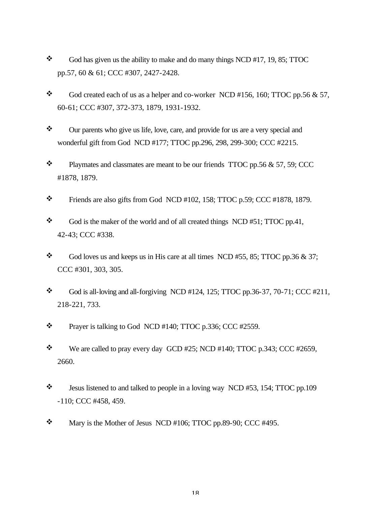- $\bullet$  God has given us the ability to make and do many things NCD #17, 19, 85; TTOC pp.57, 60 & 61; CCC #307, 2427-2428.
- $\bullet$  God created each of us as a helper and co-worker NCD #156, 160; TTOC pp.56 & 57, 60-61; CCC #307, 372-373, 1879, 1931-1932.
- \* Our parents who give us life, love, care, and provide for us are a very special and wonderful gift from God NCD #177; TTOC pp.296, 298, 299-300; CCC #2215.
- $\bullet$  Playmates and classmates are meant to be our friends TTOC pp.56 & 57, 59; CCC #1878, 1879.
- $\text{\textbullet}$  Friends are also gifts from God NCD #102, 158; TTOC p.59; CCC #1878, 1879.
- $\bullet$  God is the maker of the world and of all created things NCD #51; TTOC pp.41, 42-43; CCC #338.
- $\bullet$  God loves us and keeps us in His care at all times NCD #55, 85; TTOC pp.36 & 37; CCC #301, 303, 305.
- $\bullet$  God is all-loving and all-forgiving NCD #124, 125; TTOC pp.36-37, 70-71; CCC #211, 218-221, 733.
- $\mathbf{\hat{P}}$  Prayer is talking to God NCD #140; TTOC p.336; CCC #2559.
- $\ddot{\bullet}$  We are called to pray every day GCD #25; NCD #140; TTOC p.343; CCC #2659, 2660.
- $\ddot{\bullet}$  Jesus listened to and talked to people in a loving way NCD #53, 154; TTOC pp.109 -110; CCC #458, 459.
- $\text{W}$  Mary is the Mother of Jesus NCD #106; TTOC pp.89-90; CCC #495.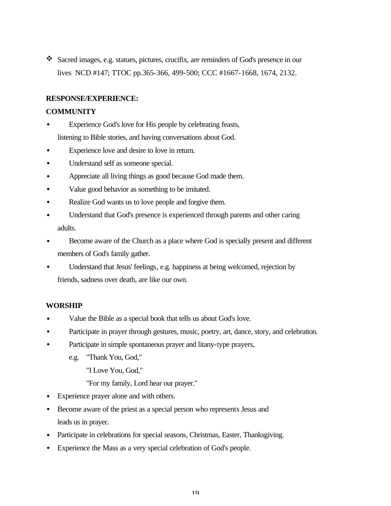v Sacred images, e.g. statues, pictures, crucifix, are reminders of God's presence in our lives NCD #147; TTOC pp.365-366, 499-500; CCC #1667-1668, 1674, 2132.

## **RESPONSE/EXPERIENCE:**

## **COMMUNITY**

- Experience God's love for His people by celebrating feasts, listening to Bible stories, and having conversations about God.
- Experience love and desire to love in return.
- Understand self as someone special.
- Appreciate all living things as good because God made them.
- Value good behavior as something to be imitated.
- Realize God wants us to love people and forgive them.
- Understand that God's presence is experienced through parents and other caring adults.
- Become aware of the Church as a place where God is specially present and different members of God's family gather.
- Understand that Jesus' feelings, e.g. happiness at being welcomed, rejection by friends, sadness over death, are like our own.

## **WORSHIP**

- Value the Bible as a special book that tells us about God's love.
- Participate in prayer through gestures, music, poetry, art, dance, story, and celebration.
- Participate in simple spontaneous prayer and litany-type prayers,
	- e.g. "Thank You, God,"

"I Love You, God,"

"For my family, Lord hear our prayer."

- Experience prayer alone and with others.
- Become aware of the priest as a special person who represents Jesus and leads us in prayer.
- Participate in celebrations for special seasons, Christmas, Easter, Thanksgiving.
- Experience the Mass as a very special celebration of God's people.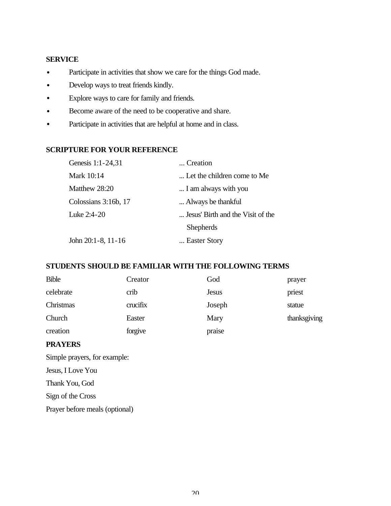## **SERVICE**

- Participate in activities that show we care for the things God made.
- Develop ways to treat friends kindly.
- Explore ways to care for family and friends.
- Become aware of the need to be cooperative and share.
- Participate in activities that are helpful at home and in class.

## **SCRIPTURE FOR YOUR REFERENCE**

| Genesis 1:1-24,31       | Creation                          |
|-------------------------|-----------------------------------|
| Mark 10:14              | Let the children come to Me       |
| Matthew 28:20           | I am always with you              |
| Colossians 3:16b, 17    | Always be thankful.               |
| Luke 2:4-20             | Jesus' Birth and the Visit of the |
|                         | <b>Shepherds</b>                  |
| John $20:1-8$ , $11-16$ | Easter Story                      |

## **STUDENTS SHOULD BE FAMILIAR WITH THE FOLLOWING TERMS**

| <b>Bible</b> | Creator  | God          | prayer       |
|--------------|----------|--------------|--------------|
| celebrate    | crib     | <b>Jesus</b> | priest       |
| Christmas    | crucifix | Joseph       | statue       |
| Church       | Easter   | Mary         | thanksgiving |
| creation     | forgive  | praise       |              |

### **PRAYERS**

Simple prayers, for example: Jesus, I Love You Thank You, God Sign of the Cross Prayer before meals (optional)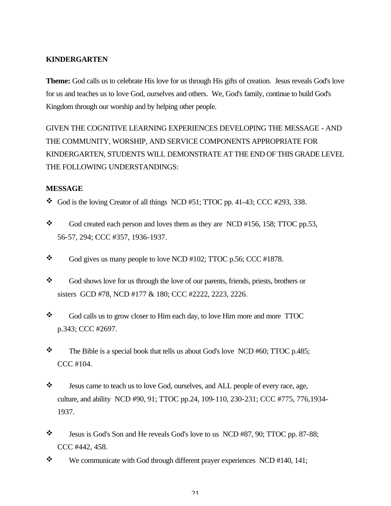## **KINDERGARTEN**

**Theme:** God calls us to celebrate His love for us through His gifts of creation. Jesus reveals God's love for us and teaches us to love God, ourselves and others. We, God's family, continue to build God's Kingdom through our worship and by helping other people.

GIVEN THE COGNITIVE LEARNING EXPERIENCES DEVELOPING THE MESSAGE - AND THE COMMUNITY, WORSHIP, AND SERVICE COMPONENTS APPROPRIATE FOR KINDERGARTEN, STUDENTS WILL DEMONSTRATE AT THE END OF THIS GRADE LEVEL THE FOLLOWING UNDERSTANDINGS:

## **MESSAGE**

- $\bullet$  God is the loving Creator of all things NCD #51; TTOC pp. 41-43; CCC #293, 338.
- $\bullet$  God created each person and loves them as they are NCD #156, 158; TTOC pp.53, 56-57, 294; CCC #357, 1936-1937.
- $\bullet$  God gives us many people to love NCD #102; TTOC p.56; CCC #1878.
- God shows love for us through the love of our parents, friends, priests, brothers or sisters GCD #78, NCD #177 & 180; CCC #2222, 2223, 2226.
- \* God calls us to grow closer to Him each day, to love Him more and more TTOC p.343; CCC #2697.
- $\cdot \cdot$  The Bible is a special book that tells us about God's love NCD #60; TTOC p.485; CCC #104.
- \* Jesus came to teach us to love God, ourselves, and ALL people of every race, age, culture, and ability NCD #90, 91; TTOC pp.24, 109-110, 230-231; CCC #775, 776,1934- 1937.
- \* Jesus is God's Son and He reveals God's love to us NCD #87, 90; TTOC pp. 87-88; CCC #442, 458.
- $\mathbf{\hat{P}}$  We communicate with God through different prayer experiences NCD #140, 141;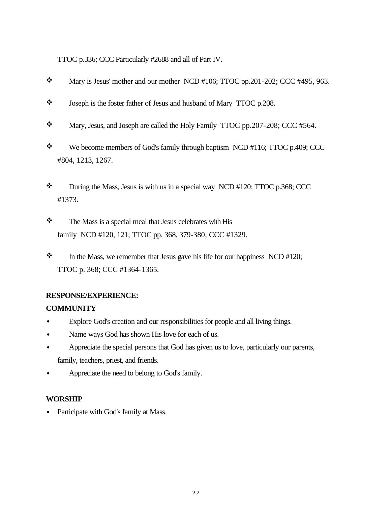TTOC p.336; CCC Particularly #2688 and all of Part IV.

- $\text{W}$  Mary is Jesus' mother and our mother NCD #106; TTOC pp.201-202; CCC #495, 963.
- \* Joseph is the foster father of Jesus and husband of Mary TTOC p.208.
- $\text{\textbullet}$  Mary, Jesus, and Joseph are called the Holy Family TTOC pp. 207-208; CCC #564.
- $\mathbf{\hat{P}}$  We become members of God's family through baptism NCD #116; TTOC p.409; CCC #804, 1213, 1267.
- $\mathbf{\hat{P}}$  During the Mass, Jesus is with us in a special way NCD #120; TTOC p.368; CCC #1373.
- $\mathbf{\hat{z}}$  The Mass is a special meal that Jesus celebrates with His family NCD #120, 121; TTOC pp. 368, 379-380; CCC #1329.
- $\cdot \cdot$  In the Mass, we remember that Jesus gave his life for our happiness NCD #120; TTOC p. 368; CCC #1364-1365.

## **RESPONSE/EXPERIENCE:**

## **COMMUNITY**

- Explore God's creation and our responsibilities for people and all living things.
- Name ways God has shown His love for each of us.
- Appreciate the special persons that God has given us to love, particularly our parents, family, teachers, priest, and friends.
- Appreciate the need to belong to God's family.

## **WORSHIP**

• Participate with God's family at Mass.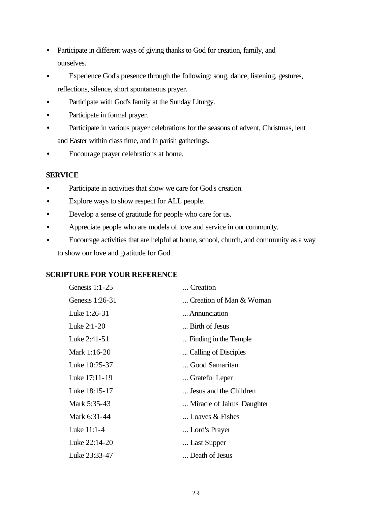- Participate in different ways of giving thanks to God for creation, family, and ourselves.
- Experience God's presence through the following: song, dance, listening, gestures, reflections, silence, short spontaneous prayer.
- Participate with God's family at the Sunday Liturgy.
- Participate in formal prayer.
- Participate in various prayer celebrations for the seasons of advent, Christmas, lent and Easter within class time, and in parish gatherings.
- Encourage prayer celebrations at home.

## **SERVICE**

- Participate in activities that show we care for God's creation.
- Explore ways to show respect for ALL people.
- Develop a sense of gratitude for people who care for us.
- Appreciate people who are models of love and service in our community.
- Encourage activities that are helpful at home, school, church, and community as a way to show our love and gratitude for God.

## **SCRIPTURE FOR YOUR REFERENCE**

| Genesis $1:1-25$ | Creation                    |
|------------------|-----------------------------|
| Genesis 1:26-31  | Creation of Man & Woman     |
| Luke 1:26-31     | Annunciation                |
| Luke 2:1-20      | Birth of Jesus              |
| Luke 2:41-51     | Finding in the Temple       |
| Mark 1:16-20     | Calling of Disciples        |
| Luke 10:25-37    | Good Samaritan              |
| Luke 17:11-19    | Grateful Leper              |
| Luke 18:15-17    | Jesus and the Children      |
| Mark 5:35-43     | Miracle of Jairus' Daughter |
| Mark 6:31-44     | Loaves $\&$ Fishes          |
| Luke 11:1-4      | Lord's Prayer               |
| Luke 22:14-20    | Last Supper                 |
| Luke 23:33-47    | Death of Jesus              |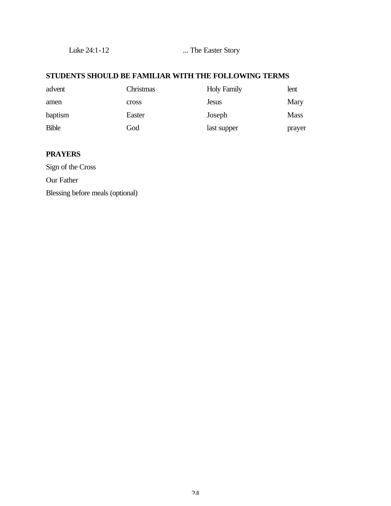Luke 24:1-12 ... The Easter Story

## **STUDENTS SHOULD BE FAMILIAR WITH THE FOLLOWING TERMS**

| advent       | Christmas | <b>Holy Family</b> | lent        |
|--------------|-----------|--------------------|-------------|
| amen         | cross     | <b>Jesus</b>       | Mary        |
| baptism      | Easter    | Joseph             | <b>Mass</b> |
| <b>Bible</b> | God       | last supper        | prayer      |

## **PRAYERS**

Sign of the Cross Our Father Blessing before meals (optional)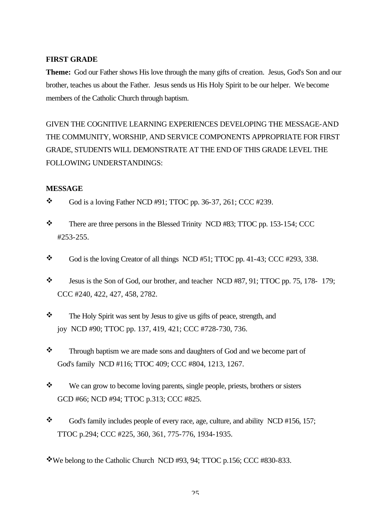## **FIRST GRADE**

**Theme:** God our Father shows His love through the many gifts of creation. Jesus, God's Son and our brother, teaches us about the Father. Jesus sends us His Holy Spirit to be our helper. We become members of the Catholic Church through baptism.

GIVEN THE COGNITIVE LEARNING EXPERIENCES DEVELOPING THE MESSAGE-AND THE COMMUNITY, WORSHIP, AND SERVICE COMPONENTS APPROPRIATE FOR FIRST GRADE, STUDENTS WILL DEMONSTRATE AT THE END OF THIS GRADE LEVEL THE FOLLOWING UNDERSTANDINGS:

## **MESSAGE**

- $\bullet$  God is a loving Father NCD #91; TTOC pp. 36-37, 261; CCC #239.
- \* There are three persons in the Blessed Trinity NCD #83; TTOC pp. 153-154; CCC #253-255.
- $\bullet$  God is the loving Creator of all things NCD #51; TTOC pp. 41-43; CCC #293, 338.
- $\ddot{\bullet}$  Jesus is the Son of God, our brother, and teacher NCD #87, 91; TTOC pp. 75, 178- 179; CCC #240, 422, 427, 458, 2782.
- \* The Holy Spirit was sent by Jesus to give us gifts of peace, strength, and joy NCD #90; TTOC pp. 137, 419, 421; CCC #728-730, 736.
- \* Through baptism we are made sons and daughters of God and we become part of God's family NCD #116; TTOC 409; CCC #804, 1213, 1267.
- We can grow to become loving parents, single people, priests, brothers or sisters GCD #66; NCD #94; TTOC p.313; CCC #825.
- $\bullet$  God's family includes people of every race, age, culture, and ability NCD #156, 157; TTOC p.294; CCC #225, 360, 361, 775-776, 1934-1935.
- vWe belong to the Catholic Church NCD #93, 94; TTOC p.156; CCC #830-833.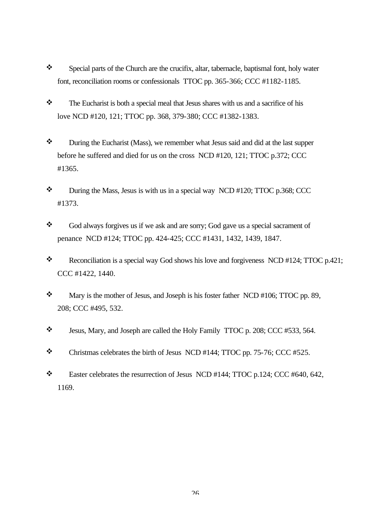- \* Special parts of the Church are the crucifix, altar, tabernacle, baptismal font, holy water font, reconciliation rooms or confessionals TTOC pp. 365-366; CCC #1182-1185.
- $\mathbf{\hat{z}}$  The Eucharist is both a special meal that Jesus shares with us and a sacrifice of his love NCD #120, 121; TTOC pp. 368, 379-380; CCC #1382-1383.
- \* During the Eucharist (Mass), we remember what Jesus said and did at the last supper before he suffered and died for us on the cross NCD #120, 121; TTOC p.372; CCC #1365.
- $\text{\textbullet}$  During the Mass, Jesus is with us in a special way NCD #120; TTOC p.368; CCC #1373.
- \* God always forgives us if we ask and are sorry; God gave us a special sacrament of penance NCD #124; TTOC pp. 424-425; CCC #1431, 1432, 1439, 1847.
- Reconciliation is a special way God shows his love and forgiveness NCD #124; TTOC p.421; CCC #1422, 1440.
- $\mathbf{\hat{P}}$  Mary is the mother of Jesus, and Joseph is his foster father NCD #106; TTOC pp. 89, 208; CCC #495, 532.
- v Jesus, Mary, and Joseph are called the Holy Family TTOC p. 208; CCC #533, 564.
- $\text{\textbullet}$  Christmas celebrates the birth of Jesus NCD #144; TTOC pp. 75-76; CCC #525.
- Easter celebrates the resurrection of Jesus NCD #144; TTOC p.124; CCC #640, 642, 1169.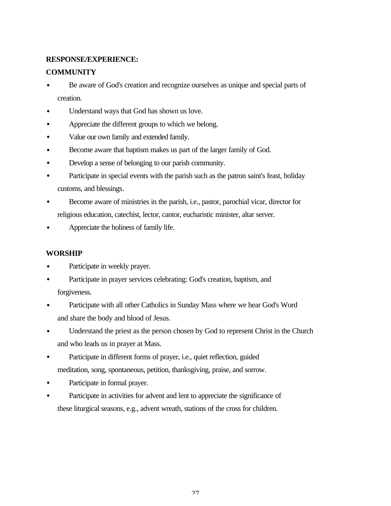## **RESPONSE/EXPERIENCE:**

## **COMMUNITY**

- Be aware of God's creation and recognize ourselves as unique and special parts of creation.
- Understand ways that God has shown us love.
- Appreciate the different groups to which we belong.
- Value our own family and extended family.
- Become aware that baptism makes us part of the larger family of God.
- Develop a sense of belonging to our parish community.
- Participate in special events with the parish such as the patron saint's feast, holiday customs, and blessings.
- Become aware of ministries in the parish, i.e., pastor, parochial vicar, director for religious education, catechist, lector, cantor, eucharistic minister, altar server.
- Appreciate the holiness of family life.

## **WORSHIP**

- Participate in weekly prayer.
- Participate in prayer services celebrating: God's creation, baptism, and forgiveness.
- Participate with all other Catholics in Sunday Mass where we hear God's Word and share the body and blood of Jesus.
- Understand the priest as the person chosen by God to represent Christ in the Church and who leads us in prayer at Mass.
- Participate in different forms of prayer, i.e., quiet reflection, guided meditation, song, spontaneous, petition, thanksgiving, praise, and sorrow.
- Participate in formal prayer.
- Participate in activities for advent and lent to appreciate the significance of these liturgical seasons, e.g., advent wreath, stations of the cross for children.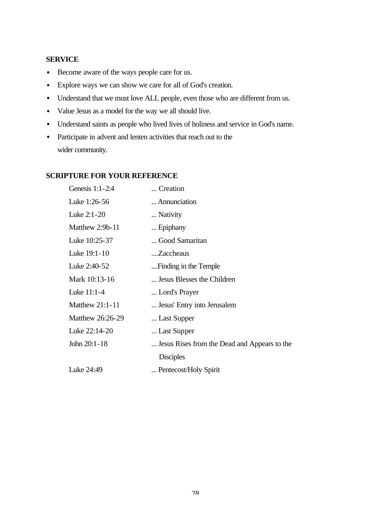## **SERVICE**

- Become aware of the ways people care for us.
- Explore ways we can show we care for all of God's creation.
- Understand that we must love ALL people, even those who are different from us.
- Value Jesus as a model for the way we all should live.
- Understand saints as people who lived lives of holiness and service in God's name.
- Participate in advent and lenten activities that reach out to the wider community.

## **SCRIPTURE FOR YOUR REFERENCE**

| Genesis 1:1-2:4        | Creation                                     |
|------------------------|----------------------------------------------|
| Luke 1:26-56           | Annunciation                                 |
| Luke 2:1-20            | Nativity                                     |
| Matthew 2:9b-11        | Epiphany                                     |
| Luke 10:25-37          | Good Samaritan                               |
| Luke 19:1-10           | Zaccheaus                                    |
| Luke 2:40-52           | Finding in the Temple                        |
| Mark 10:13-16          | Jesus Blesses the Children                   |
| Luke 11:1-4            | Lord's Prayer                                |
| <b>Matthew 21:1-11</b> | Jesus' Entry into Jerusalem                  |
| Matthew 26:26-29       | Last Supper                                  |
| Luke 22:14-20          | Last Supper                                  |
| John 20:1-18           | Jesus Rises from the Dead and Appears to the |
|                        | <b>Disciples</b>                             |
| Luke 24:49             | Pentecost/Holy Spirit                        |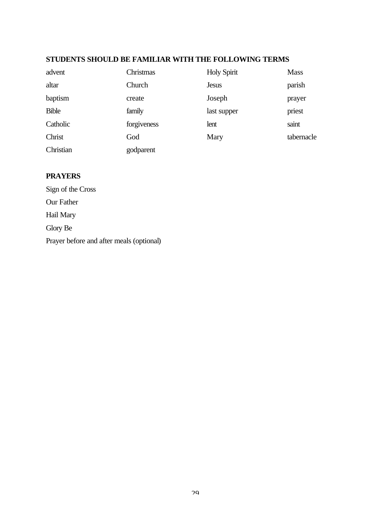## **STUDENTS SHOULD BE FAMILIAR WITH THE FOLLOWING TERMS**

| advent       | Christmas   | <b>Holy Spirit</b> | <b>Mass</b> |
|--------------|-------------|--------------------|-------------|
| altar        | Church      | <b>Jesus</b>       | parish      |
| baptism      | create      | Joseph             | prayer      |
| <b>Bible</b> | family      | last supper        | priest      |
| Catholic     | forgiveness | lent               | saint       |
| Christ       | God         | Mary               | tabernacle  |
| Christian    | godparent   |                    |             |

## **PRAYERS**

Sign of the Cross Our Father Hail Mary Glory Be Prayer before and after meals (optional)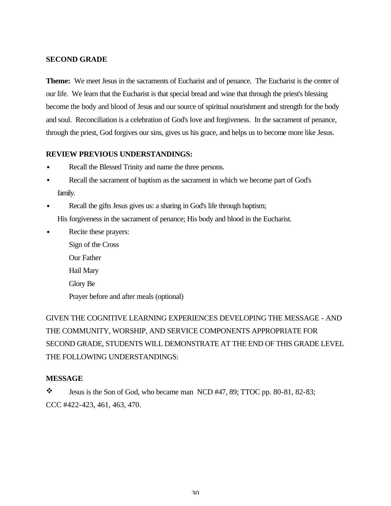## **SECOND GRADE**

**Theme:** We meet Jesus in the sacraments of Eucharist and of penance. The Eucharist is the center of our life. We learn that the Eucharist is that special bread and wine that through the priest's blessing become the body and blood of Jesus and our source of spiritual nourishment and strength for the body and soul. Reconciliation is a celebration of God's love and forgiveness. In the sacrament of penance, through the priest, God forgives our sins, gives us his grace, and helps us to become more like Jesus.

### **REVIEW PREVIOUS UNDERSTANDINGS:**

- Recall the Blessed Trinity and name the three persons.
- Recall the sacrament of baptism as the sacrament in which we become part of God's family.
- Recall the gifts Jesus gives us: a sharing in God's life through baptism;

His forgiveness in the sacrament of penance; His body and blood in the Eucharist.

- Recite these prayers:
	- Sign of the Cross Our Father Hail Mary Glory Be Prayer before and after meals (optional)

GIVEN THE COGNITIVE LEARNING EXPERIENCES DEVELOPING THE MESSAGE - AND THE COMMUNITY, WORSHIP, AND SERVICE COMPONENTS APPROPRIATE FOR SECOND GRADE, STUDENTS WILL DEMONSTRATE AT THE END OF THIS GRADE LEVEL THE FOLLOWING UNDERSTANDINGS:

## **MESSAGE**

 $\ddot{\bullet}$  Jesus is the Son of God, who became man NCD #47, 89; TTOC pp. 80-81, 82-83; CCC #422-423, 461, 463, 470.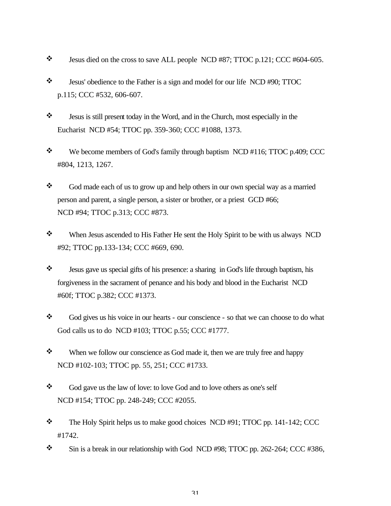- $\ddot{\bullet}$  Jesus died on the cross to save ALL people NCD #87; TTOC p.121; CCC #604-605.
- \* Jesus' obedience to the Father is a sign and model for our life NCD #90; TTOC p.115; CCC #532, 606-607.
- v Jesus is still present today in the Word, and in the Church, most especially in the Eucharist NCD #54; TTOC pp. 359-360; CCC #1088, 1373.
- $\mathbf{\hat{P}}$  We become members of God's family through baptism NCD #116; TTOC p.409; CCC #804, 1213, 1267.
- $\bullet$  God made each of us to grow up and help others in our own special way as a married person and parent, a single person, a sister or brother, or a priest GCD #66; NCD #94; TTOC p.313; CCC #873.
- \* When Jesus ascended to His Father He sent the Holy Spirit to be with us always NCD #92; TTOC pp.133-134; CCC #669, 690.
- v Jesus gave us special gifts of his presence: a sharing in God's life through baptism, his forgiveness in the sacrament of penance and his body and blood in the Eucharist NCD #60f; TTOC p.382; CCC #1373.
- \* God gives us his voice in our hearts our conscience so that we can choose to do what God calls us to do NCD #103; TTOC p.55; CCC #1777.
- $\mathbf{\hat{P}}$  When we follow our conscience as God made it, then we are truly free and happy NCD #102-103; TTOC pp. 55, 251; CCC #1733.
- God gave us the law of love: to love God and to love others as one's self NCD #154; TTOC pp. 248-249; CCC #2055.
- $\text{\textbullet}$  The Holy Spirit helps us to make good choices NCD #91; TTOC pp. 141-142; CCC #1742.
- $\text{\textbullet}$  Sin is a break in our relationship with God NCD #98; TTOC pp. 262-264; CCC #386,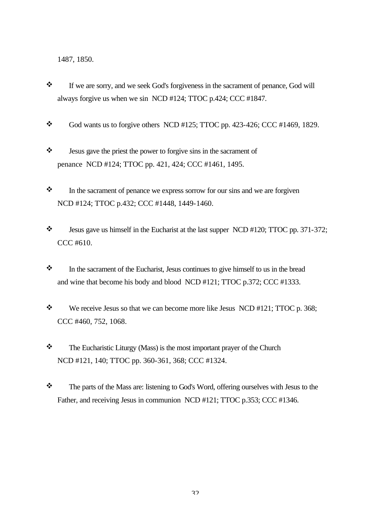1487, 1850.

- \* If we are sorry, and we seek God's forgiveness in the sacrament of penance, God will always forgive us when we sin NCD #124; TTOC p.424; CCC #1847.
- $\bullet$  God wants us to forgive others NCD #125; TTOC pp. 423-426; CCC #1469, 1829.
- $\mathbf{\hat{z}}$  Jesus gave the priest the power to forgive sins in the sacrament of penance NCD #124; TTOC pp. 421, 424; CCC #1461, 1495.
- $\mathbf{\hat{P}}$  In the sacrament of penance we express sorrow for our sins and we are forgiven NCD #124; TTOC p.432; CCC #1448, 1449-1460.
- $\cdot \cdot$  Jesus gave us himself in the Eucharist at the last supper NCD #120; TTOC pp. 371-372; CCC #610.
- $\mathbf{\hat{P}}$  In the sacrament of the Eucharist, Jesus continues to give himself to us in the bread and wine that become his body and blood NCD #121; TTOC p.372; CCC #1333.
- $\mathbf{\hat{P}}$  We receive Jesus so that we can become more like Jesus NCD #121; TTOC p. 368; CCC #460, 752, 1068.
- \* The Eucharistic Liturgy (Mass) is the most important prayer of the Church NCD #121, 140; TTOC pp. 360-361, 368; CCC #1324.
- \* The parts of the Mass are: listening to God's Word, offering ourselves with Jesus to the Father, and receiving Jesus in communion NCD #121; TTOC p.353; CCC #1346.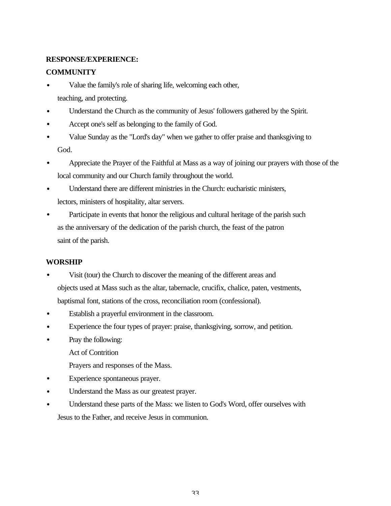## **RESPONSE/EXPERIENCE:**

## **COMMUNITY**

- Value the family's role of sharing life, welcoming each other, teaching, and protecting.
- Understand the Church as the community of Jesus' followers gathered by the Spirit.
- Accept one's self as belonging to the family of God.
- Value Sunday as the "Lord's day" when we gather to offer praise and thanksgiving to God.
- Appreciate the Prayer of the Faithful at Mass as a way of joining our prayers with those of the local community and our Church family throughout the world.
- Understand there are different ministries in the Church: eucharistic ministers, lectors, ministers of hospitality, altar servers.
- Participate in events that honor the religious and cultural heritage of the parish such as the anniversary of the dedication of the parish church, the feast of the patron saint of the parish.

## **WORSHIP**

- Visit (tour) the Church to discover the meaning of the different areas and objects used at Mass such as the altar, tabernacle, crucifix, chalice, paten, vestments, baptismal font, stations of the cross, reconciliation room (confessional).
- Establish a prayerful environment in the classroom.
- Experience the four types of prayer: praise, thanksgiving, sorrow, and petition.
- Pray the following:
	- Act of Contrition
	- Prayers and responses of the Mass.
- Experience spontaneous prayer.
- Understand the Mass as our greatest prayer.
- Understand these parts of the Mass: we listen to God's Word, offer ourselves with Jesus to the Father, and receive Jesus in communion.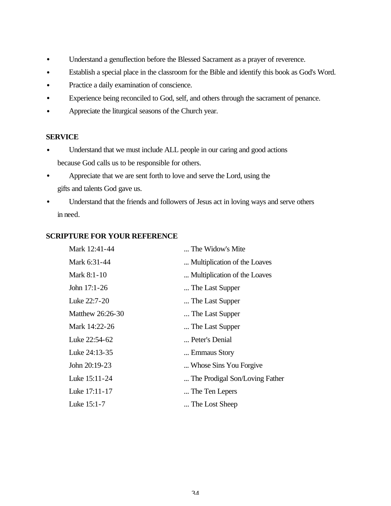- Understand a genuflection before the Blessed Sacrament as a prayer of reverence.
- Establish a special place in the classroom for the Bible and identify this book as God's Word.
- Practice a daily examination of conscience.
- Experience being reconciled to God, self, and others through the sacrament of penance.
- Appreciate the liturgical seasons of the Church year.

### **SERVICE**

- Understand that we must include ALL people in our caring and good actions because God calls us to be responsible for others.
- Appreciate that we are sent forth to love and serve the Lord, using the gifts and talents God gave us.
- Understand that the friends and followers of Jesus act in loving ways and serve others in need.

## **SCRIPTURE FOR YOUR REFERENCE**

| Mark 12:41-44    | The Widow's Mite               |
|------------------|--------------------------------|
| Mark 6:31-44     | Multiplication of the Loaves   |
| Mark 8:1-10      | Multiplication of the Loaves   |
| John 17:1-26     | The Last Supper                |
| Luke 22:7-20     | The Last Supper                |
| Matthew 26:26-30 | The Last Supper                |
| Mark 14:22-26    | The Last Supper                |
| Luke 22:54-62    | Peter's Denial                 |
| Luke 24:13-35    | Emmaus Story                   |
| John 20:19-23    | Whose Sins You Forgive         |
| Luke 15:11-24    | The Prodigal Son/Loving Father |
| Luke 17:11-17    | The Ten Lepers                 |
| Luke 15:1-7      | The Lost Sheep                 |
|                  |                                |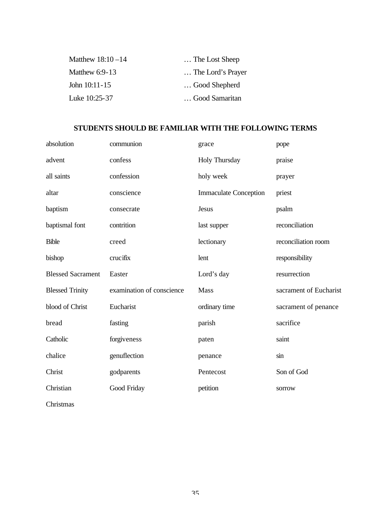| Matthew $18:10-14$ | The Lost Sheep    |
|--------------------|-------------------|
| Matthew $6:9-13$   | The Lord's Prayer |
| John $10:11-15$    | Good Shepherd     |
| Luke 10:25-37      | Good Samaritan    |

# **STUDENTS SHOULD BE FAMILIAR WITH THE FOLLOWING TERMS**

| absolution               | communion                 | grace                        | pope                   |
|--------------------------|---------------------------|------------------------------|------------------------|
| advent                   | confess                   | <b>Holy Thursday</b>         | praise                 |
| all saints               | confession                | holy week                    | prayer                 |
| altar                    | conscience                | <b>Immaculate Conception</b> | priest                 |
| baptism                  | consecrate                | Jesus                        | psalm                  |
| baptismal font           | contrition                | last supper                  | reconciliation         |
| <b>Bible</b>             | creed                     | lectionary                   | reconciliation room    |
| bishop                   | crucifix                  | lent                         | responsibility         |
| <b>Blessed Sacrament</b> | Easter                    | Lord's day                   | resurrection           |
| <b>Blessed Trinity</b>   | examination of conscience | Mass                         | sacrament of Eucharist |
| blood of Christ          | Eucharist                 | ordinary time                | sacrament of penance   |
| bread                    | fasting                   | parish                       | sacrifice              |
| Catholic                 | forgiveness               | paten                        | saint                  |
| chalice                  | genuflection              | penance                      | sin                    |
| Christ                   | godparents                | Pentecost                    | Son of God             |
| Christian                | Good Friday               | petition                     | sorrow                 |
| Christmas                |                           |                              |                        |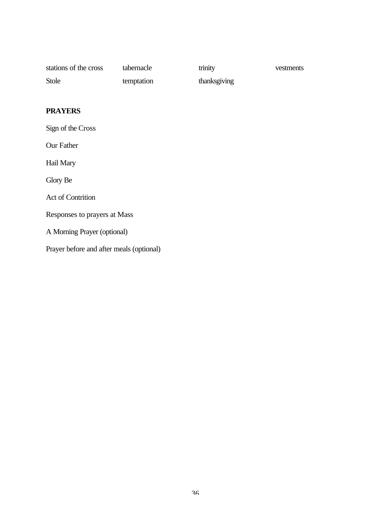| stations of the cross | tabernacle | trinity      | vestments |
|-----------------------|------------|--------------|-----------|
| Stole                 | temptation | thanksgiving |           |

# **PRAYERS**

Sign of the Cross

Our Father

Hail Mary

Glory Be

Act of Contrition

Responses to prayers at Mass

A Morning Prayer (optional)

Prayer before and after meals (optional)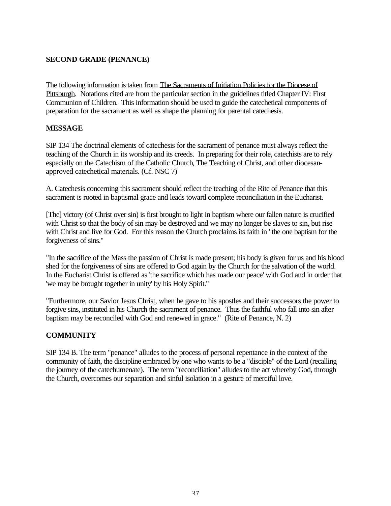### **SECOND GRADE (PENANCE)**

The following information is taken from The Sacraments of Initiation Policies for the Diocese of Pittsburgh. Notations cited are from the particular section in the guidelines titled Chapter IV: First Communion of Children. This information should be used to guide the catechetical components of preparation for the sacrament as well as shape the planning for parental catechesis.

### **MESSAGE**

SIP 134 The doctrinal elements of catechesis for the sacrament of penance must always reflect the teaching of the Church in its worship and its creeds. In preparing for their role, catechists are to rely especially on the Catechism of the Catholic Church, The Teaching of Christ, and other diocesanapproved catechetical materials. (Cf. NSC 7)

A. Catechesis concerning this sacrament should reflect the teaching of the Rite of Penance that this sacrament is rooted in baptismal grace and leads toward complete reconciliation in the Eucharist.

[The] victory (of Christ over sin) is first brought to light in baptism where our fallen nature is crucified with Christ so that the body of sin may be destroyed and we may no longer be slaves to sin, but rise with Christ and live for God. For this reason the Church proclaims its faith in "the one baptism for the forgiveness of sins."

"In the sacrifice of the Mass the passion of Christ is made present; his body is given for us and his blood shed for the forgiveness of sins are offered to God again by the Church for the salvation of the world. In the Eucharist Christ is offered as 'the sacrifice which has made our peace' with God and in order that 'we may be brought together in unity' by his Holy Spirit."

"Furthermore, our Savior Jesus Christ, when he gave to his apostles and their successors the power to forgive sins, instituted in his Church the sacrament of penance. Thus the faithful who fall into sin after baptism may be reconciled with God and renewed in grace." (Rite of Penance, N. 2)

# **COMMUNITY**

SIP 134 B. The term "penance" alludes to the process of personal repentance in the context of the community of faith, the discipline embraced by one who wants to be a "disciple" of the Lord (recalling the journey of the catechumenate). The term "reconciliation" alludes to the act whereby God, through the Church, overcomes our separation and sinful isolation in a gesture of merciful love.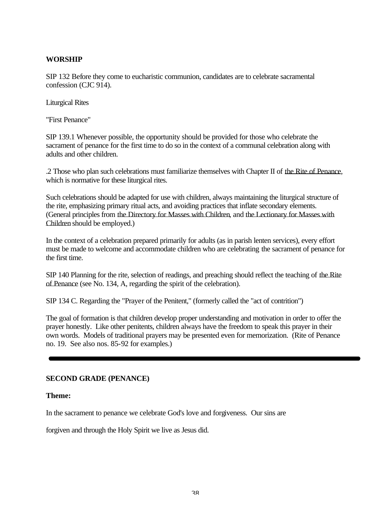### **WORSHIP**

SIP 132 Before they come to eucharistic communion, candidates are to celebrate sacramental confession (CJC 914).

Liturgical Rites

"First Penance"

SIP 139.1 Whenever possible, the opportunity should be provided for those who celebrate the sacrament of penance for the first time to do so in the context of a communal celebration along with adults and other children.

.2 Those who plan such celebrations must familiarize themselves with Chapter II of the Rite of Penance, which is normative for these liturgical rites.

Such celebrations should be adapted for use with children, always maintaining the liturgical structure of the rite, emphasizing primary ritual acts, and avoiding practices that inflate secondary elements. (General principles from the Directory for Masses with Children, and the Lectionary for Masses with Children should be employed.)

In the context of a celebration prepared primarily for adults (as in parish lenten services), every effort must be made to welcome and accommodate children who are celebrating the sacrament of penance for the first time.

SIP 140 Planning for the rite, selection of readings, and preaching should reflect the teaching of the Rite of Penance (see No. 134, A, regarding the spirit of the celebration).

SIP 134 C. Regarding the "Prayer of the Penitent," (formerly called the "act of contrition")

The goal of formation is that children develop proper understanding and motivation in order to offer the prayer honestly. Like other penitents, children always have the freedom to speak this prayer in their own words. Models of traditional prayers may be presented even for memorization. (Rite of Penance no. 19. See also nos. 85-92 for examples.)

### **SECOND GRADE (PENANCE)**

### **Theme:**

In the sacrament to penance we celebrate God's love and forgiveness. Our sins are

forgiven and through the Holy Spirit we live as Jesus did.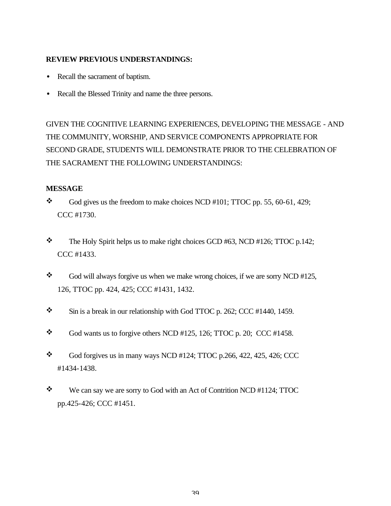### **REVIEW PREVIOUS UNDERSTANDINGS:**

- Recall the sacrament of baptism.
- Recall the Blessed Trinity and name the three persons.

GIVEN THE COGNITIVE LEARNING EXPERIENCES, DEVELOPING THE MESSAGE - AND THE COMMUNITY, WORSHIP, AND SERVICE COMPONENTS APPROPRIATE FOR SECOND GRADE, STUDENTS WILL DEMONSTRATE PRIOR TO THE CELEBRATION OF THE SACRAMENT THE FOLLOWING UNDERSTANDINGS:

### **MESSAGE**

- $\bullet$  God gives us the freedom to make choices NCD #101; TTOC pp. 55, 60-61, 429; CCC #1730.
- $\textcolor{blue}{\bullet}$  The Holy Spirit helps us to make right choices GCD #63, NCD #126; TTOC p.142; CCC #1433.
- $\bullet$  God will always forgive us when we make wrong choices, if we are sorry NCD #125, 126, TTOC pp. 424, 425; CCC #1431, 1432.
- $\text{\textbullet}$  Sin is a break in our relationship with God TTOC p. 262; CCC #1440, 1459.
- $\bullet$  God wants us to forgive others NCD #125, 126; TTOC p. 20; CCC #1458.
- $\bullet$  God forgives us in many ways NCD #124; TTOC p.266, 422, 425, 426; CCC #1434-1438.
- $\mathbf{\hat{P}}$  We can say we are sorry to God with an Act of Contrition NCD #1124; TTOC pp.425-426; CCC #1451.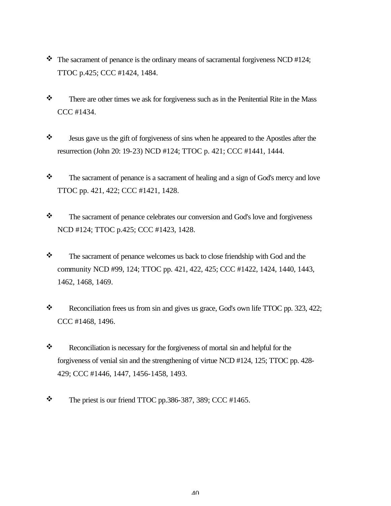- $\cdot \cdot$  The sacrament of penance is the ordinary means of sacramental forgiveness NCD #124; TTOC p.425; CCC #1424, 1484.
- $\mathbf{\hat{P}}$  There are other times we ask for forgiveness such as in the Penitential Rite in the Mass CCC #1434.
- v Jesus gave us the gift of forgiveness of sins when he appeared to the Apostles after the resurrection (John 20: 19-23) NCD #124; TTOC p. 421; CCC #1441, 1444.
- $\mathbf{\hat{P}}$  The sacrament of penance is a sacrament of healing and a sign of God's mercy and love TTOC pp. 421, 422; CCC #1421, 1428.
- \* The sacrament of penance celebrates our conversion and God's love and forgiveness NCD #124; TTOC p.425; CCC #1423, 1428.
- \* The sacrament of penance welcomes us back to close friendship with God and the community NCD #99, 124; TTOC pp. 421, 422, 425; CCC #1422, 1424, 1440, 1443, 1462, 1468, 1469.
- Reconciliation frees us from sin and gives us grace, God's own life TTOC pp. 323, 422; CCC #1468, 1496.
- \* Reconciliation is necessary for the forgiveness of mortal sin and helpful for the forgiveness of venial sin and the strengthening of virtue NCD #124, 125; TTOC pp. 428- 429; CCC #1446, 1447, 1456-1458, 1493.
- $\text{\textbullet}$  The priest is our friend TTOC pp.386-387, 389; CCC #1465.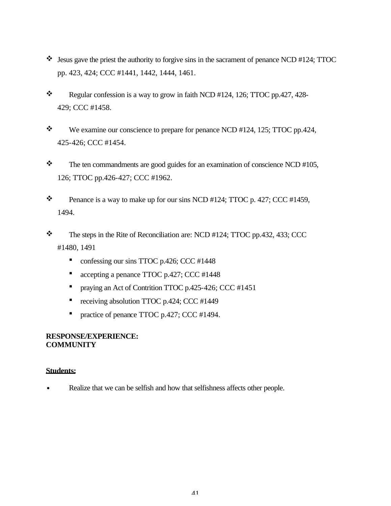- $\cdot$  Jesus gave the priest the authority to forgive sins in the sacrament of penance NCD #124; TTOC pp. 423, 424; CCC #1441, 1442, 1444, 1461.
- Regular confession is a way to grow in faith NCD #124, 126; TTOC pp.427, 428-429; CCC #1458.
- $\ddot{\bullet}$  We examine our conscience to prepare for penance NCD #124, 125; TTOC pp.424, 425-426; CCC #1454.
- $\mathbf{\hat{P}}$  The ten commandments are good guides for an examination of conscience NCD #105, 126; TTOC pp.426-427; CCC #1962.
- $\bullet$  Penance is a way to make up for our sins NCD #124; TTOC p. 427; CCC #1459, 1494.
- $\div$  The steps in the Rite of Reconciliation are: NCD #124; TTOC pp.432, 433; CCC #1480, 1491
	- confessing our sins TTOC p.426; CCC #1448
	- accepting a penance TTOC p.427; CCC #1448
	- **•** praying an Act of Contrition TTOC p.425-426; CCC #1451
	- receiving absolution TTOC p.424; CCC #1449
	- practice of penance TTOC p.427; CCC #1494.

### **RESPONSE/EXPERIENCE: COMMUNITY**

### **Students:**

Realize that we can be selfish and how that selfishness affects other people.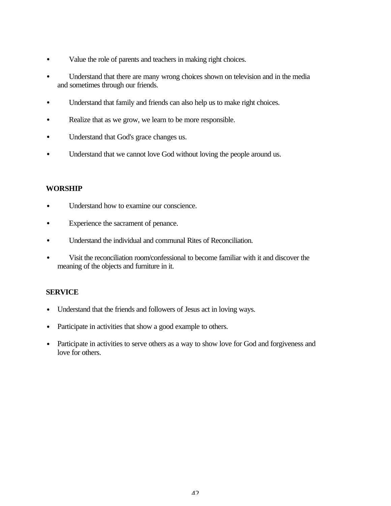- Value the role of parents and teachers in making right choices.
- Understand that there are many wrong choices shown on television and in the media and sometimes through our friends.
- Understand that family and friends can also help us to make right choices.
- Realize that as we grow, we learn to be more responsible.
- Understand that God's grace changes us.
- Understand that we cannot love God without loving the people around us.

### **WORSHIP**

- Understand how to examine our conscience.
- Experience the sacrament of penance.
- Understand the individual and communal Rites of Reconciliation.
- Visit the reconciliation room/confessional to become familiar with it and discover the meaning of the objects and furniture in it.

### **SERVICE**

- Understand that the friends and followers of Jesus act in loving ways.
- Participate in activities that show a good example to others.
- Participate in activities to serve others as a way to show love for God and forgiveness and love for others.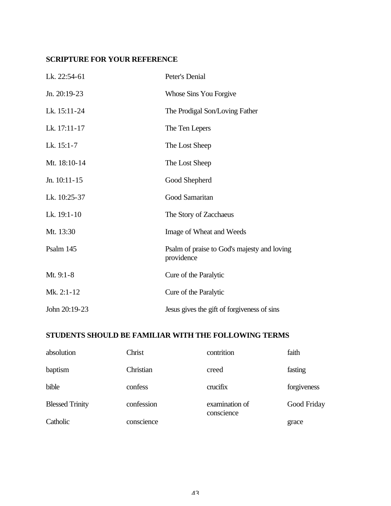# **SCRIPTURE FOR YOUR REFERENCE**

| Lk. 22:54-61   | Peter's Denial                                            |
|----------------|-----------------------------------------------------------|
| Jn. 20:19-23   | Whose Sins You Forgive                                    |
| Lk. 15:11-24   | The Prodigal Son/Loving Father                            |
| Lk. 17:11-17   | The Ten Lepers                                            |
| Lk. $15:1-7$   | The Lost Sheep                                            |
| Mt. 18:10-14   | The Lost Sheep                                            |
| Jn. $10:11-15$ | Good Shepherd                                             |
| Lk. 10:25-37   | Good Samaritan                                            |
| Lk. 19:1-10    | The Story of Zacchaeus                                    |
| Mt. 13:30      | Image of Wheat and Weeds                                  |
| Psalm 145      | Psalm of praise to God's majesty and loving<br>providence |
| Mt. 9:1-8      | Cure of the Paralytic                                     |
| Mk. 2:1-12     | Cure of the Paralytic                                     |
| John 20:19-23  | Jesus gives the gift of forgiveness of sins               |

# **STUDENTS SHOULD BE FAMILIAR WITH THE FOLLOWING TERMS**

| absolution             | Christ     | contrition                   | faith       |
|------------------------|------------|------------------------------|-------------|
| baptism                | Christian  | creed                        | fasting     |
| bible                  | confess    | crucifix                     | forgiveness |
| <b>Blessed Trinity</b> | confession | examination of<br>conscience | Good Friday |
| Catholic               | conscience |                              | grace       |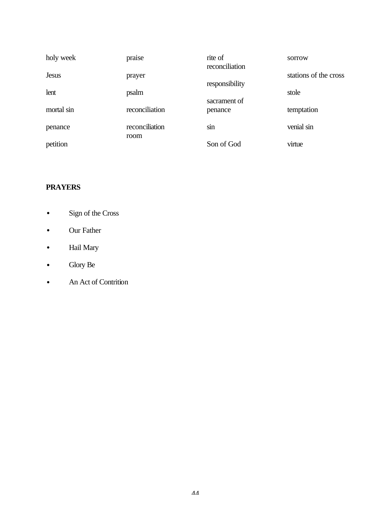| holy week    | praise                 | rite of<br>reconciliation | sorrow                |
|--------------|------------------------|---------------------------|-----------------------|
| <b>Jesus</b> | prayer                 | responsibility            | stations of the cross |
| lent         | psalm                  |                           | stole                 |
| mortal sin   | reconciliation         | sacrament of<br>penance   | temptation            |
| penance      | reconciliation<br>room | sin                       | venial sin            |
| petition     |                        | Son of God                | virtue                |

# **PRAYERS**

- Sign of the Cross
- Our Father
- Hail Mary
- Glory Be
- An Act of Contrition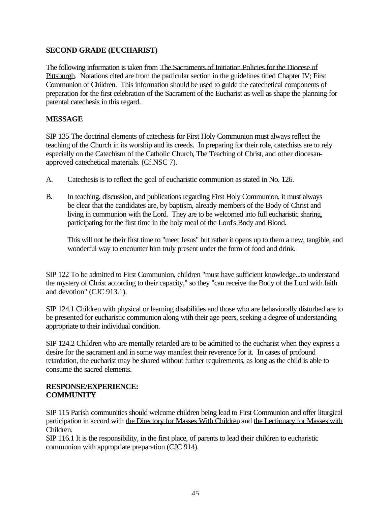### **SECOND GRADE (EUCHARIST)**

The following information is taken from The Sacraments of Initiation Policies for the Diocese of Pittsburgh. Notations cited are from the particular section in the guidelines titled Chapter IV; First Communion of Children. This information should be used to guide the catechetical components of preparation for the first celebration of the Sacrament of the Eucharist as well as shape the planning for parental catechesis in this regard.

### **MESSAGE**

SIP 135 The doctrinal elements of catechesis for First Holy Communion must always reflect the teaching of the Church in its worship and its creeds. In preparing for their role, catechists are to rely especially on the Catechism of the Catholic Church, The Teaching of Christ, and other diocesanapproved catechetical materials. (Cf.NSC 7).

- A. Catechesis is to reflect the goal of eucharistic communion as stated in No. 126.
- B. In teaching, discussion, and publications regarding First Holy Communion, it must always be clear that the candidates are, by baptism, already members of the Body of Christ and living in communion with the Lord. They are to be welcomed into full eucharistic sharing, participating for the first time in the holy meal of the Lord's Body and Blood.

This will not be their first time to "meet Jesus" but rather it opens up to them a new, tangible, and wonderful way to encounter him truly present under the form of food and drink.

SIP 122 To be admitted to First Communion, children "must have sufficient knowledge...to understand the mystery of Christ according to their capacity," so they "can receive the Body of the Lord with faith and devotion" (CJC 913.1).

SIP 124.1 Children with physical or learning disabilities and those who are behaviorally disturbed are to be presented for eucharistic communion along with their age peers, seeking a degree of understanding appropriate to their individual condition.

SIP 124.2 Children who are mentally retarded are to be admitted to the eucharist when they express a desire for the sacrament and in some way manifest their reverence for it. In cases of profound retardation, the eucharist may be shared without further requirements, as long as the child is able to consume the sacred elements.

### **RESPONSE/EXPERIENCE: COMMUNITY**

SIP 115 Parish communities should welcome children being lead to First Communion and offer liturgical participation in accord with the Directory for Masses With Children and the Lectionary for Masses with Children.

SIP 116.1 It is the responsibility, in the first place, of parents to lead their children to eucharistic communion with appropriate preparation (CJC 914).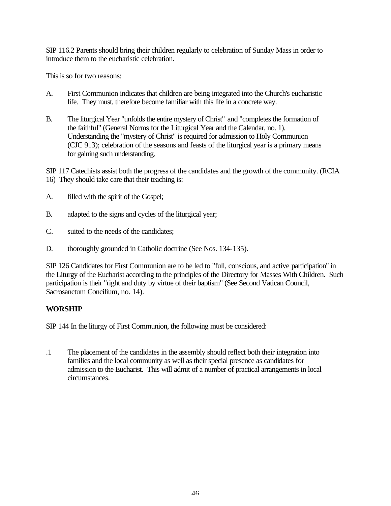SIP 116.2 Parents should bring their children regularly to celebration of Sunday Mass in order to introduce them to the eucharistic celebration.

This is so for two reasons:

- A. First Communion indicates that children are being integrated into the Church's eucharistic life. They must, therefore become familiar with this life in a concrete way.
- B. The liturgical Year "unfolds the entire mystery of Christ" and "completes the formation of the faithful" (General Norms for the Liturgical Year and the Calendar, no. 1). Understanding the "mystery of Christ" is required for admission to Holy Communion (CJC 913); celebration of the seasons and feasts of the liturgical year is a primary means for gaining such understanding.

SIP 117 Catechists assist both the progress of the candidates and the growth of the community. (RCIA 16) They should take care that their teaching is:

- A. filled with the spirit of the Gospel;
- B. adapted to the signs and cycles of the liturgical year;
- C. suited to the needs of the candidates;
- D. thoroughly grounded in Catholic doctrine (See Nos. 134-135).

SIP 126 Candidates for First Communion are to be led to "full, conscious, and active participation" in the Liturgy of the Eucharist according to the principles of the Directory for Masses With Children. Such participation is their "right and duty by virtue of their baptism" (See Second Vatican Council, Sacrosanctum Concilium, no. 14).

# **WORSHIP**

SIP 144 In the liturgy of First Communion, the following must be considered:

.1 The placement of the candidates in the assembly should reflect both their integration into families and the local community as well as their special presence as candidates for admission to the Eucharist. This will admit of a number of practical arrangements in local circumstances.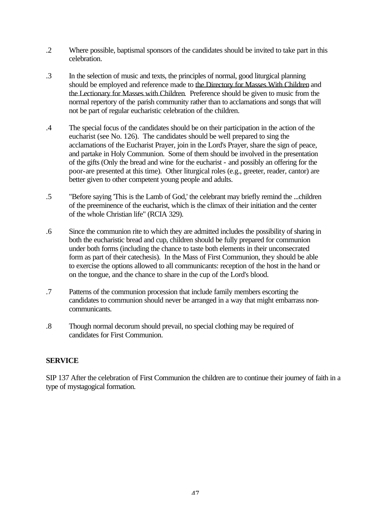- .2 Where possible, baptismal sponsors of the candidates should be invited to take part in this celebration.
- .3 In the selection of music and texts, the principles of normal, good liturgical planning should be employed and reference made to the Directory for Masses With Children and the Lectionary for Masses with Children. Preference should be given to music from the normal repertory of the parish community rather than to acclamations and songs that will not be part of regular eucharistic celebration of the children.
- .4 The special focus of the candidates should be on their participation in the action of the eucharist (see No. 126). The candidates should be well prepared to sing the acclamations of the Eucharist Prayer, join in the Lord's Prayer, share the sign of peace, and partake in Holy Communion. Some of them should be involved in the presentation of the gifts (Only the bread and wine for the eucharist - and possibly an offering for the poor-are presented at this time). Other liturgical roles (e.g., greeter, reader, cantor) are better given to other competent young people and adults.
- .5 "Before saying 'This is the Lamb of God,' the celebrant may briefly remind the ...children of the preeminence of the eucharist, which is the climax of their initiation and the center of the whole Christian life" (RCIA 329).
- .6 Since the communion rite to which they are admitted includes the possibility of sharing in both the eucharistic bread and cup, children should be fully prepared for communion under both forms (including the chance to taste both elements in their unconsecrated form as part of their catechesis). In the Mass of First Communion, they should be able to exercise the options allowed to all communicants: reception of the host in the hand or on the tongue, and the chance to share in the cup of the Lord's blood.
- .7 Patterns of the communion procession that include family members escorting the candidates to communion should never be arranged in a way that might embarrass noncommunicants.
- .8 Though normal decorum should prevail, no special clothing may be required of candidates for First Communion.

# **SERVICE**

SIP 137 After the celebration of First Communion the children are to continue their journey of faith in a type of mystagogical formation.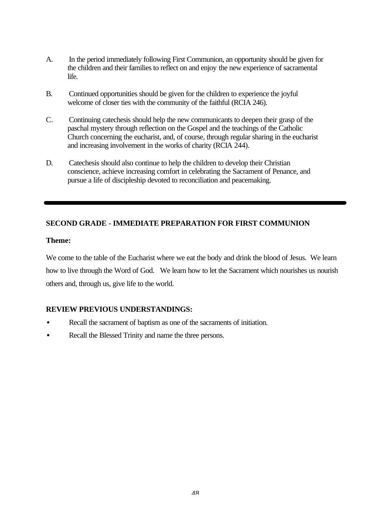- A. In the period immediately following First Communion, an opportunity should be given for the children and their families to reflect on and enjoy the new experience of sacramental life.
- B. Continued opportunities should be given for the children to experience the joyful welcome of closer ties with the community of the faithful (RCIA 246).
- C. Continuing catechesis should help the new communicants to deepen their grasp of the paschal mystery through reflection on the Gospel and the teachings of the Catholic Church concerning the eucharist, and, of course, through regular sharing in the eucharist and increasing involvement in the works of charity (RCIA 244).
- D. Catechesis should also continue to help the children to develop their Christian conscience, achieve increasing comfort in celebrating the Sacrament of Penance, and pursue a life of discipleship devoted to reconciliation and peacemaking.

### **SECOND GRADE - IMMEDIATE PREPARATION FOR FIRST COMMUNION**

#### **Theme:**

We come to the table of the Eucharist where we eat the body and drink the blood of Jesus. We learn how to live through the Word of God. We learn how to let the Sacrament which nourishes us nourish others and, through us, give life to the world.

### **REVIEW PREVIOUS UNDERSTANDINGS:**

- Recall the sacrament of baptism as one of the sacraments of initiation.
- Recall the Blessed Trinity and name the three persons.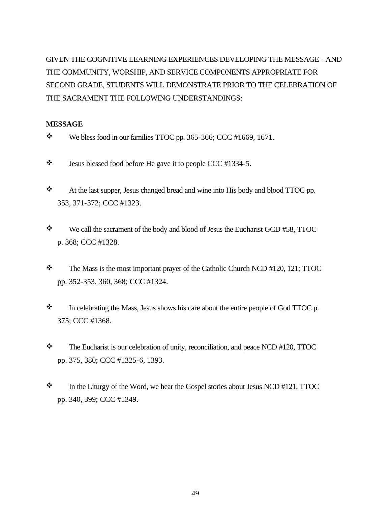GIVEN THE COGNITIVE LEARNING EXPERIENCES DEVELOPING THE MESSAGE - AND THE COMMUNITY, WORSHIP, AND SERVICE COMPONENTS APPROPRIATE FOR SECOND GRADE, STUDENTS WILL DEMONSTRATE PRIOR TO THE CELEBRATION OF THE SACRAMENT THE FOLLOWING UNDERSTANDINGS:

# **MESSAGE**

- $\ddot{\bullet}$  We bless food in our families TTOC pp. 365-366; CCC #1669, 1671.
- $\ddot{\bullet}$  Jesus blessed food before He gave it to people CCC #1334-5.
- $\cdot$  At the last supper, Jesus changed bread and wine into His body and blood TTOC pp. 353, 371-372; CCC #1323.
- $\mathbf{\hat{P}}$  We call the sacrament of the body and blood of Jesus the Eucharist GCD #58, TTOC p. 368; CCC #1328.
- \* The Mass is the most important prayer of the Catholic Church NCD #120, 121; TTOC pp. 352-353, 360, 368; CCC #1324.
- $\bullet$  In celebrating the Mass, Jesus shows his care about the entire people of God TTOC p. 375; CCC #1368.
- $\mathbf{\hat{P}}$  The Eucharist is our celebration of unity, reconciliation, and peace NCD #120, TTOC pp. 375, 380; CCC #1325-6, 1393.
- $\mathbf{\hat{P}}$  In the Liturgy of the Word, we hear the Gospel stories about Jesus NCD #121, TTOC pp. 340, 399; CCC #1349.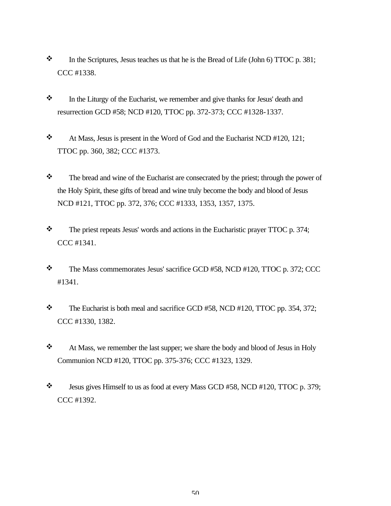- $\cdot$  In the Scriptures, Jesus teaches us that he is the Bread of Life (John 6) TTOC p. 381; CCC #1338.
- $\mathbf{\hat{z}}$  In the Liturgy of the Eucharist, we remember and give thanks for Jesus' death and resurrection GCD #58; NCD #120, TTOC pp. 372-373; CCC #1328-1337.
- $\cdot \cdot$  At Mass, Jesus is present in the Word of God and the Eucharist NCD #120, 121; TTOC pp. 360, 382; CCC #1373.
- \* The bread and wine of the Eucharist are consecrated by the priest; through the power of the Holy Spirit, these gifts of bread and wine truly become the body and blood of Jesus NCD #121, TTOC pp. 372, 376; CCC #1333, 1353, 1357, 1375.
- $\cdot \cdot$  The priest repeats Jesus' words and actions in the Eucharistic prayer TTOC p. 374; CCC #1341.
- \* The Mass commemorates Jesus' sacrifice GCD #58, NCD #120, TTOC p. 372; CCC #1341.
- $\bullet$  The Eucharist is both meal and sacrifice GCD #58, NCD #120, TTOC pp. 354, 372; CCC #1330, 1382.
- $\triangleleft$  At Mass, we remember the last supper; we share the body and blood of Jesus in Holy Communion NCD #120, TTOC pp. 375-376; CCC #1323, 1329.
- $\mathbf{\hat{P}}$  Jesus gives Himself to us as food at every Mass GCD #58, NCD #120, TTOC p. 379; CCC #1392.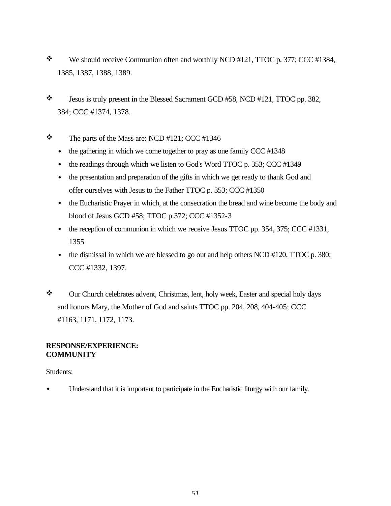- $\mathbf{\hat{P}}$  We should receive Communion often and worthily NCD #121, TTOC p. 377; CCC #1384, 1385, 1387, 1388, 1389.
- $\ddot{\bullet}$  Jesus is truly present in the Blessed Sacrament GCD #58, NCD #121, TTOC pp. 382, 384; CCC #1374, 1378.

# $\div$  The parts of the Mass are: NCD #121; CCC #1346

- $\bullet$  the gathering in which we come together to pray as one family CCC #1348
- the readings through which we listen to God's Word TTOC p. 353; CCC #1349
- the presentation and preparation of the gifts in which we get ready to thank God and offer ourselves with Jesus to the Father TTOC p. 353; CCC #1350
- the Eucharistic Prayer in which, at the consecration the bread and wine become the body and blood of Jesus GCD #58; TTOC p.372; CCC #1352-3
- the reception of communion in which we receive Jesus TTOC pp. 354, 375; CCC #1331, 1355
- the dismissal in which we are blessed to go out and help others NCD #120, TTOC p. 380; CCC #1332, 1397.
- \* Our Church celebrates advent, Christmas, lent, holy week, Easter and special holy days and honors Mary, the Mother of God and saints TTOC pp. 204, 208, 404-405; CCC #1163, 1171, 1172, 1173.

#### **RESPONSE/EXPERIENCE: COMMUNITY**

### Students:

• Understand that it is important to participate in the Eucharistic liturgy with our family.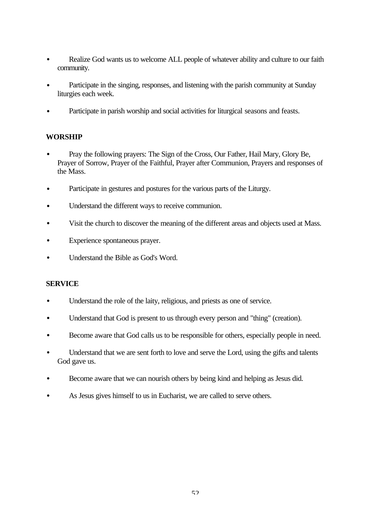- Realize God wants us to welcome ALL people of whatever ability and culture to our faith community.
- Participate in the singing, responses, and listening with the parish community at Sunday liturgies each week.
- Participate in parish worship and social activities for liturgical seasons and feasts.

### **WORSHIP**

- Pray the following prayers: The Sign of the Cross, Our Father, Hail Mary, Glory Be, Prayer of Sorrow, Prayer of the Faithful, Prayer after Communion, Prayers and responses of the Mass.
- Participate in gestures and postures for the various parts of the Liturgy.
- Understand the different ways to receive communion.
- Visit the church to discover the meaning of the different areas and objects used at Mass.
- Experience spontaneous prayer.
- Understand the Bible as God's Word.

### **SERVICE**

- Understand the role of the laity, religious, and priests as one of service.
- Understand that God is present to us through every person and "thing" (creation).
- Become aware that God calls us to be responsible for others, especially people in need.
- Understand that we are sent forth to love and serve the Lord, using the gifts and talents God gave us.
- Become aware that we can nourish others by being kind and helping as Jesus did.
- As Jesus gives himself to us in Eucharist, we are called to serve others.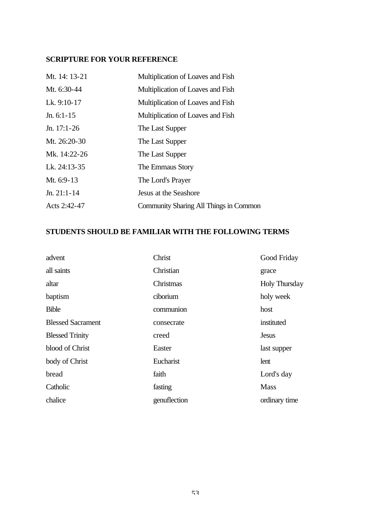# **SCRIPTURE FOR YOUR REFERENCE**

| Mt. 14: 13-21 | Multiplication of Loaves and Fish      |
|---------------|----------------------------------------|
| Mt. 6:30-44   | Multiplication of Loaves and Fish      |
| Lk. 9:10-17   | Multiplication of Loaves and Fish      |
| Jn. $6:1-15$  | Multiplication of Loaves and Fish      |
| Jn. $17:1-26$ | The Last Supper                        |
| Mt. 26:20-30  | The Last Supper                        |
| Mk. 14:22-26  | The Last Supper                        |
| Lk. 24:13-35  | The Emmaus Story                       |
| Mt. 6:9-13    | The Lord's Prayer                      |
| $Jn. 21:1-14$ | Jesus at the Seashore                  |
| Acts 2:42-47  | Community Sharing All Things in Common |

# **STUDENTS SHOULD BE FAMILIAR WITH THE FOLLOWING TERMS**

| advent                   | Christ       | Good Friday          |
|--------------------------|--------------|----------------------|
| all saints               | Christian    | grace                |
| altar                    | Christmas    | <b>Holy Thursday</b> |
| baptism                  | ciborium     | holy week            |
| <b>Bible</b>             | communion    | host                 |
| <b>Blessed Sacrament</b> | consecrate   | instituted           |
| <b>Blessed Trinity</b>   | creed        | <b>Jesus</b>         |
| blood of Christ          | Easter       | last supper          |
| body of Christ           | Eucharist    | lent                 |
| bread                    | faith        | Lord's day           |
| Catholic                 | fasting      | <b>Mass</b>          |
| chalice                  | genuflection | ordinary time        |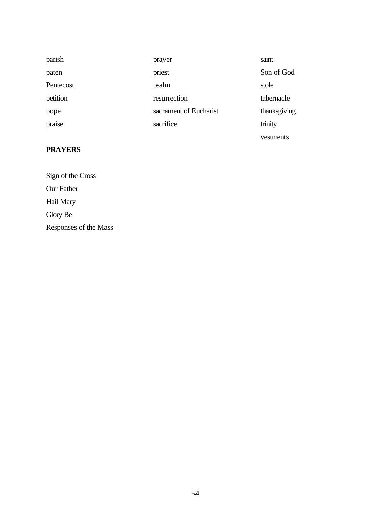| parish    | prayer                 | saint        |
|-----------|------------------------|--------------|
| paten     | priest                 | Son of God   |
| Pentecost | psalm                  | stole        |
| petition  | resurrection           | tabernacle   |
| pope      | sacrament of Eucharist | thanksgiving |
| praise    | sacrifice              | trinity      |
|           |                        | vestments    |

# **PRAYERS**

Sign of the Cross Our Father Hail Mary Glory Be Responses of the Mass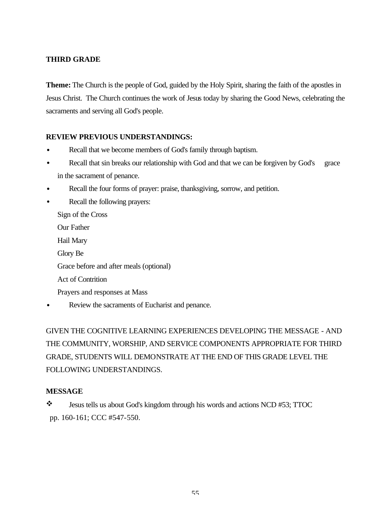# **THIRD GRADE**

**Theme:** The Church is the people of God, guided by the Holy Spirit, sharing the faith of the apostles in Jesus Christ. The Church continues the work of Jesus today by sharing the Good News, celebrating the sacraments and serving all God's people.

# **REVIEW PREVIOUS UNDERSTANDINGS:**

- Recall that we become members of God's family through baptism.
- Recall that sin breaks our relationship with God and that we can be forgiven by God's grace in the sacrament of penance.
- Recall the four forms of prayer: praise, thanksgiving, sorrow, and petition.
- Recall the following prayers: Sign of the Cross Our Father Hail Mary Glory Be Grace before and after meals (optional) Act of Contrition Prayers and responses at Mass Review the sacraments of Eucharist and penance.

GIVEN THE COGNITIVE LEARNING EXPERIENCES DEVELOPING THE MESSAGE - AND THE COMMUNITY, WORSHIP, AND SERVICE COMPONENTS APPROPRIATE FOR THIRD GRADE, STUDENTS WILL DEMONSTRATE AT THE END OF THIS GRADE LEVEL THE FOLLOWING UNDERSTANDINGS.

### **MESSAGE**

\* Jesus tells us about God's kingdom through his words and actions NCD #53; TTOC pp. 160-161; CCC #547-550.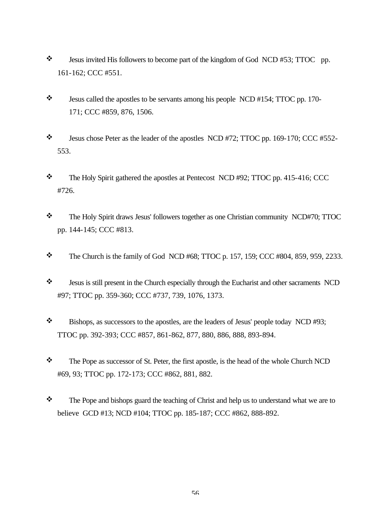- $\bullet$  Jesus invited His followers to become part of the kingdom of God NCD #53; TTOC pp. 161-162; CCC #551.
- $\ddot{\bullet}$  Jesus called the apostles to be servants among his people NCD #154; TTOC pp. 170-171; CCC #859, 876, 1506.
- $\ddot{\bullet}$  Jesus chose Peter as the leader of the apostles NCD #72; TTOC pp. 169-170; CCC #552-553.
- \* The Holy Spirit gathered the apostles at Pentecost NCD #92; TTOC pp. 415-416; CCC #726.
- \* The Holy Spirit draws Jesus' followers together as one Christian community NCD#70; TTOC pp. 144-145; CCC #813.
- $\bullet$  The Church is the family of God NCD #68; TTOC p. 157, 159; CCC #804, 859, 959, 2233.
- \* Jesus is still present in the Church especially through the Eucharist and other sacraments NCD #97; TTOC pp. 359-360; CCC #737, 739, 1076, 1373.
- \* Bishops, as successors to the apostles, are the leaders of Jesus' people today NCD #93; TTOC pp. 392-393; CCC #857, 861-862, 877, 880, 886, 888, 893-894.
- \* The Pope as successor of St. Peter, the first apostle, is the head of the whole Church NCD #69, 93; TTOC pp. 172-173; CCC #862, 881, 882.
- $\mathbf{\hat{P}}$  The Pope and bishops guard the teaching of Christ and help us to understand what we are to believe GCD #13; NCD #104; TTOC pp. 185-187; CCC #862, 888-892.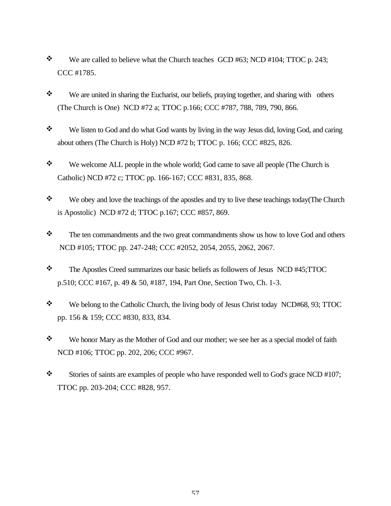- $\mathbf{\hat{P}}$  We are called to believe what the Church teaches GCD #63; NCD #104; TTOC p. 243; CCC #1785.
- We are united in sharing the Eucharist, our beliefs, praying together, and sharing with others (The Church is One) NCD #72 a; TTOC p.166; CCC #787, 788, 789, 790, 866.
- \* We listen to God and do what God wants by living in the way Jesus did, loving God, and caring about others (The Church is Holy) NCD #72 b; TTOC p. 166; CCC #825, 826.
- We welcome ALL people in the whole world; God came to save all people (The Church is Catholic) NCD #72 c; TTOC pp. 166-167; CCC #831, 835, 868.
- $\mathbf{\hat{P}}$  We obey and love the teachings of the apostles and try to live these teachings today(The Church is Apostolic) NCD #72 d; TTOC p.167; CCC #857, 869.
- \* The ten commandments and the two great commandments show us how to love God and others NCD #105; TTOC pp. 247-248; CCC #2052, 2054, 2055, 2062, 2067.
- \* The Apostles Creed summarizes our basic beliefs as followers of Jesus NCD #45;TTOC p.510; CCC #167, p. 49 & 50, #187, 194, Part One, Section Two, Ch. 1-3.
- \* We belong to the Catholic Church, the living body of Jesus Christ today NCD#68, 93; TTOC pp. 156 & 159; CCC #830, 833, 834.
- \* We honor Mary as the Mother of God and our mother; we see her as a special model of faith NCD #106; TTOC pp. 202, 206; CCC #967.
- $\cdot \cdot$  Stories of saints are examples of people who have responded well to God's grace NCD #107; TTOC pp. 203-204; CCC #828, 957.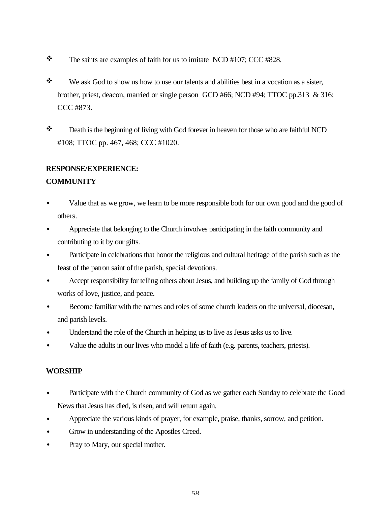- $\bullet$  The saints are examples of faith for us to imitate NCD #107; CCC #828.
- $\mathbf{\hat{P}}$  We ask God to show us how to use our talents and abilities best in a vocation as a sister, brother, priest, deacon, married or single person GCD #66; NCD #94; TTOC pp.313 & 316; CCC #873.
- \* Death is the beginning of living with God forever in heaven for those who are faithful NCD #108; TTOC pp. 467, 468; CCC #1020.

# **RESPONSE/EXPERIENCE:**

# **COMMUNITY**

- Value that as we grow, we learn to be more responsible both for our own good and the good of others.
- Appreciate that belonging to the Church involves participating in the faith community and contributing to it by our gifts.
- Participate in celebrations that honor the religious and cultural heritage of the parish such as the feast of the patron saint of the parish, special devotions.
- Accept responsibility for telling others about Jesus, and building up the family of God through works of love, justice, and peace.
- Become familiar with the names and roles of some church leaders on the universal, diocesan, and parish levels.
- Understand the role of the Church in helping us to live as Jesus asks us to live.
- Value the adults in our lives who model a life of faith (e.g. parents, teachers, priests).

# **WORSHIP**

- Participate with the Church community of God as we gather each Sunday to celebrate the Good News that Jesus has died, is risen, and will return again.
- Appreciate the various kinds of prayer, for example, praise, thanks, sorrow, and petition.
- Grow in understanding of the Apostles Creed.
- Pray to Mary, our special mother.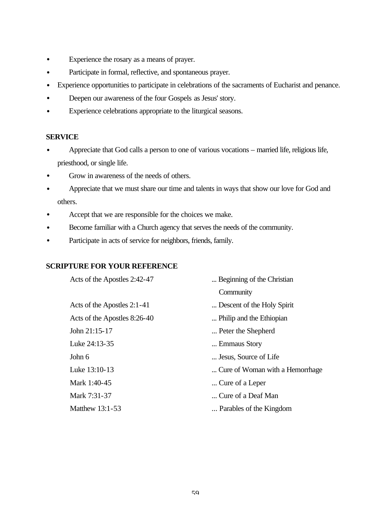- Experience the rosary as a means of prayer.
- Participate in formal, reflective, and spontaneous prayer.
- Experience opportunities to participate in celebrations of the sacraments of Eucharist and penance.
- Deepen our awareness of the four Gospels as Jesus' story.
- Experience celebrations appropriate to the liturgical seasons.

#### **SERVICE**

- Appreciate that God calls a person to one of various vocations married life, religious life, priesthood, or single life.
- Grow in awareness of the needs of others.
- Appreciate that we must share our time and talents in ways that show our love for God and others.
- Accept that we are responsible for the choices we make.
- Become familiar with a Church agency that serves the needs of the community.
- Participate in acts of service for neighbors, friends, family.

### **SCRIPTURE FOR YOUR REFERENCE**

| Acts of the Apostles 2:42-47 | Beginning of the Christian       |
|------------------------------|----------------------------------|
|                              | Community                        |
| Acts of the Apostles 2:1-41  | Descent of the Holy Spirit       |
| Acts of the Apostles 8:26-40 | Philip and the Ethiopian         |
| John 21:15-17                | Peter the Shepherd               |
| Luke 24:13-35                | Emmaus Story                     |
| John 6                       | Jesus, Source of Life            |
| Luke 13:10-13                | Cure of Woman with a Hemorrhage. |
| Mark 1:40-45                 | Cure of a Leper                  |
| Mark 7:31-37                 | Cure of a Deaf Man               |
| Matthew $13:1-53$            | Parables of the Kingdom          |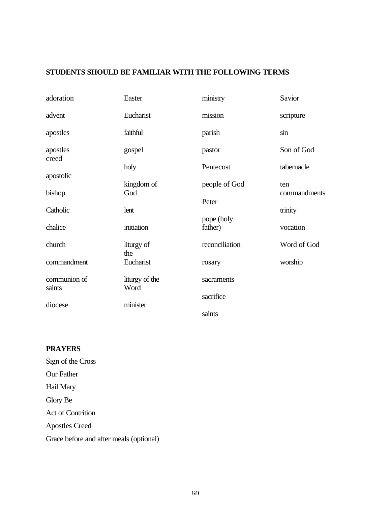# **STUDENTS SHOULD BE FAMILIAR WITH THE FOLLOWING TERMS**

| adoration              | Easter                 | ministry               | Savior              |
|------------------------|------------------------|------------------------|---------------------|
| advent                 | Eucharist              | mission                | scripture           |
| apostles               | faithful               | parish                 | sin                 |
| apostles<br>creed      | gospel                 | pastor                 | Son of God          |
| apostolic              | holy                   | Pentecost              | tabernacle          |
| bishop                 | kingdom of<br>God      | people of God<br>Peter | ten<br>commandments |
| Catholic               | lent                   |                        | trinity             |
| chalice                | initiation             | pope (holy<br>father)  | vocation            |
| church                 | liturgy of<br>the      | reconciliation         | Word of God         |
| commandment            | Eucharist              | rosary                 | worship             |
| communion of<br>saints | liturgy of the<br>Word | sacraments             |                     |
| diocese                | minister               | sacrifice              |                     |
|                        |                        | saints                 |                     |

# **PRAYERS**

Sign of the Cross Our Father Hail Mary Glory Be Act of Contrition Apostles Creed Grace before and after meals (optional)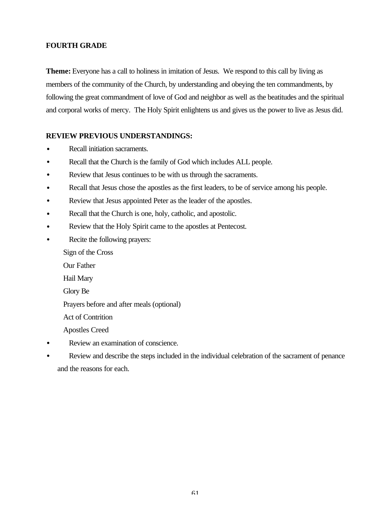### **FOURTH GRADE**

**Theme:** Everyone has a call to holiness in imitation of Jesus. We respond to this call by living as members of the community of the Church, by understanding and obeying the ten commandments, by following the great commandment of love of God and neighbor as well as the beatitudes and the spiritual and corporal works of mercy. The Holy Spirit enlightens us and gives us the power to live as Jesus did.

### **REVIEW PREVIOUS UNDERSTANDINGS:**

- Recall initiation sacraments.
- Recall that the Church is the family of God which includes ALL people.
- Review that Jesus continues to be with us through the sacraments.
- Recall that Jesus chose the apostles as the first leaders, to be of service among his people.
- Review that Jesus appointed Peter as the leader of the apostles.
- Recall that the Church is one, holy, catholic, and apostolic.
- Review that the Holy Spirit came to the apostles at Pentecost.
- Recite the following prayers:

Sign of the Cross

- Our Father
- Hail Mary

Glory Be

Prayers before and after meals (optional)

Act of Contrition

Apostles Creed

- Review an examination of conscience.
- Review and describe the steps included in the individual celebration of the sacrament of penance and the reasons for each.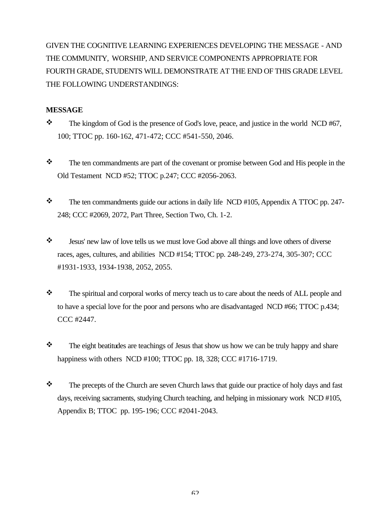GIVEN THE COGNITIVE LEARNING EXPERIENCES DEVELOPING THE MESSAGE - AND THE COMMUNITY, WORSHIP, AND SERVICE COMPONENTS APPROPRIATE FOR FOURTH GRADE, STUDENTS WILL DEMONSTRATE AT THE END OF THIS GRADE LEVEL THE FOLLOWING UNDERSTANDINGS:

#### **MESSAGE**

- $\cdot$  The kingdom of God is the presence of God's love, peace, and justice in the world NCD #67, 100; TTOC pp. 160-162, 471-472; CCC #541-550, 2046.
- $\mathbf{\hat{P}}$  The ten commandments are part of the covenant or promise between God and His people in the Old Testament NCD #52; TTOC p.247; CCC #2056-2063.
- \* The ten commandments guide our actions in daily life NCD #105, Appendix A TTOC pp. 247-248; CCC #2069, 2072, Part Three, Section Two, Ch. 1-2.
- \* Jesus' new law of love tells us we must love God above all things and love others of diverse races, ages, cultures, and abilities NCD #154; TTOC pp. 248-249, 273-274, 305-307; CCC #1931-1933, 1934-1938, 2052, 2055.
- \* The spiritual and corporal works of mercy teach us to care about the needs of ALL people and to have a special love for the poor and persons who are disadvantaged NCD #66; TTOC p.434; CCC #2447.
- $\mathbf{\hat{P}}$  The eight beatitudes are teachings of Jesus that show us how we can be truly happy and share happiness with others NCD #100; TTOC pp. 18, 328; CCC #1716-1719.
- $\mathbf{\hat{P}}$  The precepts of the Church are seven Church laws that guide our practice of holy days and fast days, receiving sacraments, studying Church teaching, and helping in missionary work NCD #105, Appendix B; TTOC pp. 195-196; CCC #2041-2043.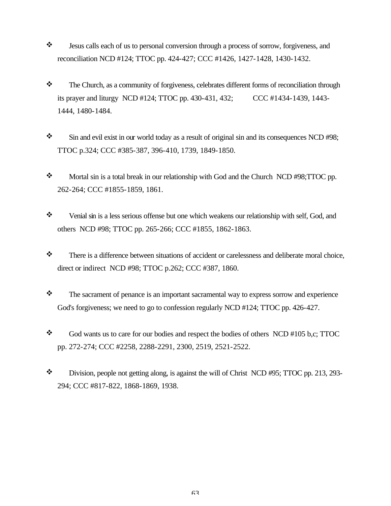- \* Jesus calls each of us to personal conversion through a process of sorrow, forgiveness, and reconciliation NCD #124; TTOC pp. 424-427; CCC #1426, 1427-1428, 1430-1432.
- \* The Church, as a community of forgiveness, celebrates different forms of reconciliation through its prayer and liturgy NCD #124; TTOC pp. 430-431, 432; CCC #1434-1439, 1443- 1444, 1480-1484.
- $\cdot$  Sin and evil exist in our world today as a result of original sin and its consequences NCD #98; TTOC p.324; CCC #385-387, 396-410, 1739, 1849-1850.
- \* Mortal sin is a total break in our relationship with God and the Church NCD #98;TTOC pp. 262-264; CCC #1855-1859, 1861.
- \* Venial sin is a less serious offense but one which weakens our relationship with self, God, and others NCD #98; TTOC pp. 265-266; CCC #1855, 1862-1863.
- \* There is a difference between situations of accident or carelessness and deliberate moral choice, direct or indirect NCD #98; TTOC p.262; CCC #387, 1860.
- $\mathbf{\hat{P}}$  The sacrament of penance is an important sacramental way to express sorrow and experience God's forgiveness; we need to go to confession regularly NCD #124; TTOC pp. 426-427.
- $\div$  God wants us to care for our bodies and respect the bodies of others NCD #105 b,c; TTOC pp. 272-274; CCC #2258, 2288-2291, 2300, 2519, 2521-2522.
- $\ddot{\bullet}$  Division, people not getting along, is against the will of Christ NCD #95; TTOC pp. 213, 293-294; CCC #817-822, 1868-1869, 1938.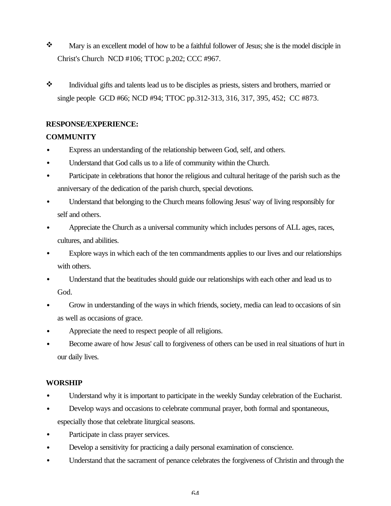- \* Mary is an excellent model of how to be a faithful follower of Jesus; she is the model disciple in Christ's Church NCD #106; TTOC p.202; CCC #967.
- \* Individual gifts and talents lead us to be disciples as priests, sisters and brothers, married or single people GCD #66; NCD #94; TTOC pp.312-313, 316, 317, 395, 452; CC #873.

# **RESPONSE/EXPERIENCE:**

# **COMMUNITY**

- Express an understanding of the relationship between God, self, and others.
- Understand that God calls us to a life of community within the Church.
- Participate in celebrations that honor the religious and cultural heritage of the parish such as the anniversary of the dedication of the parish church, special devotions.
- Understand that belonging to the Church means following Jesus' way of living responsibly for self and others.
- Appreciate the Church as a universal community which includes persons of ALL ages, races, cultures, and abilities.
- Explore ways in which each of the ten commandments applies to our lives and our relationships with others.
- Understand that the beatitudes should guide our relationships with each other and lead us to God.
- Grow in understanding of the ways in which friends, society, media can lead to occasions of sin as well as occasions of grace.
- Appreciate the need to respect people of all religions.
- Become aware of how Jesus' call to forgiveness of others can be used in real situations of hurt in our daily lives.

# **WORSHIP**

- Understand why it is important to participate in the weekly Sunday celebration of the Eucharist.
- Develop ways and occasions to celebrate communal prayer, both formal and spontaneous, especially those that celebrate liturgical seasons.
- Participate in class prayer services.
- Develop a sensitivity for practicing a daily personal examination of conscience.
- Understand that the sacrament of penance celebrates the forgiveness of Christin and through the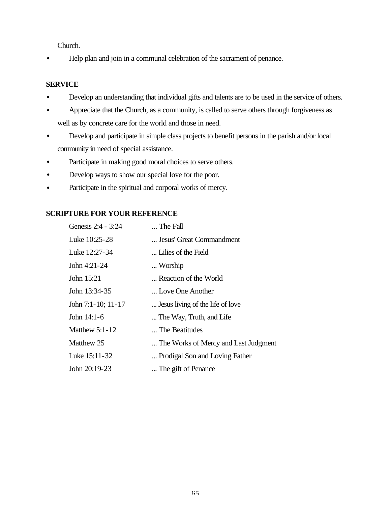Church.

• Help plan and join in a communal celebration of the sacrament of penance.

### **SERVICE**

- Develop an understanding that individual gifts and talents are to be used in the service of others.
- Appreciate that the Church, as a community, is called to serve others through forgiveness as well as by concrete care for the world and those in need.
- Develop and participate in simple class projects to benefit persons in the parish and/or local community in need of special assistance.
- Participate in making good moral choices to serve others.
- Develop ways to show our special love for the poor.
- Participate in the spiritual and corporal works of mercy.

# **SCRIPTURE FOR YOUR REFERENCE**

| Genesis 2:4 - 3:24    | The Fall                             |
|-----------------------|--------------------------------------|
| Luke 10:25-28         | Jesus' Great Commandment             |
| Luke 12:27-34         | Lilies of the Field                  |
| John 4:21-24          | Worship                              |
| John 15:21            | Reaction of the World                |
| John 13:34-35         | Love One Another                     |
| John 7:1-10; 11-17    | Jesus living of the life of love     |
| John 14:1-6           | The Way, Truth, and Life             |
| <b>Matthew 5:1-12</b> | The Beatitudes                       |
| Matthew 25            | The Works of Mercy and Last Judgment |
| Luke 15:11-32         | Prodigal Son and Loving Father       |
| John 20:19-23         | The gift of Penance                  |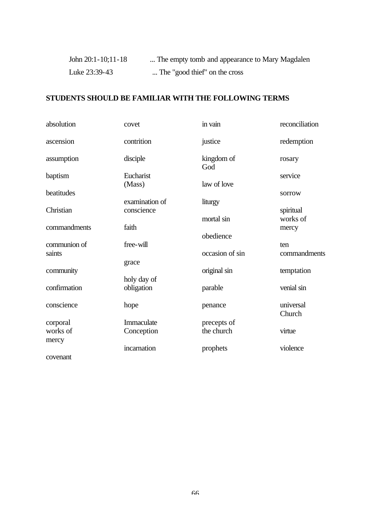| John 20:1-10;11-18 | The empty tomb and appearance to Mary Magdalen |
|--------------------|------------------------------------------------|
| Luke 23:39-43      | The "good thief" on the cross                  |

# **STUDENTS SHOULD BE FAMILIAR WITH THE FOLLOWING TERMS**

| absolution   | covet          | in vain           | reconciliation      |
|--------------|----------------|-------------------|---------------------|
| ascension    | contrition     | justice           | redemption          |
| assumption   | disciple       | kingdom of<br>God | rosary              |
| baptism      | Eucharist      |                   | service             |
|              | (Mass)         | law of love       |                     |
| beatitudes   | examination of | liturgy           | sorrow              |
| Christian    | conscience     |                   | spiritual           |
|              |                | mortal sin        | works of            |
| commandments | faith          | obedience         | mercy               |
| communion of | free-will      |                   | ten                 |
| saints       |                | occasion of sin   | commandments        |
|              | grace          |                   |                     |
| community    | holy day of    | original sin      | temptation          |
| confirmation | obligation     | parable           | venial sin          |
| conscience   | hope           | penance           | universal<br>Church |
| corporal     | Immaculate     | precepts of       |                     |
| works of     | Conception     | the church        | virtue              |
| mercy        |                |                   |                     |
|              | incarnation    | prophets          | violence            |
| covenant     |                |                   |                     |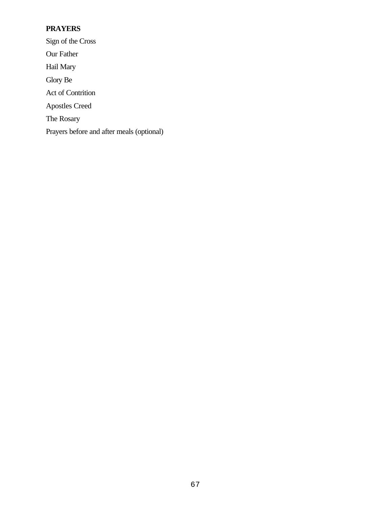# **PRAYERS**

Sign of the Cross Our Father Hail Mary Glory Be Act of Contrition Apostles Creed The Rosary Prayers before and after meals (optional)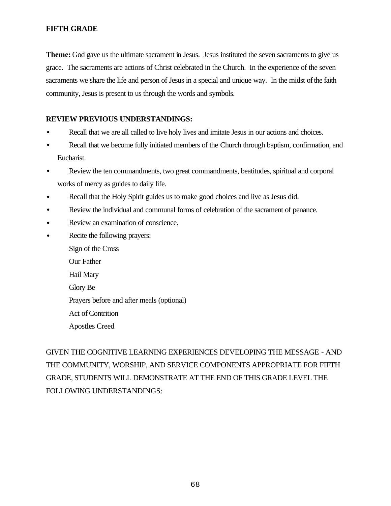### **FIFTH GRADE**

**Theme:** God gave us the ultimate sacrament in Jesus. Jesus instituted the seven sacraments to give us grace. The sacraments are actions of Christ celebrated in the Church. In the experience of the seven sacraments we share the life and person of Jesus in a special and unique way. In the midst of the faith community, Jesus is present to us through the words and symbols.

### **REVIEW PREVIOUS UNDERSTANDINGS:**

- Recall that we are all called to live holy lives and imitate Jesus in our actions and choices.
- Recall that we become fully initiated members of the Church through baptism, confirmation, and Eucharist.
- Review the ten commandments, two great commandments, beatitudes, spiritual and corporal works of mercy as guides to daily life.
- Recall that the Holy Spirit guides us to make good choices and live as Jesus did.
- Review the individual and communal forms of celebration of the sacrament of penance.
- Review an examination of conscience.
- Recite the following prayers: Sign of the Cross Our Father Hail Mary Glory Be Prayers before and after meals (optional) Act of Contrition Apostles Creed

GIVEN THE COGNITIVE LEARNING EXPERIENCES DEVELOPING THE MESSAGE - AND THE COMMUNITY, WORSHIP, AND SERVICE COMPONENTS APPROPRIATE FOR FIFTH GRADE, STUDENTS WILL DEMONSTRATE AT THE END OF THIS GRADE LEVEL THE FOLLOWING UNDERSTANDINGS: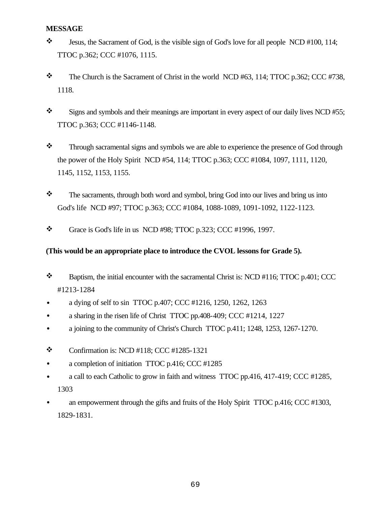### **MESSAGE**

- $\ddot{\bullet}$  Jesus, the Sacrament of God, is the visible sign of God's love for all people NCD #100, 114; TTOC p.362; CCC #1076, 1115.
- $\bullet$  The Church is the Sacrament of Christ in the world NCD #63, 114; TTOC p.362; CCC #738, 1118.
- $\cdot$  Signs and symbols and their meanings are important in every aspect of our daily lives NCD #55; TTOC p.363; CCC #1146-1148.
- \* Through sacramental signs and symbols we are able to experience the presence of God through the power of the Holy Spirit NCD #54, 114; TTOC p.363; CCC #1084, 1097, 1111, 1120, 1145, 1152, 1153, 1155.
- $\mathbf{\hat{P}}$  The sacraments, through both word and symbol, bring God into our lives and bring us into God's life NCD #97; TTOC p.363; CCC #1084, 1088-1089, 1091-1092, 1122-1123.
- $\bullet$  Grace is God's life in us NCD #98; TTOC p.323; CCC #1996, 1997.

### **(This would be an appropriate place to introduce the CVOL lessons for Grade 5).**

- $\bullet$  Baptism, the initial encounter with the sacramental Christ is: NCD #116; TTOC p.401; CCC #1213-1284
- a dying of self to sin TTOC p.407; CCC #1216, 1250, 1262, 1263
- a sharing in the risen life of Christ TTOC pp.408-409; CCC #1214, 1227
- a joining to the community of Christ's Church TTOC p.411; 1248, 1253, 1267-1270.
- $\bullet$  Confirmation is: NCD #118; CCC #1285-1321
- a completion of initiation TTOC p.416; CCC #1285
- a call to each Catholic to grow in faith and witness TTOC pp.416, 417-419; CCC #1285, 1303
- an empowerment through the gifts and fruits of the Holy Spirit TTOC p.416; CCC #1303, 1829-1831.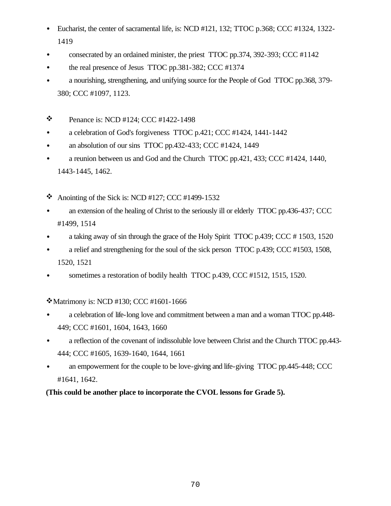- Eucharist, the center of sacramental life, is: NCD #121, 132; TTOC p.368; CCC #1324, 1322- 1419
- consecrated by an ordained minister, the priest TTOC pp.374, 392-393; CCC #1142
- the real presence of Jesus TTOC pp.381-382; CCC #1374
- a nourishing, strengthening, and unifying source for the People of God TTOC pp.368, 379-380; CCC #1097, 1123.
- $\bullet$  Penance is: NCD #124; CCC #1422-1498
- a celebration of God's forgiveness TTOC p.421; CCC #1424, 1441-1442
- an absolution of our sins TTOC pp.432-433; CCC #1424, 1449
- a reunion between us and God and the Church TTOC pp.421, 433; CCC #1424, 1440, 1443-1445, 1462.
- Anointing of the Sick is: NCD #127; CCC #1499-1532
- an extension of the healing of Christ to the seriously ill or elderly TTOC pp.436-437; CCC #1499, 1514
- a taking away of sin through the grace of the Holy Spirit TTOC p.439; CCC #1503, 1520
- a relief and strengthening for the soul of the sick person TTOC p.439; CCC #1503, 1508, 1520, 1521
- sometimes a restoration of bodily health TTOC p.439, CCC #1512, 1515, 1520.

\* Matrimony is: NCD #130; CCC #1601-1666

- a celebration of life-long love and commitment between a man and a woman TTOC pp.448- 449; CCC #1601, 1604, 1643, 1660
- a reflection of the covenant of indissoluble love between Christ and the Church TTOC pp.443-444; CCC #1605, 1639-1640, 1644, 1661
- an empowerment for the couple to be love-giving and life-giving TTOC pp.445-448; CCC #1641, 1642.

**(This could be another place to incorporate the CVOL lessons for Grade 5).**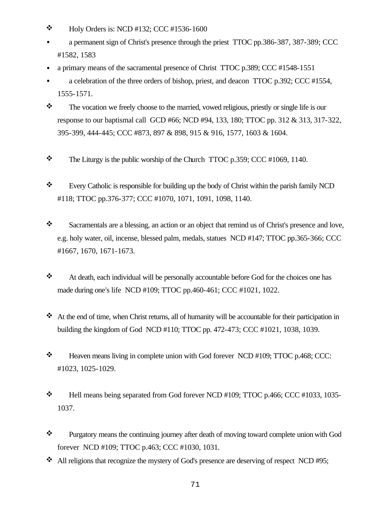- $\bullet$  Holy Orders is: NCD #132; CCC #1536-1600
- a permanent sign of Christ's presence through the priest TTOC pp.386-387, 387-389; CCC #1582, 1583
- a primary means of the sacramental presence of Christ TTOC p.389; CCC #1548-1551
- a celebration of the three orders of bishop, priest, and deacon TTOC p.392; CCC #1554, 1555-1571.
- $\mathbf{\hat{P}}$  The vocation we freely choose to the married, vowed religious, priestly or single life is our response to our baptismal call GCD #66; NCD #94, 133, 180; TTOC pp. 312 & 313, 317-322, 395-399, 444-445; CCC #873, 897 & 898, 915 & 916, 1577, 1603 & 1604.
- $\bullet$  The Liturgy is the public worship of the Church TTOC p.359; CCC #1069, 1140.
- \* Every Catholic is responsible for building up the body of Christ within the parish family NCD #118; TTOC pp.376-377; CCC #1070, 1071, 1091, 1098, 1140.
- \* Sacramentals are a blessing, an action or an object that remind us of Christ's presence and love, e.g. holy water, oil, incense, blessed palm, medals, statues NCD #147; TTOC pp.365-366; CCC #1667, 1670, 1671-1673.
- \* At death, each individual will be personally accountable before God for the choices one has made during one's life NCD #109; TTOC pp.460-461; CCC #1021, 1022.
- $\cdot$  At the end of time, when Christ returns, all of humanity will be accountable for their participation in building the kingdom of God NCD #110; TTOC pp. 472-473; CCC #1021, 1038, 1039.
- \* Heaven means living in complete union with God forever NCD #109; TTOC p.468; CCC: #1023, 1025-1029.
- \* Hell means being separated from God forever NCD #109; TTOC p.466; CCC #1033, 1035-1037.
- \* Purgatory means the continuing journey after death of moving toward complete union with God forever NCD #109; TTOC p.463; CCC #1030, 1031.
- $\cdot$  All religions that recognize the mystery of God's presence are deserving of respect NCD #95;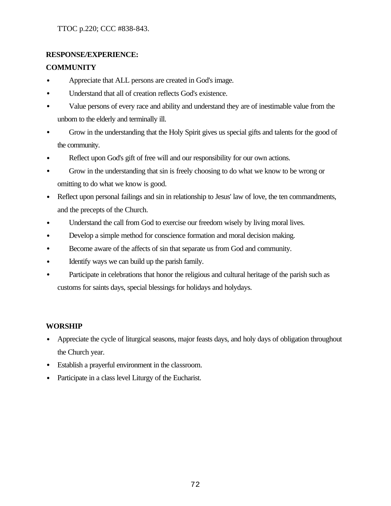## **RESPONSE/EXPERIENCE:**

## **COMMUNITY**

- Appreciate that ALL persons are created in God's image.
- Understand that all of creation reflects God's existence.
- Value persons of every race and ability and understand they are of inestimable value from the unborn to the elderly and terminally ill.
- Grow in the understanding that the Holy Spirit gives us special gifts and talents for the good of the community.
- Reflect upon God's gift of free will and our responsibility for our own actions.
- Grow in the understanding that sin is freely choosing to do what we know to be wrong or omitting to do what we know is good.
- Reflect upon personal failings and sin in relationship to Jesus' law of love, the ten commandments, and the precepts of the Church.
- Understand the call from God to exercise our freedom wisely by living moral lives.
- Develop a simple method for conscience formation and moral decision making.
- Become aware of the affects of sin that separate us from God and community.
- Identify ways we can build up the parish family.
- Participate in celebrations that honor the religious and cultural heritage of the parish such as customs for saints days, special blessings for holidays and holydays.

## **WORSHIP**

- Appreciate the cycle of liturgical seasons, major feasts days, and holy days of obligation throughout the Church year.
- Establish a prayerful environment in the classroom.
- Participate in a class level Liturgy of the Eucharist.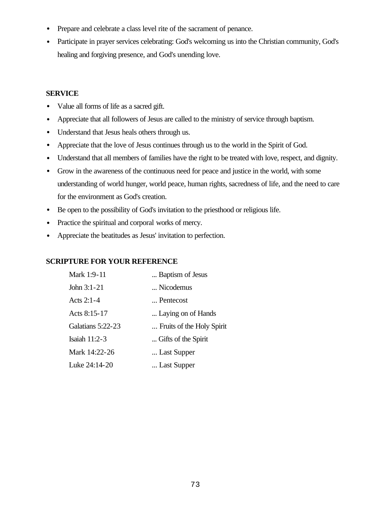- Prepare and celebrate a class level rite of the sacrament of penance.
- Participate in prayer services celebrating: God's welcoming us into the Christian community, God's healing and forgiving presence, and God's unending love.

#### **SERVICE**

- Value all forms of life as a sacred gift.
- Appreciate that all followers of Jesus are called to the ministry of service through baptism.
- Understand that Jesus heals others through us.
- Appreciate that the love of Jesus continues through us to the world in the Spirit of God.
- Understand that all members of families have the right to be treated with love, respect, and dignity.
- Grow in the awareness of the continuous need for peace and justice in the world, with some understanding of world hunger, world peace, human rights, sacredness of life, and the need to care for the environment as God's creation.
- Be open to the possibility of God's invitation to the priesthood or religious life.
- Practice the spiritual and corporal works of mercy.
- Appreciate the beatitudes as Jesus' invitation to perfection.

## **SCRIPTURE FOR YOUR REFERENCE**

| Mark 1:9-11       | Baptism of Jesus          |
|-------------------|---------------------------|
| John $3:1-21$     | Nicodemus                 |
| Acts $2:1-4$      | Pentecost                 |
| Acts 8:15-17      | Laying on of Hands        |
| Galatians 5:22-23 | Fruits of the Holy Spirit |
| Isaiah 11:2-3     | Gifts of the Spirit       |
| Mark 14:22-26     | Last Supper               |
| Luke 24:14-20     | Last Supper               |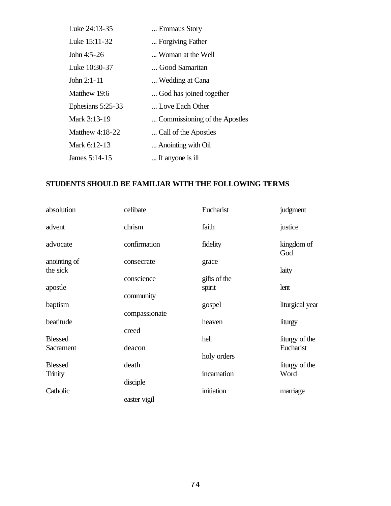| Luke 24:13-35     | Emmaus Story                  |
|-------------------|-------------------------------|
| Luke 15:11-32     | Forgiving Father              |
| John 4:5-26       | Woman at the Well             |
| Luke 10:30-37     | Good Samaritan                |
| John $2:1-11$     | Wedding at Cana               |
| Matthew 19:6      | God has joined together       |
| Ephesians 5:25-33 | Love Each Other               |
| Mark 3:13-19      | Commissioning of the Apostles |
| Matthew $4:18-22$ | Call of the Apostles          |
| Mark 6:12-13      | Anointing with Oil            |
| James 5:14-15     | If anyone is ill              |

## **STUDENTS SHOULD BE FAMILIAR WITH THE FOLLOWING TERMS**

| absolution                | celibate                   | Eucharist              | judgment               |
|---------------------------|----------------------------|------------------------|------------------------|
| advent                    | chrism                     | faith                  | justice                |
| advocate                  | confirmation               | fidelity               | kingdom of<br>God      |
| anointing of<br>the sick  | consecrate                 | grace                  | laity                  |
| apostle                   | conscience                 | gifts of the<br>spirit | lent                   |
| baptism                   | community<br>compassionate | gospel                 | liturgical year        |
| beatitude                 | creed                      | heaven                 | liturgy                |
| <b>Blessed</b>            |                            | hell                   | liturgy of the         |
| Sacrament                 | deacon                     | holy orders            | Eucharist              |
| <b>Blessed</b><br>Trinity | death                      | incarnation            | liturgy of the<br>Word |
|                           | disciple                   |                        |                        |
| Catholic                  | easter vigil               | initiation             | marriage               |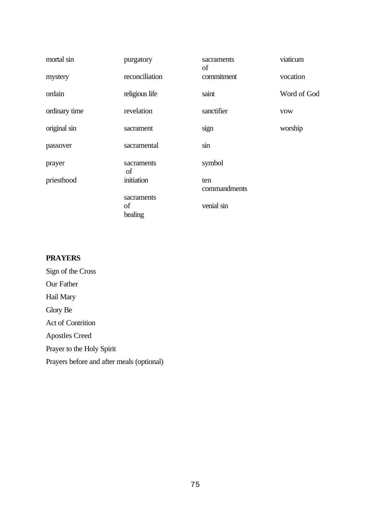| mortal sin    | purgatory        | sacraments<br>of    | viaticum    |
|---------------|------------------|---------------------|-------------|
| mystery       | reconciliation   | commitment          | vocation    |
| ordain        | religious life   | saint               | Word of God |
| ordinary time | revelation       | sanctifier          | <b>VOW</b>  |
| original sin  | sacrament        | sign                | worship     |
| passover      | sacramental      | sin                 |             |
| prayer        | sacraments<br>of | symbol              |             |
| priesthood    | initiation       | ten<br>commandments |             |
|               | sacraments       |                     |             |
|               | of<br>healing    | venial sin          |             |

## **PRAYERS**

Sign of the Cross Our Father Hail Mary Glory Be Act of Contrition Apostles Creed Prayer to the Holy Spirit Prayers before and after meals (optional)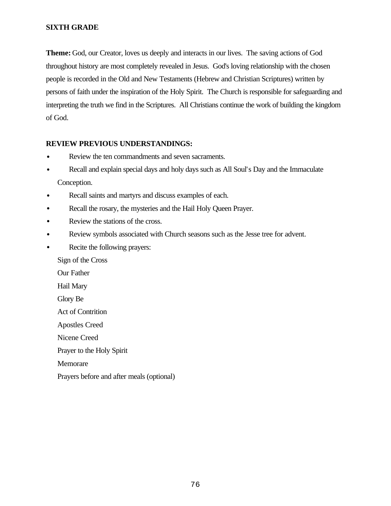#### **SIXTH GRADE**

**Theme:** God, our Creator, loves us deeply and interacts in our lives. The saving actions of God throughout history are most completely revealed in Jesus. God's loving relationship with the chosen people is recorded in the Old and New Testaments (Hebrew and Christian Scriptures) written by persons of faith under the inspiration of the Holy Spirit. The Church is responsible for safeguarding and interpreting the truth we find in the Scriptures. All Christians continue the work of building the kingdom of God.

#### **REVIEW PREVIOUS UNDERSTANDINGS:**

- Review the ten commandments and seven sacraments.
- Recall and explain special days and holy days such as All Soul's Day and the Immaculate Conception.
- Recall saints and martyrs and discuss examples of each.
- Recall the rosary, the mysteries and the Hail Holy Queen Prayer.
- Review the stations of the cross.
- Review symbols associated with Church seasons such as the Jesse tree for advent.
- Recite the following prayers:

Sign of the Cross

Our Father

Hail Mary

Glory Be

Act of Contrition

Apostles Creed

Nicene Creed

Prayer to the Holy Spirit

Memorare

Prayers before and after meals (optional)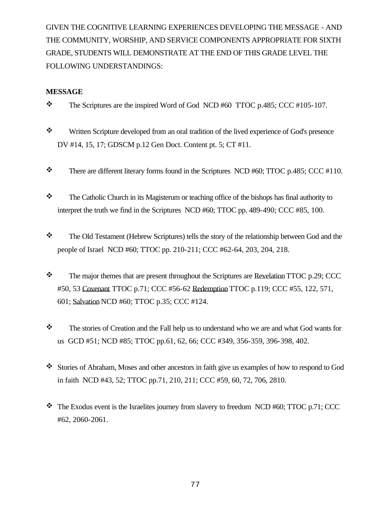GIVEN THE COGNITIVE LEARNING EXPERIENCES DEVELOPING THE MESSAGE - AND THE COMMUNITY, WORSHIP, AND SERVICE COMPONENTS APPROPRIATE FOR SIXTH GRADE, STUDENTS WILL DEMONSTRATE AT THE END OF THIS GRADE LEVEL THE FOLLOWING UNDERSTANDINGS:

#### **MESSAGE**

- $\bullet$  The Scriptures are the inspired Word of God NCD #60 TTOC p.485; CCC #105-107.
- \* Written Scripture developed from an oral tradition of the lived experience of God's presence DV #14, 15, 17; GDSCM p.12 Gen Doct. Content pt. 5; CT #11.
- $\text{\textbullet}$  There are different literary forms found in the Scriptures NCD #60; TTOC p.485; CCC #110.
- \* The Catholic Church in its Magisterum or teaching office of the bishops has final authority to interpret the truth we find in the Scriptures NCD #60; TTOC pp. 489-490; CCC #85, 100.
- \* The Old Testament (Hebrew Scriptures) tells the story of the relationship between God and the people of Israel NCD #60; TTOC pp. 210-211; CCC #62-64, 203, 204, 218.
- $\mathbf{\hat{P}}$  The major themes that are present throughout the Scriptures are Revelation TTOC p.29; CCC #50, 53 Covenant TTOC p.71; CCC #56-62 Redemption TTOC p.119; CCC #55, 122, 571, 601; Salvation NCD #60; TTOC p.35; CCC #124.
- \* The stories of Creation and the Fall help us to understand who we are and what God wants for us GCD #51; NCD #85; TTOC pp.61, 62, 66; CCC #349, 356-359, 396-398, 402.
- \* Stories of Abraham, Moses and other ancestors in faith give us examples of how to respond to God in faith NCD #43, 52; TTOC pp.71, 210, 211; CCC #59, 60, 72, 706, 2810.
- $\cdot \cdot$  The Exodus event is the Israelites journey from slavery to freedom NCD #60; TTOC p.71; CCC #62, 2060-2061.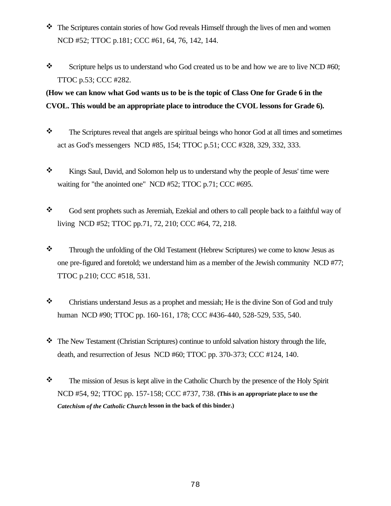- \* The Scriptures contain stories of how God reveals Himself through the lives of men and women NCD #52; TTOC p.181; CCC #61, 64, 76, 142, 144.
- Scripture helps us to understand who God created us to be and how we are to live NCD #60; TTOC p.53; CCC #282.

# **(How we can know what God wants us to be is the topic of Class One for Grade 6 in the CVOL. This would be an appropriate place to introduce the CVOL lessons for Grade 6).**

- $\mathbf{\hat{z}}$  The Scriptures reveal that angels are spiritual beings who honor God at all times and sometimes act as God's messengers NCD #85, 154; TTOC p.51; CCC #328, 329, 332, 333.
- \* Kings Saul, David, and Solomon help us to understand why the people of Jesus' time were waiting for "the anointed one" NCD #52; TTOC p.71; CCC #695.
- \* God sent prophets such as Jeremiah, Ezekial and others to call people back to a faithful way of living NCD #52; TTOC pp.71, 72, 210; CCC #64, 72, 218.
- \* Through the unfolding of the Old Testament (Hebrew Scriptures) we come to know Jesus as one pre-figured and foretold; we understand him as a member of the Jewish community NCD #77; TTOC p.210; CCC #518, 531.
- \* Christians understand Jesus as a prophet and messiah; He is the divine Son of God and truly human NCD #90; TTOC pp. 160-161, 178; CCC #436-440, 528-529, 535, 540.
- $\mathbf{\hat{z}}$  The New Testament (Christian Scriptures) continue to unfold salvation history through the life, death, and resurrection of Jesus NCD #60; TTOC pp. 370-373; CCC #124, 140.
- $\mathbf{\hat{P}}$  The mission of Jesus is kept alive in the Catholic Church by the presence of the Holy Spirit NCD #54, 92; TTOC pp. 157-158; CCC #737, 738. **(This is an appropriate place to use the**  *Catechism of the Catholic Church* **lesson in the back of this binder.)**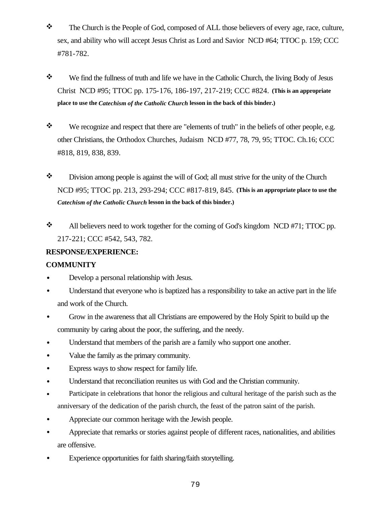- \* The Church is the People of God, composed of ALL those believers of every age, race, culture, sex, and ability who will accept Jesus Christ as Lord and Savior NCD #64; TTOC p. 159; CCC #781-782.
- $\mathbf{\hat{P}}$  We find the fullness of truth and life we have in the Catholic Church, the living Body of Jesus Christ NCD #95; TTOC pp. 175-176, 186-197, 217-219; CCC #824. **(This is an appropriate place to use the** *Catechism of the Catholic Church* **lesson in the back of this binder.)**
- \* We recognize and respect that there are "elements of truth" in the beliefs of other people, e.g. other Christians, the Orthodox Churches, Judaism NCD #77, 78, 79, 95; TTOC. Ch.16; CCC #818, 819, 838, 839.
- $\bullet$  Division among people is against the will of God; all must strive for the unity of the Church NCD #95; TTOC pp. 213, 293-294; CCC #817-819, 845. **(This is an appropriate place to use the**  *Catechism of the Catholic Church* **lesson in the back of this binder.)**
- $\cdot$  All believers need to work together for the coming of God's kingdom NCD #71; TTOC pp. 217-221; CCC #542, 543, 782.

## **RESPONSE/EXPERIENCE:**

## **COMMUNITY**

- Develop a personal relationship with Jesus.
- Understand that everyone who is baptized has a responsibility to take an active part in the life and work of the Church.
- Grow in the awareness that all Christians are empowered by the Holy Spirit to build up the community by caring about the poor, the suffering, and the needy.
- Understand that members of the parish are a family who support one another.
- Value the family as the primary community.
- Express ways to show respect for family life.
- Understand that reconciliation reunites us with God and the Christian community.
- Participate in celebrations that honor the religious and cultural heritage of the parish such as the anniversary of the dedication of the parish church, the feast of the patron saint of the parish.
- Appreciate our common heritage with the Jewish people.
- Appreciate that remarks or stories against people of different races, nationalities, and abilities are offensive.
- Experience opportunities for faith sharing/faith storytelling.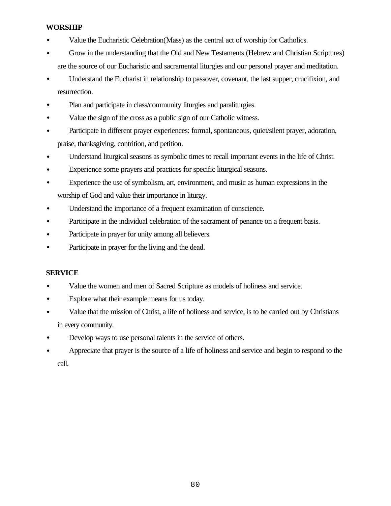#### **WORSHIP**

- Value the Eucharistic Celebration(Mass) as the central act of worship for Catholics.
- Grow in the understanding that the Old and New Testaments (Hebrew and Christian Scriptures) are the source of our Eucharistic and sacramental liturgies and our personal prayer and meditation.
- Understand the Eucharist in relationship to passover, covenant, the last supper, crucifixion, and resurrection.
- Plan and participate in class/community liturgies and paraliturgies.
- Value the sign of the cross as a public sign of our Catholic witness.
- Participate in different prayer experiences: formal, spontaneous, quiet/silent prayer, adoration, praise, thanksgiving, contrition, and petition.
- Understand liturgical seasons as symbolic times to recall important events in the life of Christ.
- Experience some prayers and practices for specific liturgical seasons.
- Experience the use of symbolism, art, environment, and music as human expressions in the worship of God and value their importance in liturgy.
- Understand the importance of a frequent examination of conscience.
- Participate in the individual celebration of the sacrament of penance on a frequent basis.
- Participate in prayer for unity among all believers.
- Participate in prayer for the living and the dead.

#### **SERVICE**

- Value the women and men of Sacred Scripture as models of holiness and service.
- Explore what their example means for us today.
- Value that the mission of Christ, a life of holiness and service, is to be carried out by Christians in every community.
- Develop ways to use personal talents in the service of others.
- Appreciate that prayer is the source of a life of holiness and service and begin to respond to the call.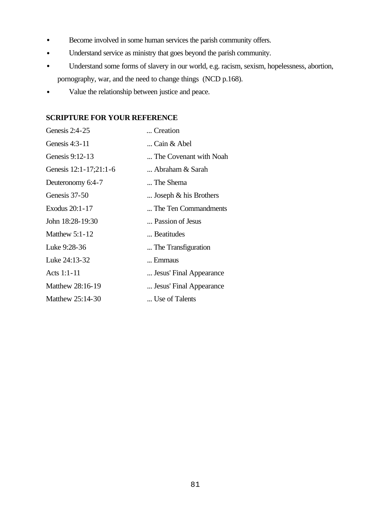- Become involved in some human services the parish community offers.
- Understand service as ministry that goes beyond the parish community.
- Understand some forms of slavery in our world, e.g. racism, sexism, hopelessness, abortion, pornography, war, and the need to change things (NCD p.168).
- Value the relationship between justice and peace.

#### **SCRIPTURE FOR YOUR REFERENCE**

| Genesis $2:4-25$       | Creation                 |
|------------------------|--------------------------|
| Genesis $4:3-11$       | Cain & Abel              |
| Genesis $9:12-13$      | The Covenant with Noah   |
| Genesis 12:1-17;21:1-6 | Abraham & Sarah          |
| Deuteronomy 6:4-7      | The Shema                |
| Genesis 37-50          | Joseph $\&$ his Brothers |
| Exodus 20:1-17         | The Ten Commandments     |
| John 18:28-19:30       | Passion of Jesus         |
| <b>Matthew 5:1-12</b>  | Beatitudes               |
| Luke 9:28-36           | The Transfiguration      |
| Luke 24:13-32          | Emmaus                   |
| Acts 1:1-11            | Jesus' Final Appearance  |
| Matthew 28:16-19       | Jesus' Final Appearance  |
| Matthew 25:14-30       | Use of Talents           |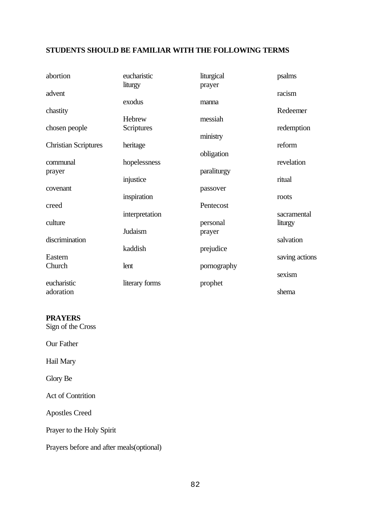## **STUDENTS SHOULD BE FAMILIAR WITH THE FOLLOWING TERMS**

| abortion                    | eucharistic    | liturgical  | psalms         |
|-----------------------------|----------------|-------------|----------------|
|                             | liturgy        | prayer      |                |
| advent                      |                |             | racism         |
|                             | exodus         | manna       |                |
| chastity                    |                |             | Redeemer       |
|                             | Hebrew         | messiah     |                |
| chosen people               | Scriptures     |             | redemption     |
|                             |                | ministry    |                |
| <b>Christian Scriptures</b> | heritage       |             | reform         |
|                             |                | obligation  |                |
| communal                    | hopelessness   |             | revelation     |
| prayer                      |                | paraliturgy |                |
|                             | injustice      |             | ritual         |
| covenant                    |                | passover    |                |
|                             | inspiration    |             | roots          |
| creed                       |                | Pentecost   |                |
|                             | interpretation |             | sacramental    |
| culture                     |                | personal    | liturgy        |
|                             | Judaism        | prayer      |                |
| discrimination              |                |             | salvation      |
|                             | kaddish        | prejudice   |                |
| Eastern                     |                |             | saving actions |
| Church                      | lent           | pornography |                |
|                             |                |             | sexism         |
| eucharistic                 | literary forms | prophet     |                |
| adoration                   |                |             | shema          |

#### **PRAYERS**

Sign of the Cross

Our Father

Hail Mary

Glory Be

Act of Contrition

Apostles Creed

Prayer to the Holy Spirit

Prayers before and after meals(optional)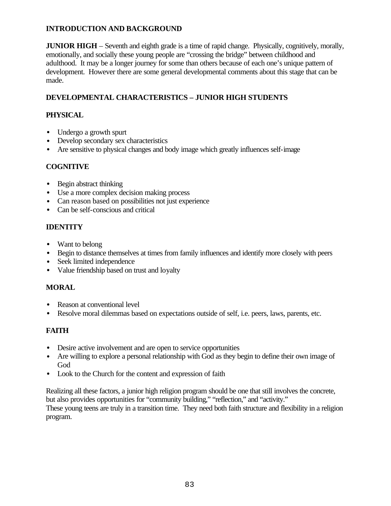## **INTRODUCTION AND BACKGROUND**

**JUNIOR HIGH** – Seventh and eighth grade is a time of rapid change. Physically, cognitively, morally, emotionally, and socially these young people are "crossing the bridge" between childhood and adulthood. It may be a longer journey for some than others because of each one's unique pattern of development. However there are some general developmental comments about this stage that can be made.

## **DEVELOPMENTAL CHARACTERISTICS – JUNIOR HIGH STUDENTS**

## **PHYSICAL**

- Undergo a growth spurt
- Develop secondary sex characteristics
- Are sensitive to physical changes and body image which greatly influences self-image

## **COGNITIVE**

- Begin abstract thinking
- Use a more complex decision making process
- Can reason based on possibilities not just experience
- Can be self-conscious and critical

## **IDENTITY**

- Want to belong
- Begin to distance themselves at times from family influences and identify more closely with peers
- Seek limited independence
- Value friendship based on trust and loyalty

## **MORAL**

- Reason at conventional level
- Resolve moral dilemmas based on expectations outside of self, i.e. peers, laws, parents, etc.

## **FAITH**

- Desire active involvement and are open to service opportunities
- Are willing to explore a personal relationship with God as they begin to define their own image of God
- Look to the Church for the content and expression of faith

Realizing all these factors, a junior high religion program should be one that still involves the concrete, but also provides opportunities for "community building," "reflection," and "activity." These young teens are truly in a transition time. They need both faith structure and flexibility in a religion program.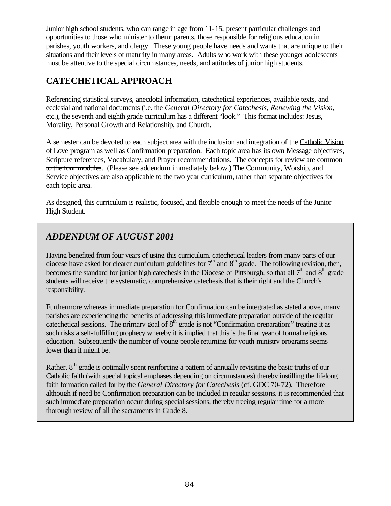Junior high school students, who can range in age from 11-15, present particular challenges and opportunities to those who minister to them: parents, those responsible for religious education in parishes, youth workers, and clergy. These young people have needs and wants that are unique to their situations and their levels of maturity in many areas. Adults who work with these younger adolescents must be attentive to the special circumstances, needs, and attitudes of junior high students.

# **CATECHETICAL APPROACH**

Referencing statistical surveys, anecdotal information, catechetical experiences, available texts, and ecclesial and national documents (i.e. the *General Directory for Catechesis*, *Renewing the Vision*, etc.), the seventh and eighth grade curriculum has a different "look." This format includes: Jesus, Morality, Personal Growth and Relationship, and Church.

A semester can be devoted to each subject area with the inclusion and integration of the Catholic Vision of Love program as well as Confirmation preparation. Each topic area has its own Message objectives, Scripture references, Vocabulary, and Prayer recommendations. The concepts for review are common to the four modules. (Please see addendum immediately below.) The Community, Worship, and Service objectives are also applicable to the two year curriculum, rather than separate objectives for each topic area.

As designed, this curriculum is realistic, focused, and flexible enough to meet the needs of the Junior High Student.

# *ADDENDUM OF AUGUST 2001*

Having benefited from four years of using this curriculum, catechetical leaders from many parts of our diocese have asked for clearer curriculum guidelines for  $7<sup>th</sup>$  and  $8<sup>th</sup>$  grade. The following revision, then, becomes the standard for junior high catechesis in the Diocese of Pittsburgh, so that all  $7<sup>th</sup>$  and  $8<sup>th</sup>$  grade students will receive the systematic, comprehensive catechesis that is their right and the Church's responsibility.

Furthermore whereas immediate preparation for Confirmation can be integrated as stated above, many parishes are experiencing the benefits of addressing this immediate preparation outside of the regular cate chetical sessions. The primary goal of  $8<sup>th</sup>$  grade is not "Confirmation preparation;" treating it as such risks a self-fulfilling prophecy whereby it is implied that this is the final year of formal religious education. Subsequently the number of young people returning for youth ministry programs seems lower than it might be.

Rather, 8<sup>th</sup> grade is optimally spent reinforcing a pattern of annually revisiting the basic truths of our Catholic faith (with special topical emphases depending on circumstances) thereby instilling the lifelong faith formation called for by the *General Directory for Catechesis* (cf. GDC 70-72). Therefore although if need be Confirmation preparation can be included in regular sessions, it is recommended that such immediate preparation occur during special sessions, thereby freeing regular time for a more thorough review of all the sacraments in Grade 8.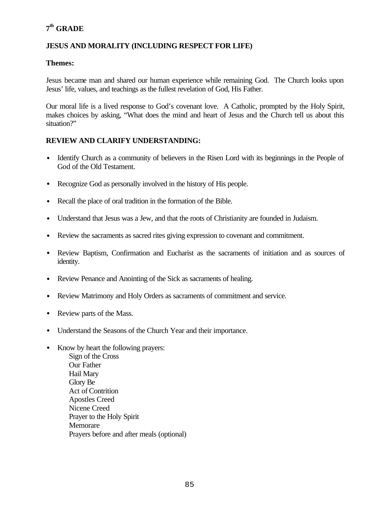## **7 th GRADE**

## **JESUS AND MORALITY (INCLUDING RESPECT FOR LIFE)**

#### **Themes:**

Jesus became man and shared our human experience while remaining God. The Church looks upon Jesus' life, values, and teachings as the fullest revelation of God, His Father.

Our moral life is a lived response to God's covenant love. A Catholic, prompted by the Holy Spirit, makes choices by asking, "What does the mind and heart of Jesus and the Church tell us about this situation?"

#### **REVIEW AND CLARIFY UNDERSTANDING:**

- Identify Church as a community of believers in the Risen Lord with its beginnings in the People of God of the Old Testament.
- Recognize God as personally involved in the history of His people.
- Recall the place of oral tradition in the formation of the Bible.
- Understand that Jesus was a Jew, and that the roots of Christianity are founded in Judaism.
- Review the sacraments as sacred rites giving expression to covenant and commitment.
- Review Baptism, Confirmation and Eucharist as the sacraments of initiation and as sources of identity.
- Review Penance and Anointing of the Sick as sacraments of healing.
- Review Matrimony and Holy Orders as sacraments of commitment and service.
- Review parts of the Mass.
- Understand the Seasons of the Church Year and their importance.
- Know by heart the following prayers: Sign of the Cross Our Father Hail Mary Glory Be Act of Contrition Apostles Creed Nicene Creed Prayer to the Holy Spirit **Memorare** Prayers before and after meals (optional)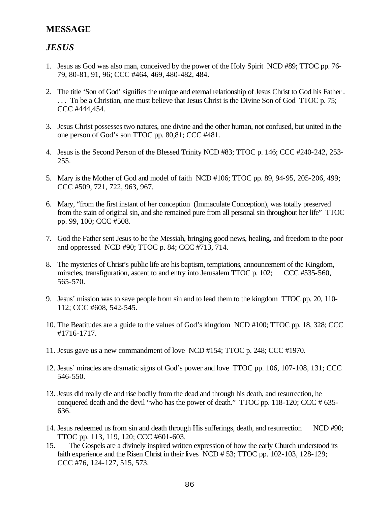## **MESSAGE**

## *JESUS*

- 1. Jesus as God was also man, conceived by the power of the Holy Spirit NCD #89; TTOC pp. 76- 79, 80-81, 91, 96; CCC #464, 469, 480-482, 484.
- 2. The title 'Son of God' signifies the unique and eternal relationship of Jesus Christ to God his Father . . . . To be a Christian, one must believe that Jesus Christ is the Divine Son of God TTOC p. 75; CCC #444,454.
- 3. Jesus Christ possesses two natures, one divine and the other human, not confused, but united in the one person of God's son TTOC pp. 80,81; CCC #481.
- 4. Jesus is the Second Person of the Blessed Trinity NCD #83; TTOC p. 146; CCC #240-242, 253- 255.
- 5. Mary is the Mother of God and model of faith NCD #106; TTOC pp. 89, 94-95, 205-206, 499; CCC #509, 721, 722, 963, 967.
- 6. Mary, "from the first instant of her conception (Immaculate Conception), was totally preserved from the stain of original sin, and she remained pure from all personal sin throughout her life" TTOC pp. 99, 100; CCC #508.
- 7. God the Father sent Jesus to be the Messiah, bringing good news, healing, and freedom to the poor and oppressed NCD #90; TTOC p. 84; CCC #713, 714.
- 8. The mysteries of Christ's public life are his baptism, temptations, announcement of the Kingdom, miracles, transfiguration, ascent to and entry into Jerusalem TTOC p. 102; CCC #535-560, 565-570.
- 9. Jesus' mission was to save people from sin and to lead them to the kingdom TTOC pp. 20, 110- 112; CCC #608, 542-545.
- 10. The Beatitudes are a guide to the values of God's kingdom NCD #100; TTOC pp. 18, 328; CCC #1716-1717.
- 11. Jesus gave us a new commandment of love NCD #154; TTOC p. 248; CCC #1970.
- 12. Jesus' miracles are dramatic signs of God's power and love TTOC pp. 106, 107-108, 131; CCC 546-550.
- 13. Jesus did really die and rise bodily from the dead and through his death, and resurrection, he conquered death and the devil "who has the power of death." TTOC pp. 118-120; CCC # 635- 636.
- 14. Jesus redeemed us from sin and death through His sufferings, death, and resurrection NCD #90; TTOC pp. 113, 119, 120; CCC #601-603.
- 15. The Gospels are a divinely inspired written expression of how the early Church understood its faith experience and the Risen Christ in their lives NCD # 53; TTOC pp. 102-103, 128-129; CCC #76, 124-127, 515, 573.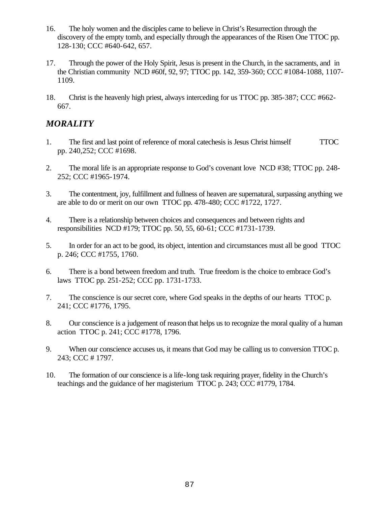- 16. The holy women and the disciples came to believe in Christ's Resurrection through the discovery of the empty tomb, and especially through the appearances of the Risen One TTOC pp. 128-130; CCC #640-642, 657.
- 17. Through the power of the Holy Spirit, Jesus is present in the Church, in the sacraments, and in the Christian community NCD #60f, 92, 97; TTOC pp. 142, 359-360; CCC #1084-1088, 1107- 1109.
- 18. Christ is the heavenly high priest, always interceding for us TTOC pp. 385-387; CCC #662- 667.

## *MORALITY*

- 1. The first and last point of reference of moral catechesis is Jesus Christ himself TTOC pp. 240,252; CCC #1698.
- 2. The moral life is an appropriate response to God's covenant love NCD #38; TTOC pp. 248- 252; CCC #1965-1974.
- 3. The contentment, joy, fulfillment and fullness of heaven are supernatural, surpassing anything we are able to do or merit on our own TTOC pp. 478-480; CCC #1722, 1727.
- 4. There is a relationship between choices and consequences and between rights and responsibilities NCD #179; TTOC pp. 50, 55, 60-61; CCC #1731-1739.
- 5. In order for an act to be good, its object, intention and circumstances must all be good TTOC p. 246; CCC #1755, 1760.
- 6. There is a bond between freedom and truth. True freedom is the choice to embrace God's laws TTOC pp. 251-252; CCC pp. 1731-1733.
- 7. The conscience is our secret core, where God speaks in the depths of our hearts TTOC p. 241; CCC #1776, 1795.
- 8. Our conscience is a judgement of reason that helps us to recognize the moral quality of a human action TTOC p. 241; CCC #1778, 1796.
- 9. When our conscience accuses us, it means that God may be calling us to conversion TTOC p. 243; CCC # 1797.
- 10. The formation of our conscience is a life-long task requiring prayer, fidelity in the Church's teachings and the guidance of her magisterium TTOC p. 243; CCC #1779, 1784.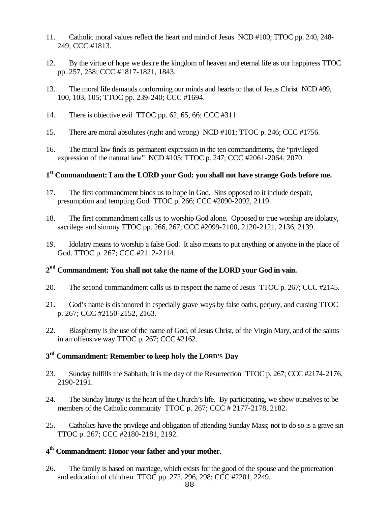- 11. Catholic moral values reflect the heart and mind of Jesus NCD #100; TTOC pp. 240, 248- 249; CCC #1813.
- 12. By the virtue of hope we desire the kingdom of heaven and eternal life as our happiness TTOC pp. 257, 258; CCC #1817-1821, 1843.
- 13. The moral life demands conforming our minds and hearts to that of Jesus Christ NCD #99, 100, 103, 105; TTOC pp. 239-240; CCC #1694.
- 14. There is objective evil TTOC pp. 62, 65, 66; CCC #311.
- 15. There are moral absolutes (right and wrong) NCD #101; TTOC p. 246; CCC #1756.
- 16. The moral law finds its permanent expression in the ten commandments, the "privileged expression of the natural law" NCD #105; TTOC p. 247; CCC #2061-2064, 2070.

## **1 st Commandment: I am the LORD your God: you shall not have strange Gods before me.**

- 17. The first commandment binds us to hope in God. Sins opposed to it include despair, presumption and tempting God TTOC p. 266; CCC #2090-2092, 2119.
- 18. The first commandment calls us to worship God alone. Opposed to true worship are idolatry, sacrilege and simony TTOC pp. 266, 267; CCC #2099-2100, 2120-2121, 2136, 2139.
- 19. Idolatry means to worship a false God. It also means to put anything or anyone in the place of God. TTOC p. 267; CCC #2112-2114.

## **2 nd Commandment: You shall not take the name of the LORD your God in vain.**

- 20. The second commandment calls us to respect the name of Jesus TTOC p. 267; CCC #2145.
- 21. God's name is dishonored in especially grave ways by false oaths, perjury, and cursing TTOC p. 267; CCC #2150-2152, 2163.
- 22. Blasphemy is the use of the name of God, of Jesus Christ, of the Virgin Mary, and of the saints in an offensive way TTOC p. 267; CCC #2162.

## **3 rd Commandment: Remember to keep holy the LORD'S Day**

- 23. Sunday fulfills the Sabbath; it is the day of the Resurrection TTOC p. 267; CCC #2174-2176, 2190-2191.
- 24. The Sunday liturgy is the heart of the Church's life. By participating, we show ourselves to be members of the Catholic community TTOC p. 267; CCC # 2177-2178, 2182.
- 25. Catholics have the privilege and obligation of attending Sunday Mass; not to do so is a grave sin TTOC p. 267; CCC #2180-2181, 2192.

## **4 th Commandment: Honor your father and your mother.**

26. The family is based on marriage, which exists for the good of the spouse and the procreation and education of children TTOC pp. 272, 296, 298; CCC #2201, 2249.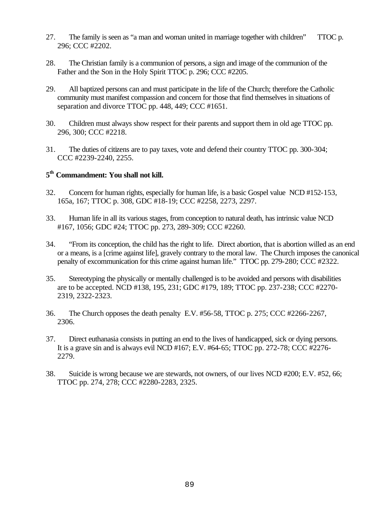- 27. The family is seen as "a man and woman united in marriage together with children" TTOC p. 296; CCC #2202.
- 28. The Christian family is a communion of persons, a sign and image of the communion of the Father and the Son in the Holy Spirit TTOC p. 296; CCC #2205.
- 29. All baptized persons can and must participate in the life of the Church; therefore the Catholic community must manifest compassion and concern for those that find themselves in situations of separation and divorce TTOC pp. 448, 449; CCC #1651.
- 30. Children must always show respect for their parents and support them in old age TTOC pp. 296, 300; CCC #2218.
- 31. The duties of citizens are to pay taxes, vote and defend their country TTOC pp. 300-304; CCC #2239-2240, 2255.

## **5 th Commandment: You shall not kill.**

- 32. Concern for human rights, especially for human life, is a basic Gospel value NCD #152-153, 165a, 167; TTOC p. 308, GDC #18-19; CCC #2258, 2273, 2297.
- 33. Human life in all its various stages, from conception to natural death, has intrinsic value NCD #167, 1056; GDC #24; TTOC pp. 273, 289-309; CCC #2260.
- 34. "From its conception, the child has the right to life. Direct abortion, that is abortion willed as an end or a means, is a [crime against life], gravely contrary to the moral law. The Church imposes the canonical penalty of excommunication for this crime against human life." TTOC pp. 279-280; CCC #2322.
- 35. Stereotyping the physically or mentally challenged is to be avoided and persons with disabilities are to be accepted. NCD #138, 195, 231; GDC #179, 189; TTOC pp. 237-238; CCC #2270- 2319, 2322-2323.
- 36. The Church opposes the death penalty E.V. #56-58, TTOC p. 275; CCC #2266-2267, 2306.
- 37. Direct euthanasia consists in putting an end to the lives of handicapped, sick or dying persons. It is a grave sin and is always evil NCD #167; E.V. #64-65; TTOC pp. 272-78; CCC #2276- 2279.
- 38. Suicide is wrong because we are stewards, not owners, of our lives NCD #200; E.V. #52, 66; TTOC pp. 274, 278; CCC #2280-2283, 2325.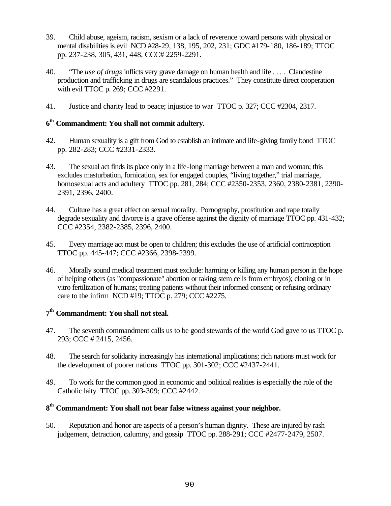- 39. Child abuse, ageism, racism, sexism or a lack of reverence toward persons with physical or mental disabilities is evil NCD #28-29, 138, 195, 202, 231; GDC #179-180, 186-189; TTOC pp. 237-238, 305, 431, 448, CCC# 2259-2291.
- 40. "The *use of drugs* inflicts very grave damage on human health and life . . . . Clandestine production and trafficking in drugs are scandalous practices." They constitute direct cooperation with evil TTOC p. 269; CCC #2291.
- 41. Justice and charity lead to peace; injustice to war TTOC p. 327; CCC #2304, 2317.

## **6 th Commandment: You shall not commit adultery.**

- 42. Human sexuality is a gift from God to establish an intimate and life-giving family bond TTOC pp. 282-283; CCC #2331-2333.
- 43. The sexual act finds its place only in a life-long marriage between a man and woman; this excludes masturbation, fornication, sex for engaged couples, "living together," trial marriage, homosexual acts and adultery TTOC pp. 281, 284; CCC #2350-2353, 2360, 2380-2381, 2390- 2391, 2396, 2400.
- 44. Culture has a great effect on sexual morality. Pornography, prostitution and rape totally degrade sexuality and divorce is a grave offense against the dignity of marriage TTOC pp. 431-432; CCC #2354, 2382-2385, 2396, 2400.
- 45. Every marriage act must be open to children; this excludes the use of artificial contraception TTOC pp. 445-447; CCC #2366, 2398-2399.
- 46. Morally sound medical treatment must exclude: harming or killing any human person in the hope of helping others (as "compassionate" abortion or taking stem cells from embryos); cloning or in vitro fertilization of humans; treating patients without their informed consent; or refusing ordinary care to the infirm NCD #19; TTOC p. 279; CCC #2275.

## **7 th Commandment: You shall not steal.**

- 47. The seventh commandment calls us to be good stewards of the world God gave to us TTOC p. 293; CCC # 2415, 2456.
- 48. The search for solidarity increasingly has international implications; rich nations must work for the development of poorer nations TTOC pp. 301-302; CCC #2437-2441.
- 49. To work for the common good in economic and political realities is especially the role of the Catholic laity TTOC pp. 303-309; CCC #2442.

## **8 th Commandment: You shall not bear false witness against your neighbor.**

50. Reputation and honor are aspects of a person's human dignity. These are injured by rash judgement, detraction, calumny, and gossip TTOC pp. 288-291; CCC #2477-2479, 2507.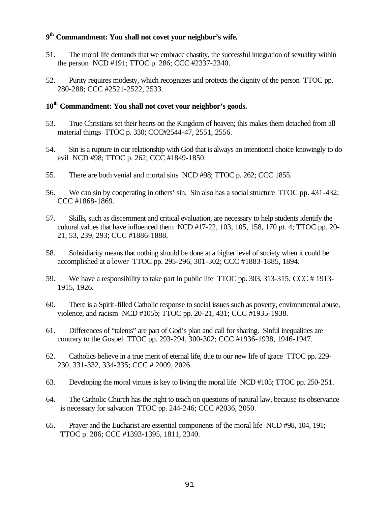## **9 th Commandment: You shall not covet your neighbor's wife.**

- 51. The moral life demands that we embrace chastity, the successful integration of sexuality within the person NCD #191; TTOC p. 286; CCC #2337-2340.
- 52. Purity requires modesty, which recognizes and protects the dignity of the person TTOC pp. 280-288; CCC #2521-2522, 2533.

## **10th Commandment: You shall not covet your neighbor's goods.**

- 53. True Christians set their hearts on the Kingdom of heaven; this makes them detached from all material things TTOC p. 330; CCC#2544-47, 2551, 2556.
- 54. Sin is a rupture in our relationship with God that is always an intentional choice knowingly to do evil NCD #98; TTOC p. 262; CCC #1849-1850.
- 55. There are both venial and mortal sins NCD #98; TTOC p. 262; CCC 1855.
- 56. We can sin by cooperating in others' sin. Sin also has a social structure TTOC pp. 431-432; CCC #1868-1869.
- 57. Skills, such as discernment and critical evaluation, are necessary to help students identify the cultural values that have influenced them NCD #17-22, 103, 105, 158, 170 pt. 4; TTOC pp. 20- 21, 53, 239, 293; CCC #1886-1888.
- 58. Subsidiarity means that nothing should be done at a higher level of society when it could be accomplished at a lower TTOC pp. 295-296, 301-302; CCC #1883-1885, 1894.
- 59. We have a responsibility to take part in public life TTOC pp. 303, 313-315; CCC # 1913- 1915, 1926.
- 60. There is a Spirit-filled Catholic response to social issues such as poverty, environmental abuse, violence, and racism NCD #105b; TTOC pp. 20-21, 431; CCC #1935-1938.
- 61. Differences of "talents" are part of God's plan and call for sharing. Sinful inequalities are contrary to the Gospel TTOC pp. 293-294, 300-302; CCC #1936-1938, 1946-1947.
- 62. Catholics believe in a true merit of eternal life, due to our new life of grace TTOC pp. 229- 230, 331-332, 334-335; CCC # 2009, 2026.
- 63. Developing the moral virtues is key to living the moral life NCD #105; TTOC pp. 250-251.
- 64. The Catholic Church has the right to teach on questions of natural law, because its observance is necessary for salvation TTOC pp. 244-246; CCC #2036, 2050.
- 65. Prayer and the Eucharist are essential components of the moral life NCD #98, 104, 191; TTOC p. 286; CCC #1393-1395, 1811, 2340.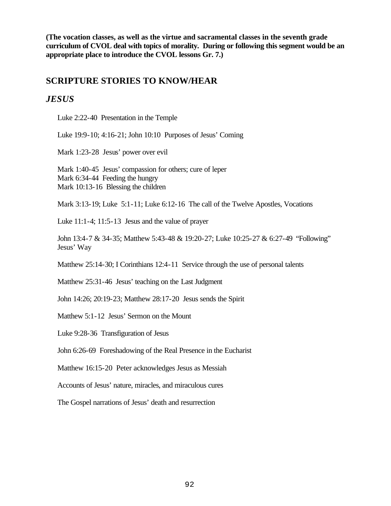**(The vocation classes, as well as the virtue and sacramental classes in the seventh grade curriculum of CVOL deal with topics of morality. During or following this segment would be an appropriate place to introduce the CVOL lessons Gr. 7.)**

## **SCRIPTURE STORIES TO KNOW/HEAR**

## *JESUS*

Luke 2:22-40 Presentation in the Temple

Luke 19:9-10; 4:16-21; John 10:10 Purposes of Jesus' Coming

Mark 1:23-28 Jesus' power over evil

Mark 1:40-45 Jesus' compassion for others; cure of leper Mark 6:34-44 Feeding the hungry Mark 10:13-16 Blessing the children

Mark 3:13-19; Luke 5:1-11; Luke 6:12-16 The call of the Twelve Apostles, Vocations

Luke 11:1-4; 11:5-13 Jesus and the value of prayer

John 13:4-7 & 34-35; Matthew 5:43-48 & 19:20-27; Luke 10:25-27 & 6:27-49 "Following" Jesus' Way

Matthew 25:14-30; I Corinthians 12:4-11 Service through the use of personal talents

Matthew 25:31-46 Jesus' teaching on the Last Judgment

John 14:26; 20:19-23; Matthew 28:17-20 Jesus sends the Spirit

Matthew 5:1-12 Jesus' Sermon on the Mount

Luke 9:28-36 Transfiguration of Jesus

John 6:26-69 Foreshadowing of the Real Presence in the Eucharist

Matthew 16:15-20 Peter acknowledges Jesus as Messiah

Accounts of Jesus' nature, miracles, and miraculous cures

The Gospel narrations of Jesus' death and resurrection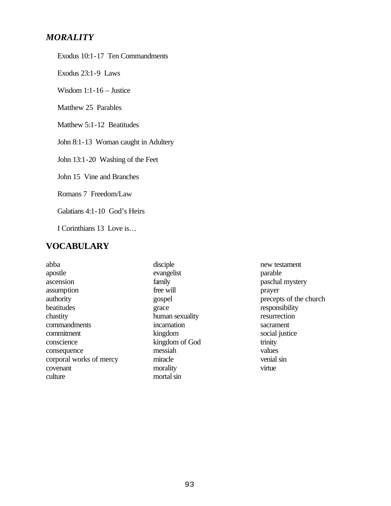## *MORALITY*

Exodus 10:1-17 Ten Commandments

Exodus 23:1-9 Laws

Wisdom 1:1-16 – Justice

Matthew 25 Parables

Matthew 5:1-12 Beatitudes

John 8:1-13 Woman caught in Adultery

John 13:1-20 Washing of the Feet

John 15 Vine and Branches

Romans 7 Freedom/Law

Galatians 4:1-10 God's Heirs

I Corinthians 13 Love is…

## **VOCABULARY**

abba apostle ascension assumption authority beatitudes chastity commandments commitment conscience consequence corporal works of mercy covenant culture

disciple evangelist family free will gospel grace human sexuality incarnation kingdom kingdom of God messiah miracle morality mortal sin

new testament parable paschal mystery prayer precepts of the church responsibility resurrection sacrament social justice trinity values venial sin virtue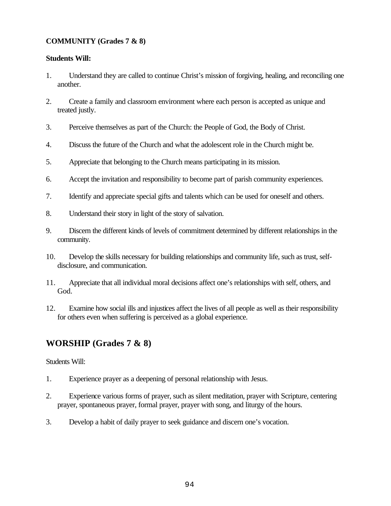## **COMMUNITY (Grades 7 & 8)**

#### **Students Will:**

- 1. Understand they are called to continue Christ's mission of forgiving, healing, and reconciling one another.
- 2. Create a family and classroom environment where each person is accepted as unique and treated justly.
- 3. Perceive themselves as part of the Church: the People of God, the Body of Christ.
- 4. Discuss the future of the Church and what the adolescent role in the Church might be.
- 5. Appreciate that belonging to the Church means participating in its mission.
- 6. Accept the invitation and responsibility to become part of parish community experiences.
- 7. Identify and appreciate special gifts and talents which can be used for oneself and others.
- 8. Understand their story in light of the story of salvation.
- 9. Discern the different kinds of levels of commitment determined by different relationships in the community.
- 10. Develop the skills necessary for building relationships and community life, such as trust, selfdisclosure, and communication.
- 11. Appreciate that all individual moral decisions affect one's relationships with self, others, and God.
- 12. Examine how social ills and injustices affect the lives of all people as well as their responsibility for others even when suffering is perceived as a global experience.

## **WORSHIP (Grades 7 & 8)**

Students Will:

- 1. Experience prayer as a deepening of personal relationship with Jesus.
- 2. Experience various forms of prayer, such as silent meditation, prayer with Scripture, centering prayer, spontaneous prayer, formal prayer, prayer with song, and liturgy of the hours.
- 3. Develop a habit of daily prayer to seek guidance and discern one's vocation.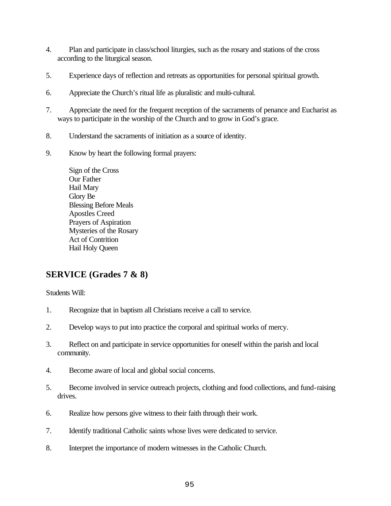- 4. Plan and participate in class/school liturgies, such as the rosary and stations of the cross according to the liturgical season.
- 5. Experience days of reflection and retreats as opportunities for personal spiritual growth.
- 6. Appreciate the Church's ritual life as pluralistic and multi-cultural.
- 7. Appreciate the need for the frequent reception of the sacraments of penance and Eucharist as ways to participate in the worship of the Church and to grow in God's grace.
- 8. Understand the sacraments of initiation as a source of identity.
- 9. Know by heart the following formal prayers:
	- Sign of the Cross Our Father Hail Mary Glory Be Blessing Before Meals Apostles Creed Prayers of Aspiration Mysteries of the Rosary Act of Contrition Hail Holy Queen

## **SERVICE (Grades 7 & 8)**

Students Will:

- 1. Recognize that in baptism all Christians receive a call to service.
- 2. Develop ways to put into practice the corporal and spiritual works of mercy.
- 3. Reflect on and participate in service opportunities for oneself within the parish and local community.
- 4. Become aware of local and global social concerns.
- 5. Become involved in service outreach projects, clothing and food collections, and fund-raising drives.
- 6. Realize how persons give witness to their faith through their work.
- 7. Identify traditional Catholic saints whose lives were dedicated to service.
- 8. Interpret the importance of modern witnesses in the Catholic Church.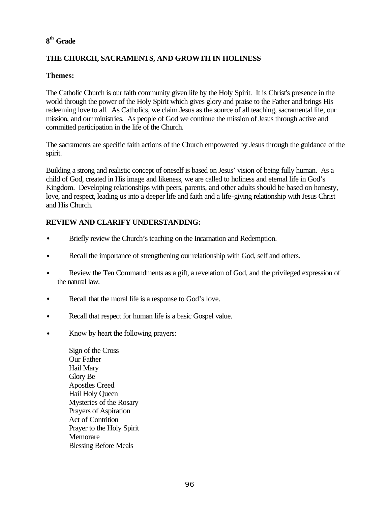## **8 th Grade**

## **THE CHURCH, SACRAMENTS, AND GROWTH IN HOLINESS**

## **Themes:**

The Catholic Church is our faith community given life by the Holy Spirit. It is Christ's presence in the world through the power of the Holy Spirit which gives glory and praise to the Father and brings His redeeming love to all. As Catholics, we claim Jesus as the source of all teaching, sacramental life, our mission, and our ministries. As people of God we continue the mission of Jesus through active and committed participation in the life of the Church.

The sacraments are specific faith actions of the Church empowered by Jesus through the guidance of the spirit.

Building a strong and realistic concept of oneself is based on Jesus' vision of being fully human. As a child of God, created in His image and likeness, we are called to holiness and eternal life in God's Kingdom. Developing relationships with peers, parents, and other adults should be based on honesty, love, and respect, leading us into a deeper life and faith and a life-giving relationship with Jesus Christ and His Church.

## **REVIEW AND CLARIFY UNDERSTANDING:**

- Briefly review the Church's teaching on the Incarnation and Redemption.
- Recall the importance of strengthening our relationship with God, self and others.
- Review the Ten Commandments as a gift, a revelation of God, and the privileged expression of the natural law.
- Recall that the moral life is a response to God's love.
- Recall that respect for human life is a basic Gospel value.
- Know by heart the following prayers:

Sign of the Cross Our Father Hail Mary Glory Be Apostles Creed Hail Holy Queen Mysteries of the Rosary Prayers of Aspiration Act of Contrition Prayer to the Holy Spirit **Memorare** Blessing Before Meals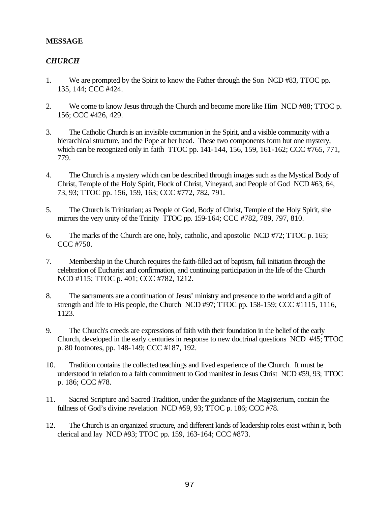#### **MESSAGE**

## *CHURCH*

- 1. We are prompted by the Spirit to know the Father through the Son NCD #83, TTOC pp. 135, 144; CCC #424.
- 2. We come to know Jesus through the Church and become more like Him NCD #88; TTOC p. 156; CCC #426, 429.
- 3. The Catholic Church is an invisible communion in the Spirit, and a visible community with a hierarchical structure, and the Pope at her head. These two components form but one mystery, which can be recognized only in faith TTOC pp. 141-144, 156, 159, 161-162; CCC #765, 771, 779.
- 4. The Church is a mystery which can be described through images such as the Mystical Body of Christ, Temple of the Holy Spirit, Flock of Christ, Vineyard, and People of God NCD #63, 64, 73, 93; TTOC pp. 156, 159, 163; CCC #772, 782, 791.
- 5. The Church is Trinitarian; as People of God, Body of Christ, Temple of the Holy Spirit, she mirrors the very unity of the Trinity TTOC pp. 159-164; CCC #782, 789, 797, 810.
- 6. The marks of the Church are one, holy, catholic, and apostolic NCD #72; TTOC p. 165; CCC #750.
- 7. Membership in the Church requires the faith-filled act of baptism, full initiation through the celebration of Eucharist and confirmation, and continuing participation in the life of the Church NCD #115; TTOC p. 401; CCC #782, 1212.
- 8. The sacraments are a continuation of Jesus' ministry and presence to the world and a gift of strength and life to His people, the Church NCD #97; TTOC pp. 158-159; CCC #1115, 1116, 1123.
- 9. The Church's creeds are expressions of faith with their foundation in the belief of the early Church, developed in the early centuries in response to new doctrinal questions NCD #45; TTOC p. 80 footnotes, pp. 148-149; CCC #187, 192.
- 10. Tradition contains the collected teachings and lived experience of the Church. It must be understood in relation to a faith commitment to God manifest in Jesus Christ NCD #59, 93; TTOC p. 186; CCC #78.
- 11. Sacred Scripture and Sacred Tradition, under the guidance of the Magisterium, contain the fullness of God's divine revelation NCD #59, 93; TTOC p. 186; CCC #78.
- 12. The Church is an organized structure, and different kinds of leadership roles exist within it, both clerical and lay NCD #93; TTOC pp. 159, 163-164; CCC #873.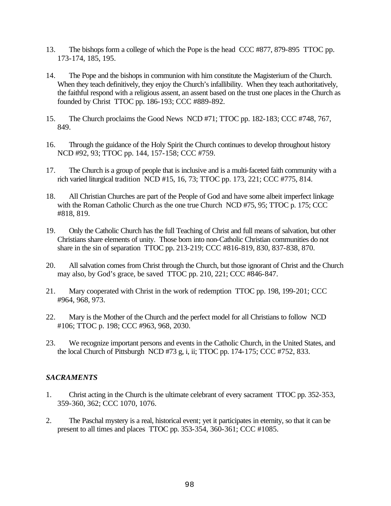- 13. The bishops form a college of which the Pope is the head CCC #877, 879-895 TTOC pp. 173-174, 185, 195.
- 14. The Pope and the bishops in communion with him constitute the Magisterium of the Church. When they teach definitively, they enjoy the Church's infallibility. When they teach authoritatively, the faithful respond with a religious assent, an assent based on the trust one places in the Church as founded by Christ TTOC pp. 186-193; CCC #889-892.
- 15. The Church proclaims the Good News NCD #71; TTOC pp. 182-183; CCC #748, 767, 849.
- 16. Through the guidance of the Holy Spirit the Church continues to develop throughout history NCD #92, 93; TTOC pp. 144, 157-158; CCC #759.
- 17. The Church is a group of people that is inclusive and is a multi-faceted faith community with a rich varied liturgical tradition NCD #15, 16, 73; TTOC pp. 173, 221; CCC #775, 814.
- 18. All Christian Churches are part of the People of God and have some albeit imperfect linkage with the Roman Catholic Church as the one true Church NCD #75, 95; TTOC p. 175; CCC #818, 819.
- 19. Only the Catholic Church has the full Teaching of Christ and full means of salvation, but other Christians share elements of unity. Those born into non-Catholic Christian communities do not share in the sin of separation TTOC pp. 213-219; CCC #816-819, 830, 837-838, 870.
- 20. All salvation comes from Christ through the Church, but those ignorant of Christ and the Church may also, by God's grace, be saved TTOC pp. 210, 221; CCC #846-847.
- 21. Mary cooperated with Christ in the work of redemption TTOC pp. 198, 199-201; CCC #964, 968, 973.
- 22. Mary is the Mother of the Church and the perfect model for all Christians to follow NCD #106; TTOC p. 198; CCC #963, 968, 2030.
- 23. We recognize important persons and events in the Catholic Church, in the United States, and the local Church of Pittsburgh NCD  $#73$  g, i, ii; TTOC pp. 174-175; CCC  $#752$ , 833.

## *SACRAMENTS*

- 1. Christ acting in the Church is the ultimate celebrant of every sacrament TTOC pp. 352-353, 359-360, 362; CCC 1070, 1076.
- 2. The Paschal mystery is a real, historical event; yet it participates in eternity, so that it can be present to all times and places TTOC pp. 353-354, 360-361; CCC #1085.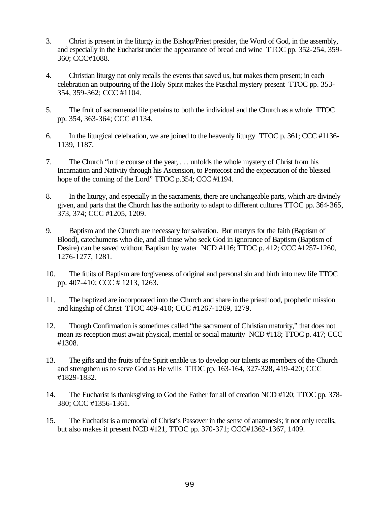- 3. Christ is present in the liturgy in the Bishop/Priest presider, the Word of God, in the assembly, and especially in the Eucharist under the appearance of bread and wine TTOC pp. 352-254, 359- 360; CCC#1088.
- 4. Christian liturgy not only recalls the events that saved us, but makes them present; in each celebration an outpouring of the Holy Spirit makes the Paschal mystery present TTOC pp. 353- 354, 359-362; CCC #1104.
- 5. The fruit of sacramental life pertains to both the individual and the Church as a whole TTOC pp. 354, 363-364; CCC #1134.
- 6. In the liturgical celebration, we are joined to the heavenly liturgy TTOC p. 361; CCC #1136- 1139, 1187.
- 7. The Church "in the course of the year, . . . unfolds the whole mystery of Christ from his Incarnation and Nativity through his Ascension, to Pentecost and the expectation of the blessed hope of the coming of the Lord" TTOC p.354; CCC #1194.
- 8. In the liturgy, and especially in the sacraments, there are unchangeable parts, which are divinely given, and parts that the Church has the authority to adapt to different cultures TTOC pp. 364-365, 373, 374; CCC #1205, 1209.
- 9. Baptism and the Church are necessary for salvation. But martyrs for the faith (Baptism of Blood), catechumens who die, and all those who seek God in ignorance of Baptism (Baptism of Desire) can be saved without Baptism by water NCD #116; TTOC p. 412; CCC #1257-1260, 1276-1277, 1281.
- 10. The fruits of Baptism are forgiveness of original and personal sin and birth into new life TTOC pp. 407-410; CCC # 1213, 1263.
- 11. The baptized are incorporated into the Church and share in the priesthood, prophetic mission and kingship of Christ TTOC 409-410; CCC #1267-1269, 1279.
- 12. Though Confirmation is sometimes called "the sacrament of Christian maturity," that does not mean its reception must await physical, mental or social maturity NCD #118; TTOC p. 417; CCC #1308.
- 13. The gifts and the fruits of the Spirit enable us to develop our talents as members of the Church and strengthen us to serve God as He wills TTOC pp. 163-164, 327-328, 419-420; CCC #1829-1832.
- 14. The Eucharist is thanksgiving to God the Father for all of creation NCD #120; TTOC pp. 378- 380; CCC #1356-1361.
- 15. The Eucharist is a memorial of Christ's Passover in the sense of anamnesis; it not only recalls, but also makes it present NCD #121, TTOC pp. 370-371; CCC#1362-1367, 1409.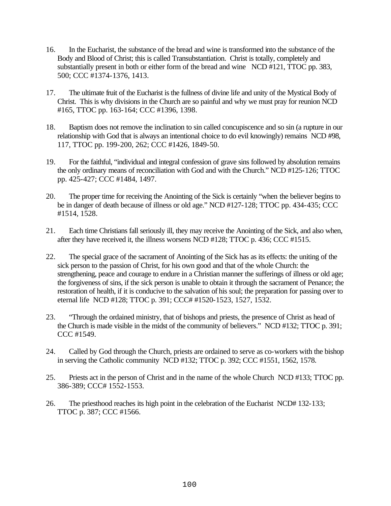- 16. In the Eucharist, the substance of the bread and wine is transformed into the substance of the Body and Blood of Christ; this is called Transubstantiation. Christ is totally, completely and substantially present in both or either form of the bread and wine NCD #121, TTOC pp. 383, 500; CCC #1374-1376, 1413.
- 17. The ultimate fruit of the Eucharist is the fullness of divine life and unity of the Mystical Body of Christ. This is why divisions in the Church are so painful and why we must pray for reunion NCD #165, TTOC pp. 163-164; CCC #1396, 1398.
- 18. Baptism does not remove the inclination to sin called concupiscence and so sin (a rupture in our relationship with God that is always an intentional choice to do evil knowingly) remains NCD #98, 117, TTOC pp. 199-200, 262; CCC #1426, 1849-50.
- 19. For the faithful, "individual and integral confession of grave sins followed by absolution remains the only ordinary means of reconciliation with God and with the Church." NCD #125-126; TTOC pp. 425-427; CCC #1484, 1497.
- 20. The proper time for receiving the Anointing of the Sick is certainly "when the believer begins to be in danger of death because of illness or old age." NCD #127-128; TTOC pp. 434-435; CCC #1514, 1528.
- 21. Each time Christians fall seriously ill, they may receive the Anointing of the Sick, and also when, after they have received it, the illness worsens NCD #128; TTOC p. 436; CCC #1515.
- 22. The special grace of the sacrament of Anointing of the Sick has as its effects: the uniting of the sick person to the passion of Christ, for his own good and that of the whole Church: the strengthening, peace and courage to endure in a Christian manner the sufferings of illness or old age; the forgiveness of sins, if the sick person is unable to obtain it through the sacrament of Penance; the restoration of health, if it is conducive to the salvation of his soul; the preparation for passing over to eternal life NCD #128; TTOC p. 391; CCC# #1520-1523, 1527, 1532.
- 23. "Through the ordained ministry, that of bishops and priests, the presence of Christ as head of the Church is made visible in the midst of the community of believers." NCD #132; TTOC p. 391; CCC #1549.
- 24. Called by God through the Church, priests are ordained to serve as co-workers with the bishop in serving the Catholic community NCD #132; TTOC p. 392; CCC #1551, 1562, 1578.
- 25. Priests act in the person of Christ and in the name of the whole Church NCD #133; TTOC pp. 386-389; CCC# 1552-1553.
- 26. The priesthood reaches its high point in the celebration of the Eucharist NCD# 132-133; TTOC p. 387; CCC #1566.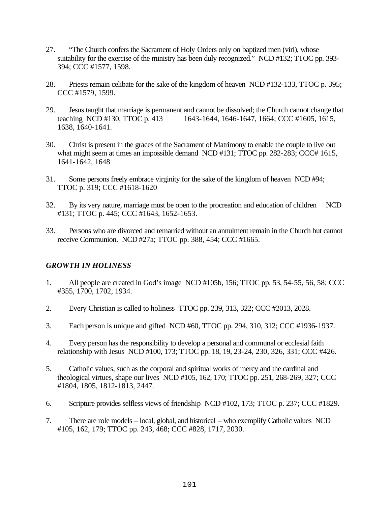- 27. "The Church confers the Sacrament of Holy Orders only on baptized men (viri), whose suitability for the exercise of the ministry has been duly recognized." NCD #132; TTOC pp. 393- 394; CCC #1577, 1598.
- 28. Priests remain celibate for the sake of the kingdom of heaven NCD #132-133, TTOC p. 395; CCC #1579, 1599.
- 29. Jesus taught that marriage is permanent and cannot be dissolved; the Church cannot change that teaching NCD #130, TTOC p. 413 1643-1644, 1646-1647, 1664; CCC #1605, 1615, 1638, 1640-1641.
- 30. Christ is present in the graces of the Sacrament of Matrimony to enable the couple to live out what might seem at times an impossible demand NCD #131; TTOC pp. 282-283; CCC# 1615, 1641-1642, 1648
- 31. Some persons freely embrace virginity for the sake of the kingdom of heaven NCD #94; TTOC p. 319; CCC #1618-1620
- 32. By its very nature, marriage must be open to the procreation and education of children NCD #131; TTOC p. 445; CCC #1643, 1652-1653.
- 33. Persons who are divorced and remarried without an annulment remain in the Church but cannot receive Communion. NCD #27a; TTOC pp. 388, 454; CCC #1665.

## *GROWTH IN HOLINESS*

- 1. All people are created in God's image NCD #105b, 156; TTOC pp. 53, 54-55, 56, 58; CCC #355, 1700, 1702, 1934.
- 2. Every Christian is called to holiness TTOC pp. 239, 313, 322; CCC #2013, 2028.
- 3. Each person is unique and gifted NCD #60, TTOC pp. 294, 310, 312; CCC #1936-1937.
- 4. Every person has the responsibility to develop a personal and communal or ecclesial faith relationship with Jesus NCD #100, 173; TTOC pp. 18, 19, 23-24, 230, 326, 331; CCC #426.
- 5. Catholic values, such as the corporal and spiritual works of mercy and the cardinal and theological virtues, shape our lives NCD #105, 162, 170; TTOC pp. 251, 268-269, 327; CCC #1804, 1805, 1812-1813, 2447.
- 6. Scripture provides selfless views of friendship NCD #102, 173; TTOC p. 237; CCC #1829.
- 7. There are role models local, global, and historical who exemplify Catholic values NCD #105, 162, 179; TTOC pp. 243, 468; CCC #828, 1717, 2030.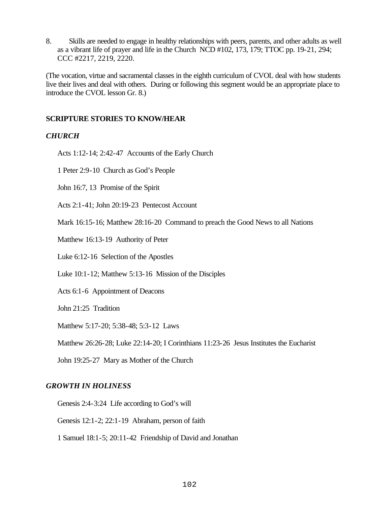8. Skills are needed to engage in healthy relationships with peers, parents, and other adults as well as a vibrant life of prayer and life in the Church NCD #102, 173, 179; TTOC pp. 19-21, 294; CCC #2217, 2219, 2220.

(The vocation, virtue and sacramental classes in the eighth curriculum of CVOL deal with how students live their lives and deal with others. During or following this segment would be an appropriate place to introduce the CVOL lesson Gr. 8.)

#### **SCRIPTURE STORIES TO KNOW/HEAR**

#### *CHURCH*

Acts 1:12-14; 2:42-47 Accounts of the Early Church

1 Peter 2:9-10 Church as God's People

John 16:7, 13 Promise of the Spirit

Acts 2:1-41; John 20:19-23 Pentecost Account

Mark 16:15-16; Matthew 28:16-20 Command to preach the Good News to all Nations

Matthew 16:13-19 Authority of Peter

Luke 6:12-16 Selection of the Apostles

Luke 10:1-12; Matthew 5:13-16 Mission of the Disciples

Acts 6:1-6 Appointment of Deacons

John 21:25 Tradition

Matthew 5:17-20; 5:38-48; 5:3-12 Laws

Matthew 26:26-28; Luke 22:14-20; I Corinthians 11:23-26 Jesus Institutes the Eucharist

John 19:25-27 Mary as Mother of the Church

#### *GROWTH IN HOLINESS*

Genesis 2:4-3:24 Life according to God's will

Genesis 12:1-2; 22:1-19 Abraham, person of faith

1 Samuel 18:1-5; 20:11-42 Friendship of David and Jonathan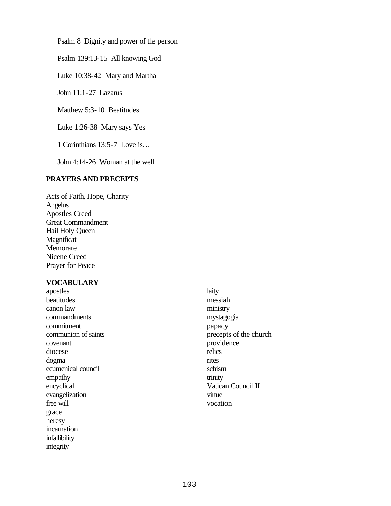Psalm 8 Dignity and power of the person

Psalm 139:13-15 All knowing God

Luke 10:38-42 Mary and Martha

John 11:1-27 Lazarus

Matthew 5:3-10 Beatitudes

Luke 1:26-38 Mary says Yes

1 Corinthians 13:5-7 Love is…

John 4:14-26 Woman at the well

#### **PRAYERS AND PRECEPTS**

Acts of Faith, Hope, Charity Angelus Apostles Creed Great Commandment Hail Holy Queen Magnificat Memorare Nicene Creed Prayer for Peace

#### **VOCABULARY**

apostles beatitudes canon law commandments commitment communion of saints covenant diocese dogma ecumenical council empathy encyclical evangelization free will grace heresy incarnation infallibility integrity

laity messiah ministry mystagogia papacy precepts of the church providence relics rites schism trinity Vatican Council II virtue vocation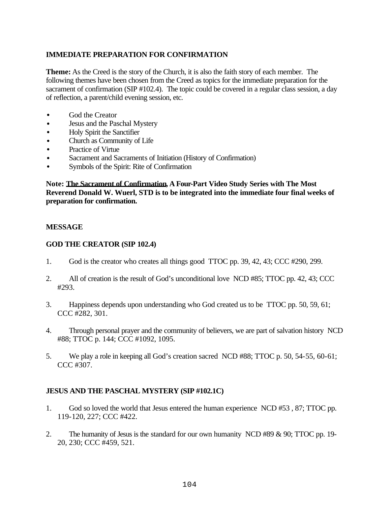## **IMMEDIATE PREPARATION FOR CONFIRMATION**

**Theme:** As the Creed is the story of the Church, it is also the faith story of each member. The following themes have been chosen from the Creed as topics for the immediate preparation for the sacrament of confirmation (SIP #102.4). The topic could be covered in a regular class session, a day of reflection, a parent/child evening session, etc.

- God the Creator
- Jesus and the Paschal Mystery
- Holy Spirit the Sanctifier
- Church as Community of Life
- Practice of Virtue
- Sacrament and Sacraments of Initiation (History of Confirmation)
- Symbols of the Spirit: Rite of Confirmation

**Note: The Sacrament of Confirmation, A Four-Part Video Study Series with The Most Reverend Donald W. Wuerl, STD is to be integrated into the immediate four final weeks of preparation for confirmation.**

#### **MESSAGE**

#### **GOD THE CREATOR (SIP 102.4)**

- 1. God is the creator who creates all things good TTOC pp. 39, 42, 43; CCC #290, 299.
- 2. All of creation is the result of God's unconditional love NCD #85; TTOC pp. 42, 43; CCC #293.
- 3. Happiness depends upon understanding who God created us to be TTOC pp. 50, 59, 61; CCC #282, 301.
- 4. Through personal prayer and the community of believers, we are part of salvation history NCD #88; TTOC p. 144; CCC #1092, 1095.
- 5. We play a role in keeping all God's creation sacred NCD #88; TTOC p. 50, 54-55, 60-61; CCC #307.

#### **JESUS AND THE PASCHAL MYSTERY (SIP #102.1C)**

- 1. God so loved the world that Jesus entered the human experience NCD #53 , 87; TTOC pp. 119-120, 227; CCC #422.
- 2. The humanity of Jesus is the standard for our own humanity NCD #89 & 90; TTOC pp. 19- 20, 230; CCC #459, 521.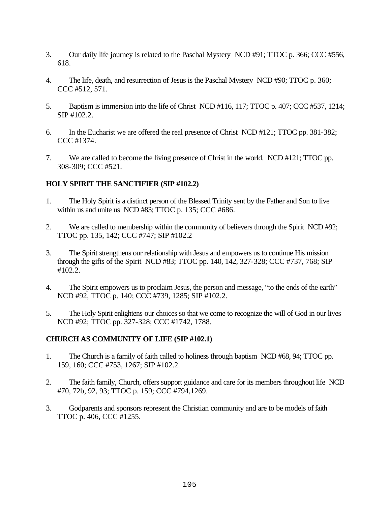- 3. Our daily life journey is related to the Paschal Mystery NCD #91; TTOC p. 366; CCC #556, 618.
- 4. The life, death, and resurrection of Jesus is the Paschal Mystery NCD #90; TTOC p. 360; CCC #512, 571.
- 5. Baptism is immersion into the life of Christ NCD #116, 117; TTOC p. 407; CCC #537, 1214; SIP #102.2.
- 6. In the Eucharist we are offered the real presence of Christ NCD #121; TTOC pp. 381-382; CCC #1374.
- 7. We are called to become the living presence of Christ in the world. NCD #121; TTOC pp. 308-309; CCC #521.

#### **HOLY SPIRIT THE SANCTIFIER (SIP #102.2)**

- 1. The Holy Spirit is a distinct person of the Blessed Trinity sent by the Father and Son to live within us and unite us NCD #83; TTOC p. 135; CCC #686.
- 2. We are called to membership within the community of believers through the Spirit NCD #92; TTOC pp. 135, 142; CCC #747; SIP #102.2
- 3. The Spirit strengthens our relationship with Jesus and empowers us to continue His mission through the gifts of the Spirit NCD #83; TTOC pp. 140, 142, 327-328; CCC #737, 768; SIP #102.2.
- 4. The Spirit empowers us to proclaim Jesus, the person and message, "to the ends of the earth" NCD #92, TTOC p. 140; CCC #739, 1285; SIP #102.2.
- 5. The Holy Spirit enlightens our choices so that we come to recognize the will of God in our lives NCD #92; TTOC pp. 327-328; CCC #1742, 1788.

## **CHURCH AS COMMUNITY OF LIFE (SIP #102.1)**

- 1. The Church is a family of faith called to holiness through baptism NCD #68, 94; TTOC pp. 159, 160; CCC #753, 1267; SIP #102.2.
- 2. The faith family, Church, offers support guidance and care for its members throughout life NCD #70, 72b, 92, 93; TTOC p. 159; CCC #794,1269.
- 3. Godparents and sponsors represent the Christian community and are to be models of faith TTOC p. 406, CCC #1255.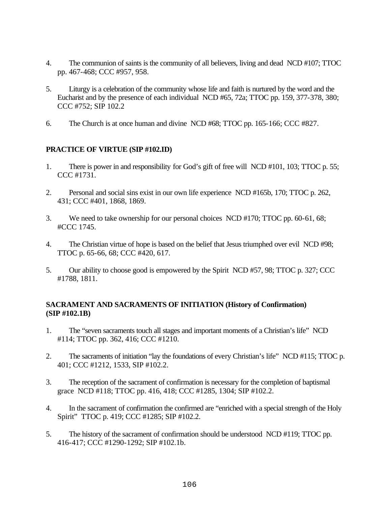- 4. The communion of saints is the community of all believers, living and dead NCD #107; TTOC pp. 467-468; CCC #957, 958.
- 5. Liturgy is a celebration of the community whose life and faith is nurtured by the word and the Eucharist and by the presence of each individual NCD #65, 72a; TTOC pp. 159, 377-378, 380; CCC #752; SIP 102.2
- 6. The Church is at once human and divine NCD #68; TTOC pp. 165-166; CCC #827.

#### **PRACTICE OF VIRTUE (SIP #102.ID)**

- 1. There is power in and responsibility for God's gift of free will NCD #101, 103; TTOC p. 55; CCC #1731.
- 2. Personal and social sins exist in our own life experience NCD #165b, 170; TTOC p. 262, 431; CCC #401, 1868, 1869.
- 3. We need to take ownership for our personal choices NCD #170; TTOC pp. 60-61, 68; #CCC 1745.
- 4. The Christian virtue of hope is based on the belief that Jesus triumphed over evil NCD #98; TTOC p. 65-66, 68; CCC #420, 617.
- 5. Our ability to choose good is empowered by the Spirit NCD #57, 98; TTOC p. 327; CCC #1788, 1811.

#### **SACRAMENT AND SACRAMENTS OF INITIATION (History of Confirmation) (SIP #102.1B)**

- 1. The "seven sacraments touch all stages and important moments of a Christian's life" NCD #114; TTOC pp. 362, 416; CCC #1210.
- 2. The sacraments of initiation "lay the foundations of every Christian's life" NCD #115; TTOC p. 401; CCC #1212, 1533, SIP #102.2.
- 3. The reception of the sacrament of confirmation is necessary for the completion of baptismal grace NCD #118; TTOC pp. 416, 418; CCC #1285, 1304; SIP #102.2.
- 4. In the sacrament of confirmation the confirmed are "enriched with a special strength of the Holy Spirit" TTOC p. 419; CCC #1285; SIP #102.2.
- 5. The history of the sacrament of confirmation should be understood NCD #119; TTOC pp. 416-417; CCC #1290-1292; SIP #102.1b.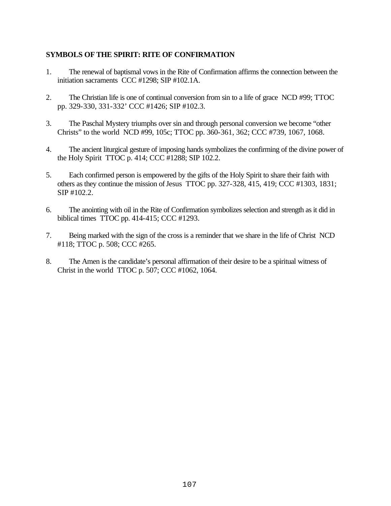# **SYMBOLS OF THE SPIRIT: RITE OF CONFIRMATION**

- 1. The renewal of baptismal vows in the Rite of Confirmation affirms the connection between the initiation sacraments CCC #1298; SIP #102.1A.
- 2. The Christian life is one of continual conversion from sin to a life of grace NCD #99; TTOC pp. 329-330, 331-332' CCC #1426; SIP #102.3.
- 3. The Paschal Mystery triumphs over sin and through personal conversion we become "other Christs" to the world NCD #99, 105c; TTOC pp. 360-361, 362; CCC #739, 1067, 1068.
- 4. The ancient liturgical gesture of imposing hands symbolizes the confirming of the divine power of the Holy Spirit TTOC p. 414; CCC #1288; SIP 102.2.
- 5. Each confirmed person is empowered by the gifts of the Holy Spirit to share their faith with others as they continue the mission of Jesus TTOC pp. 327-328, 415, 419; CCC #1303, 1831; SIP #102.2.
- 6. The anointing with oil in the Rite of Confirmation symbolizes selection and strength as it did in biblical times TTOC pp. 414-415; CCC #1293.
- 7. Being marked with the sign of the cross is a reminder that we share in the life of Christ NCD #118; TTOC p. 508; CCC #265.
- 8. The Amen is the candidate's personal affirmation of their desire to be a spiritual witness of Christ in the world TTOC p. 507; CCC #1062, 1064.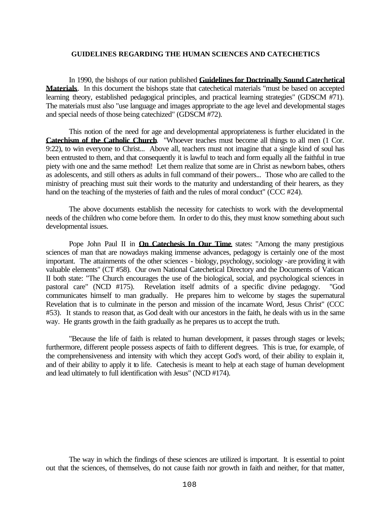#### **GUIDELINES REGARDING THE HUMAN SCIENCES AND CATECHETICS**

In 1990, the bishops of our nation published **Guidelines for Doctrinally Sound Catechetical Materials**. In this document the bishops state that catechetical materials "must be based on accepted learning theory, established pedagogical principles, and practical learning strategies" (GDSCM #71). The materials must also "use language and images appropriate to the age level and developmental stages and special needs of those being catechized" (GDSCM #72).

This notion of the need for age and developmental appropriateness is further elucidated in the **Catechism of the Catholic Church**. "Whoever teaches must become all things to all men (1 Cor. 9:22), to win everyone to Christ... Above all, teachers must not imagine that a single kind of soul has been entrusted to them, and that consequently it is lawful to teach and form equally all the faithful in true piety with one and the same method! Let them realize that some are in Christ as newborn babes, others as adolescents, and still others as adults in full command of their powers... Those who are called to the ministry of preaching must suit their words to the maturity and understanding of their hearers, as they hand on the teaching of the mysteries of faith and the rules of moral conduct" (CCC #24).

The above documents establish the necessity for catechists to work with the developmental needs of the children who come before them. In order to do this, they must know something about such developmental issues.

Pope John Paul II in **On Catechesis In Our Time** states: "Among the many prestigious sciences of man that are nowadays making immense advances, pedagogy is certainly one of the most important. The attainments of the other sciences - biology, psychology, sociology -are providing it with valuable elements" (CT #58). Our own National Catechetical Directory and the Documents of Vatican II both state: "The Church encourages the use of the biological, social, and psychological sciences in pastoral care" (NCD #175). Revelation itself admits of a specific divine pedagogy. "God communicates himself to man gradually. He prepares him to welcome by stages the supernatural Revelation that is to culminate in the person and mission of the incarnate Word, Jesus Christ" (CCC #53). It stands to reason that, as God dealt with our ancestors in the faith, he deals with us in the same way. He grants growth in the faith gradually as he prepares us to accept the truth.

"Because the life of faith is related to human development, it passes through stages or levels; furthermore, different people possess aspects of faith to different degrees. This is true, for example, of the comprehensiveness and intensity with which they accept God's word, of their ability to explain it, and of their ability to apply it to life. Catechesis is meant to help at each stage of human development and lead ultimately to full identification with Jesus" (NCD #174).

The way in which the findings of these sciences are utilized is important. It is essential to point out that the sciences, of themselves, do not cause faith nor growth in faith and neither, for that matter,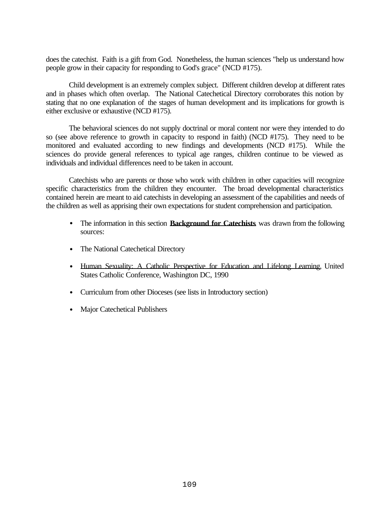does the catechist. Faith is a gift from God. Nonetheless, the human sciences "help us understand how people grow in their capacity for responding to God's grace" (NCD #175).

Child development is an extremely complex subject. Different children develop at different rates and in phases which often overlap. The National Catechetical Directory corroborates this notion by stating that no one explanation of the stages of human development and its implications for growth is either exclusive or exhaustive (NCD #175).

The behavioral sciences do not supply doctrinal or moral content nor were they intended to do so (see above reference to growth in capacity to respond in faith) (NCD #175). They need to be monitored and evaluated according to new findings and developments (NCD #175). While the sciences do provide general references to typical age ranges, children continue to be viewed as individuals and individual differences need to be taken in account.

Catechists who are parents or those who work with children in other capacities will recognize specific characteristics from the children they encounter. The broad developmental characteristics contained herein are meant to aid catechists in developing an assessment of the capabilities and needs of the children as well as apprising their own expectations for student comprehension and participation.

- The information in this section **Background for Catechists** was drawn from the following sources:
- The National Catechetical Directory
- Human Sexuality: A Catholic Perspective for Education and Lifelong Learning, United States Catholic Conference, Washington DC, 1990
- Curriculum from other Dioceses (see lists in Introductory section)
- Major Catechetical Publishers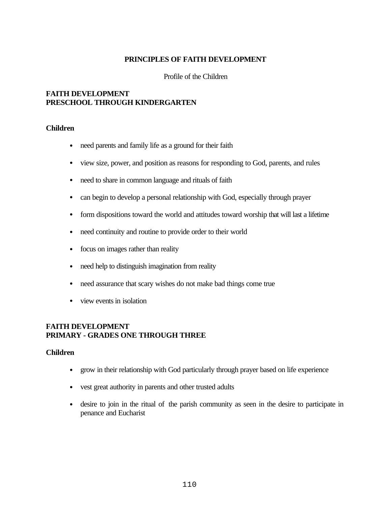#### **PRINCIPLES OF FAITH DEVELOPMENT**

Profile of the Children

#### **FAITH DEVELOPMENT PRESCHOOL THROUGH KINDERGARTEN**

#### **Children**

- need parents and family life as a ground for their faith
- view size, power, and position as reasons for responding to God, parents, and rules
- need to share in common language and rituals of faith
- can begin to develop a personal relationship with God, especially through prayer
- form dispositions toward the world and attitudes toward worship that will last a lifetime
- need continuity and routine to provide order to their world
- focus on images rather than reality
- need help to distinguish imagination from reality
- need assurance that scary wishes do not make bad things come true
- view events in isolation

#### **FAITH DEVELOPMENT PRIMARY - GRADES ONE THROUGH THREE**

#### **Children**

- grow in their relationship with God particularly through prayer based on life experience
- vest great authority in parents and other trusted adults
- desire to join in the ritual of the parish community as seen in the desire to participate in penance and Eucharist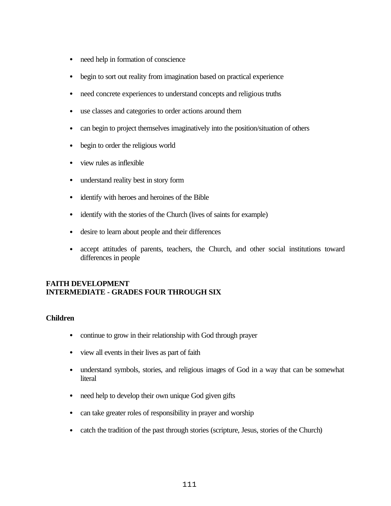- need help in formation of conscience
- begin to sort out reality from imagination based on practical experience
- need concrete experiences to understand concepts and religious truths
- use classes and categories to order actions around them
- can begin to project themselves imaginatively into the position/situation of others
- begin to order the religious world
- view rules as inflexible
- understand reality best in story form
- identify with heroes and heroines of the Bible
- identify with the stories of the Church (lives of saints for example)
- desire to learn about people and their differences
- accept attitudes of parents, teachers, the Church, and other social institutions toward differences in people

## **FAITH DEVELOPMENT INTERMEDIATE - GRADES FOUR THROUGH SIX**

#### **Children**

- continue to grow in their relationship with God through prayer
- view all events in their lives as part of faith
- understand symbols, stories, and religious images of God in a way that can be somewhat **literal**
- need help to develop their own unique God given gifts
- can take greater roles of responsibility in prayer and worship
- catch the tradition of the past through stories (scripture, Jesus, stories of the Church)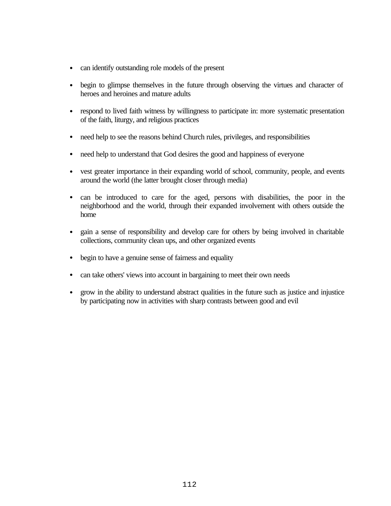- can identify outstanding role models of the present
- begin to glimpse themselves in the future through observing the virtues and character of heroes and heroines and mature adults
- respond to lived faith witness by willingness to participate in: more systematic presentation of the faith, liturgy, and religious practices
- need help to see the reasons behind Church rules, privileges, and responsibilities
- need help to understand that God desires the good and happiness of everyone
- vest greater importance in their expanding world of school, community, people, and events around the world (the latter brought closer through media)
- can be introduced to care for the aged, persons with disabilities, the poor in the neighborhood and the world, through their expanded involvement with others outside the home
- gain a sense of responsibility and develop care for others by being involved in charitable collections, community clean ups, and other organized events
- begin to have a genuine sense of fairness and equality
- can take others' views into account in bargaining to meet their own needs
- grow in the ability to understand abstract qualities in the future such as justice and injustice by participating now in activities with sharp contrasts between good and evil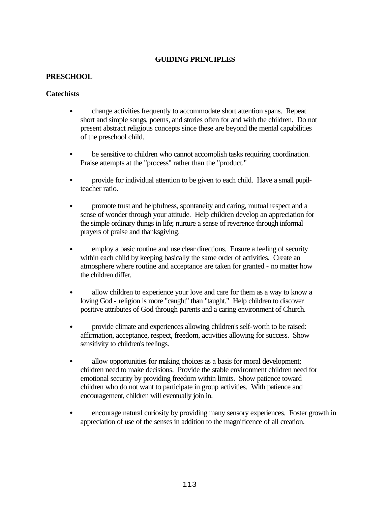## **PRESCHOOL**

#### **Catechists**

- change activities frequently to accommodate short attention spans. Repeat short and simple songs, poems, and stories often for and with the children. Do not present abstract religious concepts since these are beyond the mental capabilities of the preschool child.
- be sensitive to children who cannot accomplish tasks requiring coordination. Praise attempts at the "process" rather than the "product."
- provide for individual attention to be given to each child. Have a small pupilteacher ratio.
- promote trust and helpfulness, spontaneity and caring, mutual respect and a sense of wonder through your attitude. Help children develop an appreciation for the simple ordinary things in life; nurture a sense of reverence through informal prayers of praise and thanksgiving.
- employ a basic routine and use clear directions. Ensure a feeling of security within each child by keeping basically the same order of activities. Create an atmosphere where routine and acceptance are taken for granted - no matter how the children differ.
- allow children to experience your love and care for them as a way to know a loving God - religion is more "caught" than "taught." Help children to discover positive attributes of God through parents and a caring environment of Church.
- provide climate and experiences allowing children's self-worth to be raised: affirmation, acceptance, respect, freedom, activities allowing for success. Show sensitivity to children's feelings.
- allow opportunities for making choices as a basis for moral development; children need to make decisions. Provide the stable environment children need for emotional security by providing freedom within limits. Show patience toward children who do not want to participate in group activities. With patience and encouragement, children will eventually join in.
- encourage natural curiosity by providing many sensory experiences. Foster growth in appreciation of use of the senses in addition to the magnificence of all creation.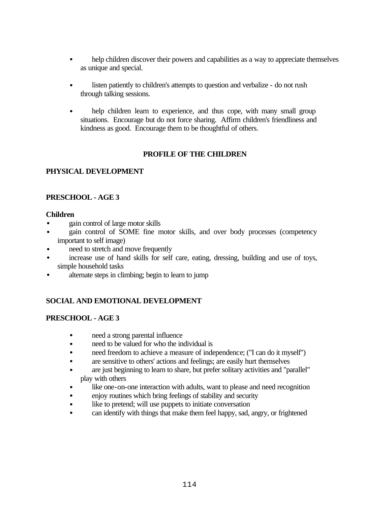- help children discover their powers and capabilities as a way to appreciate themselves as unique and special.
- listen patiently to children's attempts to question and verbalize do not rush through talking sessions.
- help children learn to experience, and thus cope, with many small group situations. Encourage but do not force sharing. Affirm children's friendliness and kindness as good. Encourage them to be thoughtful of others.

# **PROFILE OF THE CHILDREN**

# **PHYSICAL DEVELOPMENT**

## **PRESCHOOL - AGE 3**

#### **Children**

- gain control of large motor skills
- gain control of SOME fine motor skills, and over body processes (competency important to self image)
- need to stretch and move frequently
- increase use of hand skills for self care, eating, dressing, building and use of toys, simple household tasks
- alternate steps in climbing; begin to learn to jump

# **SOCIAL AND EMOTIONAL DEVELOPMENT**

#### **PRESCHOOL - AGE 3**

- need a strong parental influence
- need to be valued for who the individual is
- need freedom to achieve a measure of independence; ("I can do it myself")
- are sensitive to others' actions and feelings; are easily hurt themselves
- are just beginning to learn to share, but prefer solitary activities and "parallel" play with others
- like one-on-one interaction with adults, want to please and need recognition
- enjoy routines which bring feelings of stability and security
- like to pretend; will use puppets to initiate conversation
- can identify with things that make them feel happy, sad, angry, or frightened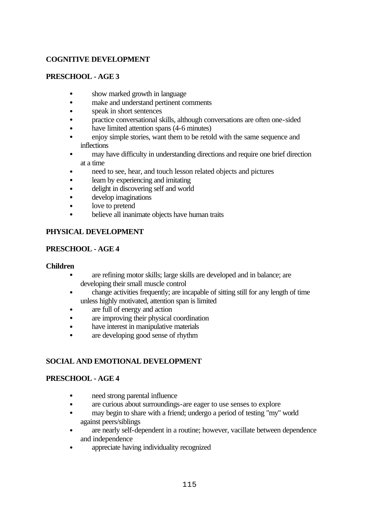## **PRESCHOOL - AGE 3**

- show marked growth in language
- make and understand pertinent comments
- speak in short sentences
- practice conversational skills, although conversations are often one-sided
- have limited attention spans (4-6 minutes)
- enjoy simple stories, want them to be retold with the same sequence and inflections
- may have difficulty in understanding directions and require one brief direction at a time
- need to see, hear, and touch lesson related objects and pictures
- learn by experiencing and imitating
- delight in discovering self and world
- develop imaginations
- love to pretend
- believe all inanimate objects have human traits

# **PHYSICAL DEVELOPMENT**

# **PRESCHOOL - AGE 4**

#### **Children**

- are refining motor skills; large skills are developed and in balance; are developing their small muscle control
- change activities frequently; are incapable of sitting still for any length of time unless highly motivated, attention span is limited
- are full of energy and action
- are improving their physical coordination
- have interest in manipulative materials
- are developing good sense of rhythm

# **SOCIAL AND EMOTIONAL DEVELOPMENT**

# **PRESCHOOL - AGE 4**

- need strong parental influence
- are curious about surroundings-are eager to use senses to explore
- may begin to share with a friend; undergo a period of testing "my" world against peers/siblings
- are nearly self-dependent in a routine; however, vacillate between dependence and independence
- appreciate having individuality recognized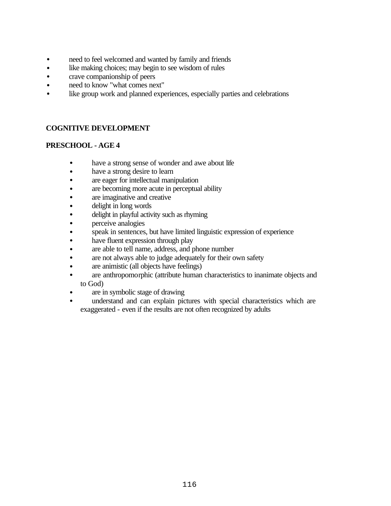- need to feel welcomed and wanted by family and friends
- like making choices; may begin to see wisdom of rules
- crave companionship of peers
- need to know "what comes next"
- like group work and planned experiences, especially parties and celebrations

## **PRESCHOOL - AGE 4**

- have a strong sense of wonder and awe about life
- have a strong desire to learn
- are eager for intellectual manipulation
- are becoming more acute in perceptual ability
- are imaginative and creative
- delight in long words
- delight in playful activity such as rhyming
- perceive analogies
- speak in sentences, but have limited linguistic expression of experience
- have fluent expression through play
- are able to tell name, address, and phone number
- are not always able to judge adequately for their own safety
- are animistic (all objects have feelings)
- are anthropomorphic (attribute human characteristics to inanimate objects and to God)
- are in symbolic stage of drawing
- understand and can explain pictures with special characteristics which are exaggerated - even if the results are not often recognized by adults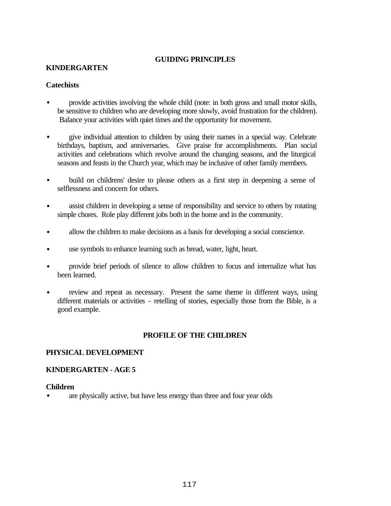#### **KINDERGARTEN**

#### **Catechists**

- provide activities involving the whole child (note: in both gross and small motor skills, be sensitive to children who are developing more slowly, avoid frustration for the children). Balance your activities with quiet times and the opportunity for movement.
- give individual attention to children by using their names in a special way. Celebrate birthdays, baptism, and anniversaries. Give praise for accomplishments. Plan social activities and celebrations which revolve around the changing seasons, and the liturgical seasons and feasts in the Church year, which may be inclusive of other family members.
- build on childrens' desire to please others as a first step in deepening a sense of selflessness and concern for others.
- assist children in developing a sense of responsibility and service to others by rotating simple chores. Role play different jobs both in the home and in the community.
- allow the children to make decisions as a basis for developing a social conscience.
- use symbols to enhance learning such as bread, water, light, heart.
- provide brief periods of silence to allow children to focus and internalize what has been learned.
- review and repeat as necessary. Present the same theme in different ways, using different materials or activities - retelling of stories, especially those from the Bible, is a good example.

#### **PROFILE OF THE CHILDREN**

#### **PHYSICAL DEVELOPMENT**

#### **KINDERGARTEN - AGE 5**

#### **Children**

• are physically active, but have less energy than three and four year olds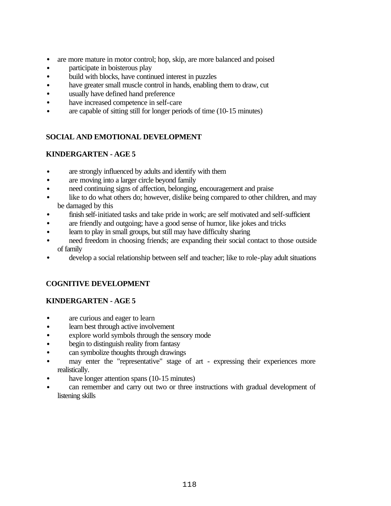- are more mature in motor control; hop, skip, are more balanced and poised
- participate in boisterous play
- build with blocks, have continued interest in puzzles
- have greater small muscle control in hands, enabling them to draw, cut
- usually have defined hand preference
- have increased competence in self-care
- are capable of sitting still for longer periods of time (10-15 minutes)

# **SOCIAL AND EMOTIONAL DEVELOPMENT**

# **KINDERGARTEN - AGE 5**

- are strongly influenced by adults and identify with them
- are moving into a larger circle beyond family
- need continuing signs of affection, belonging, encouragement and praise
- like to do what others do; however, dislike being compared to other children, and may be damaged by this
- finish self-initiated tasks and take pride in work; are self motivated and self-sufficient
- are friendly and outgoing; have a good sense of humor, like jokes and tricks
- learn to play in small groups, but still may have difficulty sharing
- need freedom in choosing friends; are expanding their social contact to those outside of family
- develop a social relationship between self and teacher; like to role-play adult situations

# **COGNITIVE DEVELOPMENT**

# **KINDERGARTEN - AGE 5**

- are curious and eager to learn
- learn best through active involvement
- explore world symbols through the sensory mode
- begin to distinguish reality from fantasy
- can symbolize thoughts through drawings
- may enter the "representative" stage of art expressing their experiences more realistically.
- have longer attention spans (10-15 minutes)
- can remember and carry out two or three instructions with gradual development of listening skills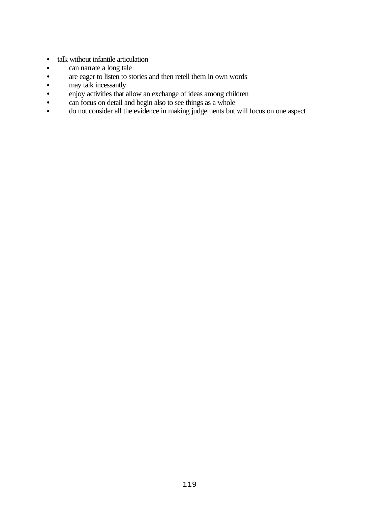- talk without infantile articulation
- can narrate a long tale
- are eager to listen to stories and then retell them in own words
- may talk incessantly
- enjoy activities that allow an exchange of ideas among children
- can focus on detail and begin also to see things as a whole
- do not consider all the evidence in making judgements but will focus on one aspect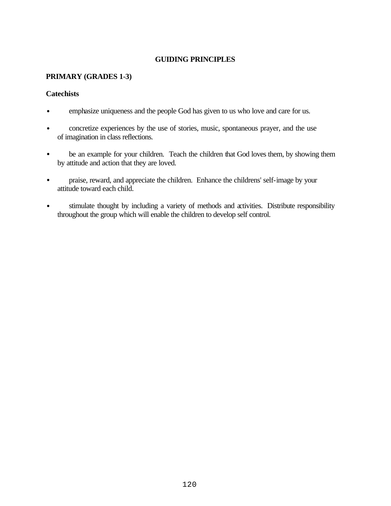## **PRIMARY (GRADES 1-3)**

## **Catechists**

- emphasize uniqueness and the people God has given to us who love and care for us.
- concretize experiences by the use of stories, music, spontaneous prayer, and the use of imagination in class reflections.
- be an example for your children. Teach the children that God loves them, by showing them by attitude and action that they are loved.
- praise, reward, and appreciate the children. Enhance the childrens' self-image by your attitude toward each child.
- stimulate thought by including a variety of methods and activities. Distribute responsibility throughout the group which will enable the children to develop self control.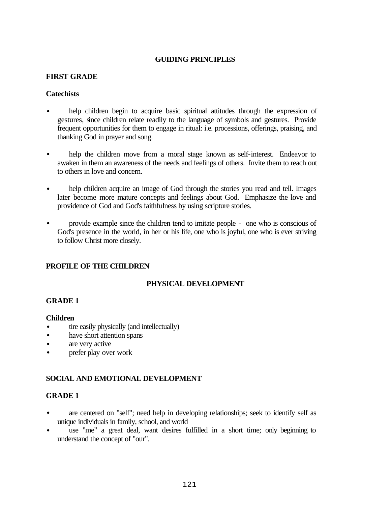## **FIRST GRADE**

## **Catechists**

- help children begin to acquire basic spiritual attitudes through the expression of gestures, since children relate readily to the language of symbols and gestures. Provide frequent opportunities for them to engage in ritual: i.e. processions, offerings, praising, and thanking God in prayer and song.
- help the children move from a moral stage known as self-interest. Endeavor to awaken in them an awareness of the needs and feelings of others. Invite them to reach out to others in love and concern.
- help children acquire an image of God through the stories you read and tell. Images later become more mature concepts and feelings about God. Emphasize the love and providence of God and God's faithfulness by using scripture stories.
- provide example since the children tend to imitate people one who is conscious of God's presence in the world, in her or his life, one who is joyful, one who is ever striving to follow Christ more closely.

# **PROFILE OF THE CHILDREN**

# **PHYSICAL DEVELOPMENT**

#### **GRADE 1**

#### **Children**

- tire easily physically (and intellectually)
- have short attention spans
- are very active
- prefer play over work

# **SOCIAL AND EMOTIONAL DEVELOPMENT**

- are centered on "self"; need help in developing relationships; seek to identify self as unique individuals in family, school, and world
- use "me" a great deal, want desires fulfilled in a short time; only beginning to understand the concept of "our".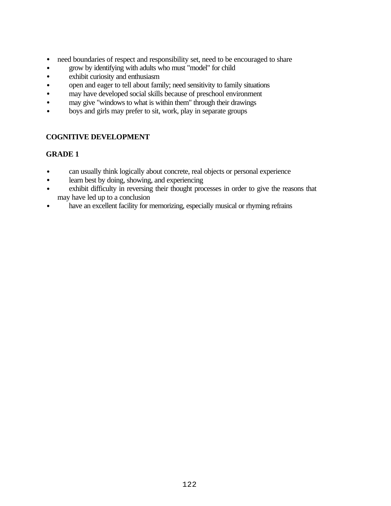- need boundaries of respect and responsibility set, need to be encouraged to share
- grow by identifying with adults who must "model" for child
- exhibit curiosity and enthusiasm
- open and eager to tell about family; need sensitivity to family situations
- may have developed social skills because of preschool environment
- may give "windows to what is within them" through their drawings
- boys and girls may prefer to sit, work, play in separate groups

- can usually think logically about concrete, real objects or personal experience
- learn best by doing, showing, and experiencing
- exhibit difficulty in reversing their thought processes in order to give the reasons that may have led up to a conclusion
- have an excellent facility for memorizing, especially musical or rhyming refrains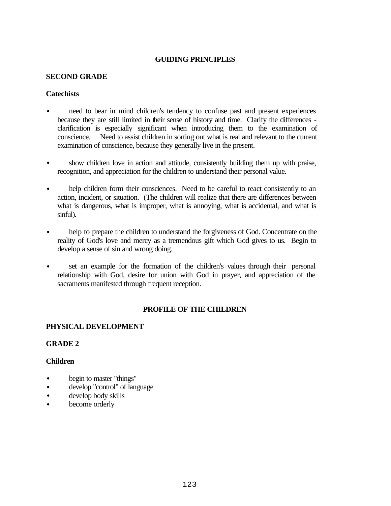#### **SECOND GRADE**

## **Catechists**

- need to bear in mind children's tendency to confuse past and present experiences because they are still limited in their sense of history and time. Clarify the differences clarification is especially significant when introducing them to the examination of conscience. Need to assist children in sorting out what is real and relevant to the current examination of conscience, because they generally live in the present.
- show children love in action and attitude, consistently building them up with praise, recognition, and appreciation for the children to understand their personal value.
- help children form their consciences. Need to be careful to react consistently to an action, incident, or situation. (The children will realize that there are differences between what is dangerous, what is improper, what is annoying, what is accidental, and what is sinful).
- help to prepare the children to understand the forgiveness of God. Concentrate on the reality of God's love and mercy as a tremendous gift which God gives to us. Begin to develop a sense of sin and wrong doing.
- set an example for the formation of the children's values through their personal relationship with God, desire for union with God in prayer, and appreciation of the sacraments manifested through frequent reception.

# **PROFILE OF THE CHILDREN**

# **PHYSICAL DEVELOPMENT**

#### **GRADE 2**

#### **Children**

- begin to master "things"
- develop "control" of language
- develop body skills
- become orderly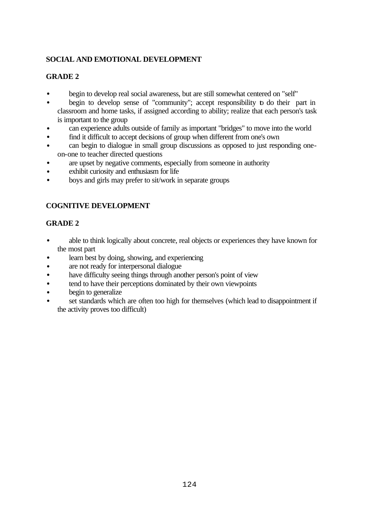# **SOCIAL AND EMOTIONAL DEVELOPMENT**

# **GRADE 2**

- begin to develop real social awareness, but are still somewhat centered on "self"
- begin to develop sense of "community"; accept responsibility to do their part in classroom and home tasks, if assigned according to ability; realize that each person's task is important to the group
- can experience adults outside of family as important "bridges" to move into the world
- find it difficult to accept decisions of group when different from one's own
- can begin to dialogue in small group discussions as opposed to just responding oneon-one to teacher directed questions
- are upset by negative comments, especially from someone in authority
- exhibit curiosity and enthusiasm for life
- boys and girls may prefer to sit/work in separate groups

# **COGNITIVE DEVELOPMENT**

- able to think logically about concrete, real objects or experiences they have known for the most part
- learn best by doing, showing, and experiencing
- are not ready for interpersonal dialogue
- have difficulty seeing things through another person's point of view
- tend to have their perceptions dominated by their own viewpoints
- begin to generalize
- set standards which are often too high for themselves (which lead to disappointment if the activity proves too difficult)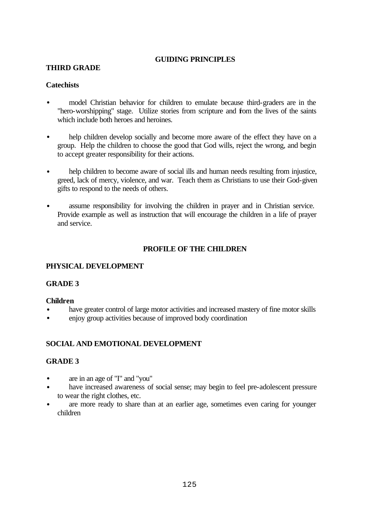## **THIRD GRADE**

#### **Catechists**

- model Christian behavior for children to emulate because third-graders are in the "hero-worshipping" stage. Utilize stories from scripture and from the lives of the saints which include both heroes and heroines.
- help children develop socially and become more aware of the effect they have on a group. Help the children to choose the good that God wills, reject the wrong, and begin to accept greater responsibility for their actions.
- help children to become aware of social ills and human needs resulting from injustice, greed, lack of mercy, violence, and war. Teach them as Christians to use their God-given gifts to respond to the needs of others.
- assume responsibility for involving the children in prayer and in Christian service. Provide example as well as instruction that will encourage the children in a life of prayer and service.

#### **PROFILE OF THE CHILDREN**

#### **PHYSICAL DEVELOPMENT**

#### **GRADE 3**

#### **Children**

- have greater control of large motor activities and increased mastery of fine motor skills
- enjoy group activities because of improved body coordination

#### **SOCIAL AND EMOTIONAL DEVELOPMENT**

- are in an age of "I" and "you"
- have increased awareness of social sense; may begin to feel pre-adolescent pressure to wear the right clothes, etc.
- are more ready to share than at an earlier age, sometimes even caring for younger children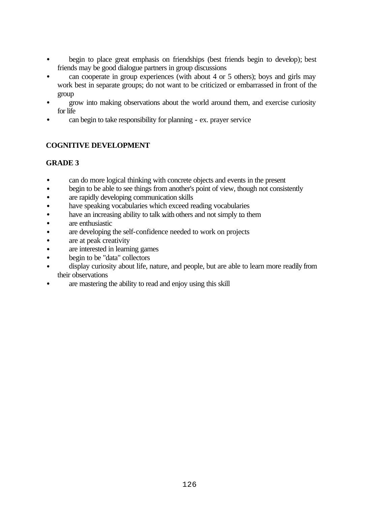- begin to place great emphasis on friendships (best friends begin to develop); best friends may be good dialogue partners in group discussions
- can cooperate in group experiences (with about 4 or 5 others); boys and girls may work best in separate groups; do not want to be criticized or embarrassed in front of the group
- grow into making observations about the world around them, and exercise curiosity for life
- can begin to take responsibility for planning ex. prayer service

- can do more logical thinking with concrete objects and events in the present
- begin to be able to see things from another's point of view, though not consistently
- are rapidly developing communication skills
- have speaking vocabularies which exceed reading vocabularies
- have an increasing ability to talk with others and not simply to them
- are enthusiastic
- are developing the self-confidence needed to work on projects
- are at peak creativity
- are interested in learning games
- begin to be "data" collectors
- display curiosity about life, nature, and people, but are able to learn more readily from their observations
- are mastering the ability to read and enjoy using this skill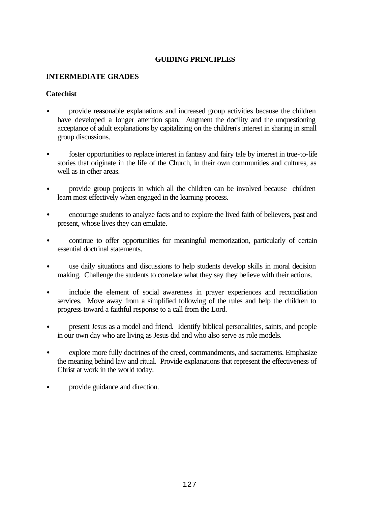#### **INTERMEDIATE GRADES**

## **Catechist**

- provide reasonable explanations and increased group activities because the children have developed a longer attention span. Augment the docility and the unquestioning acceptance of adult explanations by capitalizing on the children's interest in sharing in small group discussions.
- foster opportunities to replace interest in fantasy and fairy tale by interest in true-to-life stories that originate in the life of the Church, in their own communities and cultures, as well as in other areas.
- provide group projects in which all the children can be involved because children learn most effectively when engaged in the learning process.
- encourage students to analyze facts and to explore the lived faith of believers, past and present, whose lives they can emulate.
- continue to offer opportunities for meaningful memorization, particularly of certain essential doctrinal statements.
- use daily situations and discussions to help students develop skills in moral decision making. Challenge the students to correlate what they say they believe with their actions.
- include the element of social awareness in prayer experiences and reconciliation services. Move away from a simplified following of the rules and help the children to progress toward a faithful response to a call from the Lord.
- present Jesus as a model and friend. Identify biblical personalities, saints, and people in our own day who are living as Jesus did and who also serve as role models.
- explore more fully doctrines of the creed, commandments, and sacraments. Emphasize the meaning behind law and ritual. Provide explanations that represent the effectiveness of Christ at work in the world today.
- provide guidance and direction.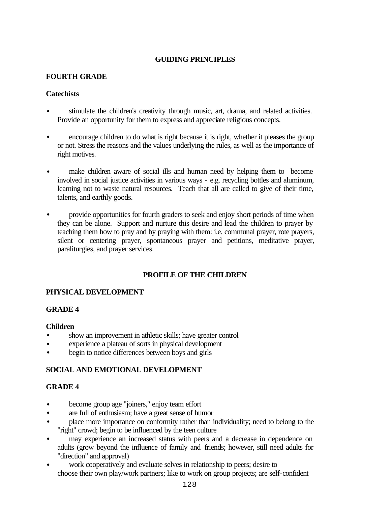## **FOURTH GRADE**

## **Catechists**

- stimulate the children's creativity through music, art, drama, and related activities. Provide an opportunity for them to express and appreciate religious concepts.
- encourage children to do what is right because it is right, whether it pleases the group or not. Stress the reasons and the values underlying the rules, as well as the importance of right motives.
- make children aware of social ills and human need by helping them to become involved in social justice activities in various ways - e.g. recycling bottles and aluminum, learning not to waste natural resources. Teach that all are called to give of their time, talents, and earthly goods.
- provide opportunities for fourth graders to seek and enjoy short periods of time when they can be alone. Support and nurture this desire and lead the children to prayer by teaching them how to pray and by praying with them: i.e. communal prayer, rote prayers, silent or centering prayer, spontaneous prayer and petitions, meditative prayer, paraliturgies, and prayer services.

# **PROFILE OF THE CHILDREN**

# **PHYSICAL DEVELOPMENT**

#### **GRADE 4**

#### **Children**

- show an improvement in athletic skills; have greater control
- experience a plateau of sorts in physical development
- begin to notice differences between boys and girls

# **SOCIAL AND EMOTIONAL DEVELOPMENT**

- become group age "joiners," enjoy team effort
- are full of enthusiasm; have a great sense of humor
- place more importance on conformity rather than individuality; need to belong to the "right" crowd; begin to be influenced by the teen culture
- may experience an increased status with peers and a decrease in dependence on adults (grow beyond the influence of family and friends; however, still need adults for "direction" and approval)
- work cooperatively and evaluate selves in relationship to peers; desire to choose their own play/work partners; like to work on group projects; are self-confident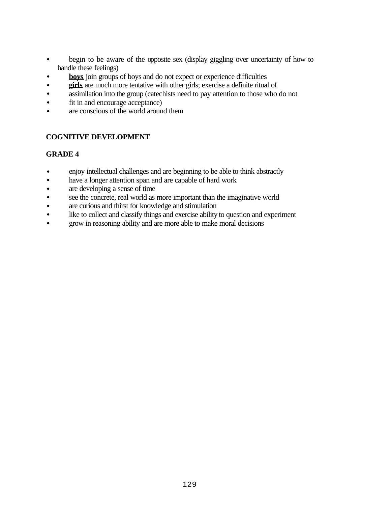- begin to be aware of the opposite sex (display giggling over uncertainty of how to handle these feelings)
- **boys** join groups of boys and do not expect or experience difficulties
- **girls** are much more tentative with other girls; exercise a definite ritual of
- assimilation into the group (catechists need to pay attention to those who do not
- fit in and encourage acceptance)
- are conscious of the world around them

- enjoy intellectual challenges and are beginning to be able to think abstractly
- have a longer attention span and are capable of hard work
- are developing a sense of time
- see the concrete, real world as more important than the imaginative world
- are curious and thirst for knowledge and stimulation
- like to collect and classify things and exercise ability to question and experiment
- grow in reasoning ability and are more able to make moral decisions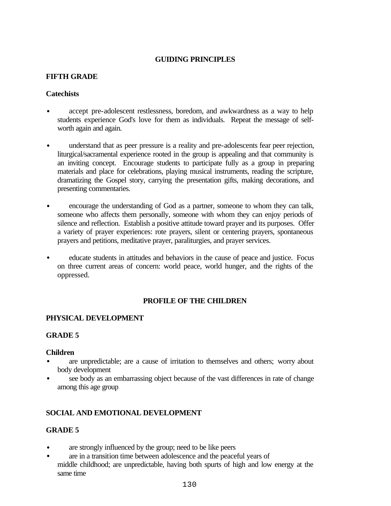## **FIFTH GRADE**

## **Catechists**

- accept pre-adolescent restlessness, boredom, and awkwardness as a way to help students experience God's love for them as individuals. Repeat the message of selfworth again and again.
- understand that as peer pressure is a reality and pre-adolescents fear peer rejection, liturgical/sacramental experience rooted in the group is appealing and that community is an inviting concept. Encourage students to participate fully as a group in preparing materials and place for celebrations, playing musical instruments, reading the scripture, dramatizing the Gospel story, carrying the presentation gifts, making decorations, and presenting commentaries.
- encourage the understanding of God as a partner, someone to whom they can talk, someone who affects them personally, someone with whom they can enjoy periods of silence and reflection. Establish a positive attitude toward prayer and its purposes. Offer a variety of prayer experiences: rote prayers, silent or centering prayers, spontaneous prayers and petitions, meditative prayer, paraliturgies, and prayer services.
- educate students in attitudes and behaviors in the cause of peace and justice. Focus on three current areas of concern: world peace, world hunger, and the rights of the oppressed.

#### **PROFILE OF THE CHILDREN**

# **PHYSICAL DEVELOPMENT**

#### **GRADE 5**

#### **Children**

- are unpredictable; are a cause of irritation to themselves and others; worry about body development
- see body as an embarrassing object because of the vast differences in rate of change among this age group

# **SOCIAL AND EMOTIONAL DEVELOPMENT**

- are strongly influenced by the group; need to be like peers
- are in a transition time between adolescence and the peaceful years of middle childhood; are unpredictable, having both spurts of high and low energy at the same time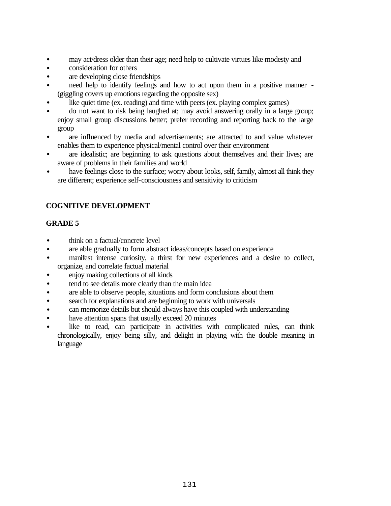- may act/dress older than their age; need help to cultivate virtues like modesty and
- consideration for others
- are developing close friendships
- need help to identify feelings and how to act upon them in a positive manner (giggling covers up emotions regarding the opposite sex)
- like quiet time (ex. reading) and time with peers (ex. playing complex games)
- do not want to risk being laughed at; may avoid answering orally in a large group; enjoy small group discussions better; prefer recording and reporting back to the large group
- are influenced by media and advertisements; are attracted to and value whatever enables them to experience physical/mental control over their environment
- are idealistic; are beginning to ask questions about themselves and their lives; are aware of problems in their families and world
- have feelings close to the surface; worry about looks, self, family, almost all think they are different; experience self-consciousness and sensitivity to criticism

- think on a factual/concrete level
- are able gradually to form abstract ideas/concepts based on experience
- manifest intense curiosity, a thirst for new experiences and a desire to collect, organize, and correlate factual material
- enjoy making collections of all kinds
- tend to see details more clearly than the main idea
- are able to observe people, situations and form conclusions about them
- search for explanations and are beginning to work with universals
- can memorize details but should always have this coupled with understanding
- have attention spans that usually exceed 20 minutes
- like to read, can participate in activities with complicated rules, can think chronologically, enjoy being silly, and delight in playing with the double meaning in language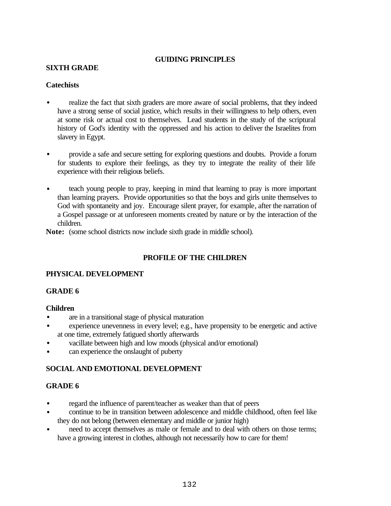#### **SIXTH GRADE**

#### **Catechists**

- realize the fact that sixth graders are more aware of social problems, that they indeed have a strong sense of social justice, which results in their willingness to help others, even at some risk or actual cost to themselves. Lead students in the study of the scriptural history of God's identity with the oppressed and his action to deliver the Israelites from slavery in Egypt.
- provide a safe and secure setting for exploring questions and doubts. Provide a forum for students to explore their feelings, as they try to integrate the reality of their life experience with their religious beliefs.
- teach young people to pray, keeping in mind that learning to pray is more important than learning prayers. Provide opportunities so that the boys and girls unite themselves to God with spontaneity and joy. Encourage silent prayer, for example, after the narration of a Gospel passage or at unforeseen moments created by nature or by the interaction of the children.

**Note:** (some school districts now include sixth grade in middle school).

# **PROFILE OF THE CHILDREN**

# **PHYSICAL DEVELOPMENT**

#### **GRADE 6**

#### **Children**

- are in a transitional stage of physical maturation
- experience unevenness in every level; e.g., have propensity to be energetic and active at one time, extremely fatigued shortly afterwards
- vacillate between high and low moods (physical and/or emotional)
- can experience the onslaught of puberty

# **SOCIAL AND EMOTIONAL DEVELOPMENT**

- regard the influence of parent/teacher as weaker than that of peers
- continue to be in transition between adolescence and middle childhood, often feel like they do not belong (between elementary and middle or junior high)
- need to accept themselves as male or female and to deal with others on those terms; have a growing interest in clothes, although not necessarily how to care for them!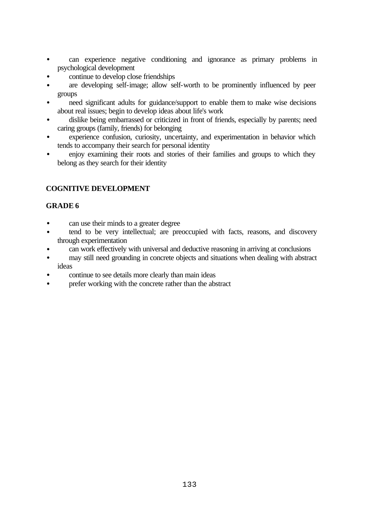- can experience negative conditioning and ignorance as primary problems in psychological development
- continue to develop close friendships
- are developing self-image; allow self-worth to be prominently influenced by peer groups
- need significant adults for guidance/support to enable them to make wise decisions about real issues; begin to develop ideas about life's work
- dislike being embarrassed or criticized in front of friends, especially by parents; need caring groups (family, friends) for belonging
- experience confusion, curiosity, uncertainty, and experimentation in behavior which tends to accompany their search for personal identity
- enjoy examining their roots and stories of their families and groups to which they belong as they search for their identity

- can use their minds to a greater degree
- tend to be very intellectual; are preoccupied with facts, reasons, and discovery through experimentation
- can work effectively with universal and deductive reasoning in arriving at conclusions
- may still need grounding in concrete objects and situations when dealing with abstract ideas
- continue to see details more clearly than main ideas
- prefer working with the concrete rather than the abstract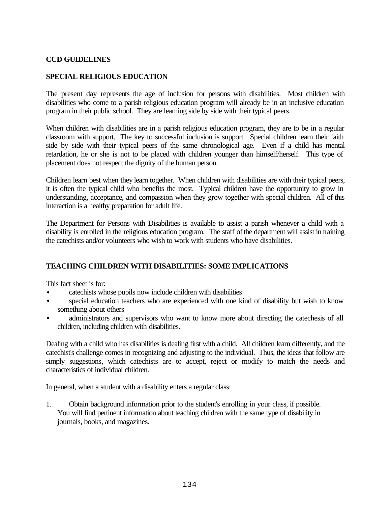## **CCD GUIDELINES**

## **SPECIAL RELIGIOUS EDUCATION**

The present day represents the age of inclusion for persons with disabilities. Most children with disabilities who come to a parish religious education program will already be in an inclusive education program in their public school. They are learning side by side with their typical peers.

When children with disabilities are in a parish religious education program, they are to be in a regular classroom with support. The key to successful inclusion is support. Special children learn their faith side by side with their typical peers of the same chronological age. Even if a child has mental retardation, he or she is not to be placed with children younger than himself/herself. This type of placement does not respect the dignity of the human person.

Children learn best when they learn together. When children with disabilities are with their typical peers, it is often the typical child who benefits the most. Typical children have the opportunity to grow in understanding, acceptance, and compassion when they grow together with special children. All of this interaction is a healthy preparation for adult life.

The Department for Persons with Disabilities is available to assist a parish whenever a child with a disability is enrolled in the religious education program. The staff of the department will assist in training the catechists and/or volunteers who wish to work with students who have disabilities.

# **TEACHING CHILDREN WITH DISABILITIES: SOME IMPLICATIONS**

This fact sheet is for:

- catechists whose pupils now include children with disabilities
- special education teachers who are experienced with one kind of disability but wish to know something about others
- administrators and supervisors who want to know more about directing the catechesis of all children, including children with disabilities.

Dealing with a child who has disabilities is dealing first with a child. All children learn differently, and the catechist's challenge comes in recognizing and adjusting to the individual. Thus, the ideas that follow are simply suggestions, which catechists are to accept, reject or modify to match the needs and characteristics of individual children.

In general, when a student with a disability enters a regular class:

1. Obtain background information prior to the student's enrolling in your class, if possible. You will find pertinent information about teaching children with the same type of disability in journals, books, and magazines.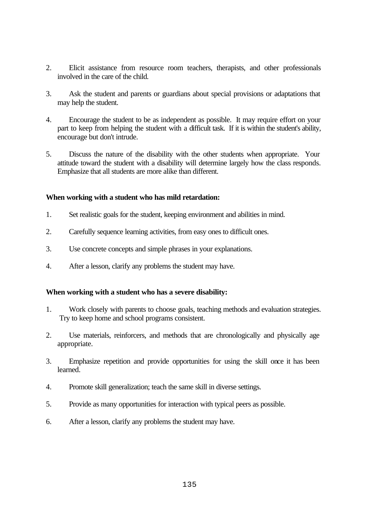- 2. Elicit assistance from resource room teachers, therapists, and other professionals involved in the care of the child.
- 3. Ask the student and parents or guardians about special provisions or adaptations that may help the student.
- 4. Encourage the student to be as independent as possible. It may require effort on your part to keep from helping the student with a difficult task. If it is within the student's ability, encourage but don't intrude.
- 5. Discuss the nature of the disability with the other students when appropriate. Your attitude toward the student with a disability will determine largely how the class responds. Emphasize that all students are more alike than different.

#### **When working with a student who has mild retardation:**

- 1. Set realistic goals for the student, keeping environment and abilities in mind.
- 2. Carefully sequence learning activities, from easy ones to difficult ones.
- 3. Use concrete concepts and simple phrases in your explanations.
- 4. After a lesson, clarify any problems the student may have.

#### **When working with a student who has a severe disability:**

- 1. Work closely with parents to choose goals, teaching methods and evaluation strategies. Try to keep home and school programs consistent.
- 2. Use materials, reinforcers, and methods that are chronologically and physically age appropriate.
- 3. Emphasize repetition and provide opportunities for using the skill once it has been learned.
- 4. Promote skill generalization; teach the same skill in diverse settings.
- 5. Provide as many opportunities for interaction with typical peers as possible.
- 6. After a lesson, clarify any problems the student may have.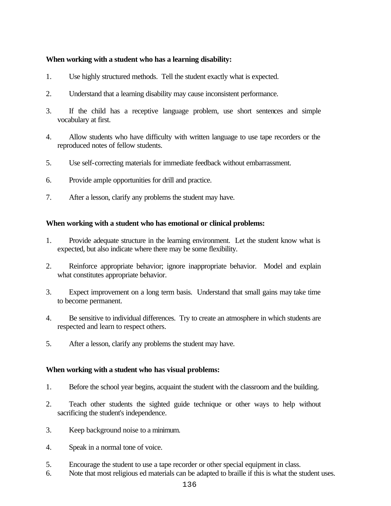#### **When working with a student who has a learning disability:**

- 1. Use highly structured methods. Tell the student exactly what is expected.
- 2. Understand that a learning disability may cause inconsistent performance.
- 3. If the child has a receptive language problem, use short sentences and simple vocabulary at first.
- 4. Allow students who have difficulty with written language to use tape recorders or the reproduced notes of fellow students.
- 5. Use self-correcting materials for immediate feedback without embarrassment.
- 6. Provide ample opportunities for drill and practice.
- 7. After a lesson, clarify any problems the student may have.

#### **When working with a student who has emotional or clinical problems:**

- 1. Provide adequate structure in the learning environment. Let the student know what is expected, but also indicate where there may be some flexibility.
- 2. Reinforce appropriate behavior; ignore inappropriate behavior. Model and explain what constitutes appropriate behavior.
- 3. Expect improvement on a long term basis. Understand that small gains may take time to become permanent.
- 4. Be sensitive to individual differences. Try to create an atmosphere in which students are respected and learn to respect others.
- 5. After a lesson, clarify any problems the student may have.

#### **When working with a student who has visual problems:**

- 1. Before the school year begins, acquaint the student with the classroom and the building.
- 2. Teach other students the sighted guide technique or other ways to help without sacrificing the student's independence.
- 3. Keep background noise to a minimum.
- 4. Speak in a normal tone of voice.
- 5. Encourage the student to use a tape recorder or other special equipment in class.
- 6. Note that most religious ed materials can be adapted to braille if this is what the student uses.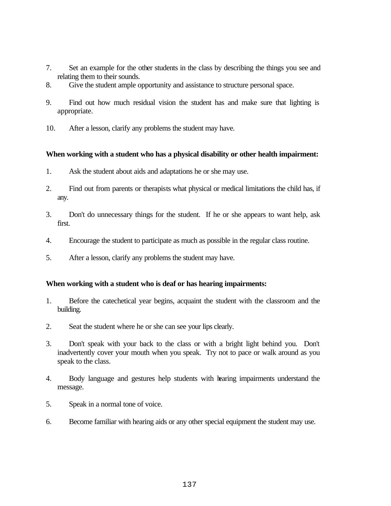- 7. Set an example for the other students in the class by describing the things you see and relating them to their sounds.
- 8. Give the student ample opportunity and assistance to structure personal space.
- 9. Find out how much residual vision the student has and make sure that lighting is appropriate.
- 10. After a lesson, clarify any problems the student may have.

#### **When working with a student who has a physical disability or other health impairment:**

- 1. Ask the student about aids and adaptations he or she may use.
- 2. Find out from parents or therapists what physical or medical limitations the child has, if any.
- 3. Don't do unnecessary things for the student. If he or she appears to want help, ask first.
- 4. Encourage the student to participate as much as possible in the regular class routine.
- 5. After a lesson, clarify any problems the student may have.

#### **When working with a student who is deaf or has hearing impairments:**

- 1. Before the catechetical year begins, acquaint the student with the classroom and the building.
- 2. Seat the student where he or she can see your lips clearly.
- 3. Don't speak with your back to the class or with a bright light behind you. Don't inadvertently cover your mouth when you speak. Try not to pace or walk around as you speak to the class.
- 4. Body language and gestures help students with hearing impairments understand the message.
- 5. Speak in a normal tone of voice.
- 6. Become familiar with hearing aids or any other special equipment the student may use.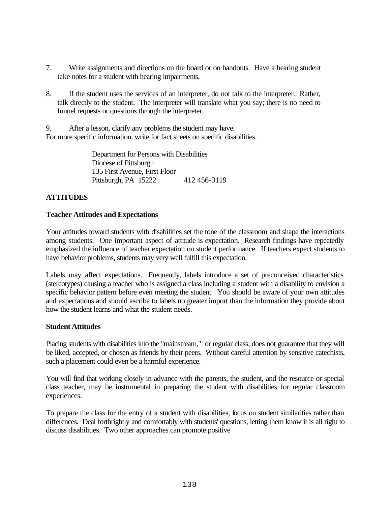- 7. Write assignments and directions on the board or on handouts. Have a hearing student take notes for a student with hearing impairments.
- 8. If the student uses the services of an interpreter, do not talk to the interpreter. Rather, talk directly to the student. The interpreter will translate what you say; there is no need to funnel requests or questions through the interpreter.

9. After a lesson, clarify any problems the student may have. For more specific information, write for fact sheets on specific disabilities.

> Department for Persons with Disabilities Diocese of Pittsburgh 135 First Avenue, First Floor Pittsburgh, PA 15222 412 456-3119

# **ATTITUDES**

## **Teacher Attitudes and Expectations**

Your attitudes toward students with disabilities set the tone of the classroom and shape the interactions among students. One important aspect of attitude is expectation. Research findings have repeatedly emphasized the influence of teacher expectation on student performance. If teachers expect students to have behavior problems, students may very well fulfill this expectation.

Labels may affect expectations. Frequently, labels introduce a set of preconceived characteristics (stereotypes) causing a teacher who is assigned a class including a student with a disability to envision a specific behavior pattern before even meeting the student. You should be aware of your own attitudes and expectations and should ascribe to labels no greater import than the information they provide about how the student learns and what the student needs.

#### **Student Attitudes**

Placing students with disabilities into the "mainstream," or regular class, does not guarantee that they will be liked, accepted, or chosen as friends by their peers. Without careful attention by sensitive catechists, such a placement could even be a harmful experience.

You will find that working closely in advance with the parents, the student, and the resource or special class teacher, may be instrumental in preparing the student with disabilities for regular classroom experiences.

To prepare the class for the entry of a student with disabilities, focus on student similarities rather than differences. Deal forthrightly and comfortably with students' questions, letting them know it is all right to discuss disabilities. Two other approaches can promote positive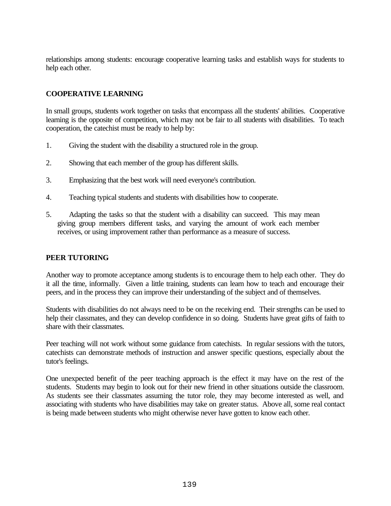relationships among students: encourage cooperative learning tasks and establish ways for students to help each other.

# **COOPERATIVE LEARNING**

In small groups, students work together on tasks that encompass all the students' abilities. Cooperative learning is the opposite of competition, which may not be fair to all students with disabilities. To teach cooperation, the catechist must be ready to help by:

- 1. Giving the student with the disability a structured role in the group.
- 2. Showing that each member of the group has different skills.
- 3. Emphasizing that the best work will need everyone's contribution.
- 4. Teaching typical students and students with disabilities how to cooperate.
- 5. Adapting the tasks so that the student with a disability can succeed. This may mean giving group members different tasks, and varying the amount of work each member receives, or using improvement rather than performance as a measure of success.

#### **PEER TUTORING**

Another way to promote acceptance among students is to encourage them to help each other. They do it all the time, informally. Given a little training, students can learn how to teach and encourage their peers, and in the process they can improve their understanding of the subject and of themselves.

Students with disabilities do not always need to be on the receiving end. Their strengths can be used to help their classmates, and they can develop confidence in so doing. Students have great gifts of faith to share with their classmates.

Peer teaching will not work without some guidance from catechists. In regular sessions with the tutors, catechists can demonstrate methods of instruction and answer specific questions, especially about the tutor's feelings.

One unexpected benefit of the peer teaching approach is the effect it may have on the rest of the students. Students may begin to look out for their new friend in other situations outside the classroom. As students see their classmates assuming the tutor role, they may become interested as well, and associating with students who have disabilities may take on greater status. Above all, some real contact is being made between students who might otherwise never have gotten to know each other.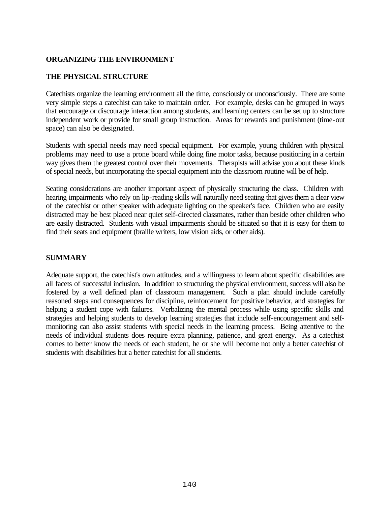## **ORGANIZING THE ENVIRONMENT**

#### **THE PHYSICAL STRUCTURE**

Catechists organize the learning environment all the time, consciously or unconsciously. There are some very simple steps a catechist can take to maintain order. For example, desks can be grouped in ways that encourage or discourage interaction among students, and learning centers can be set up to structure independent work or provide for small group instruction. Areas for rewards and punishment (time-out space) can also be designated.

Students with special needs may need special equipment. For example, young children with physical problems may need to use a prone board while doing fine motor tasks, because positioning in a certain way gives them the greatest control over their movements. Therapists will advise you about these kinds of special needs, but incorporating the special equipment into the classroom routine will be of help.

Seating considerations are another important aspect of physically structuring the class. Children with hearing impairments who rely on lip-reading skills will naturally need seating that gives them a clear view of the catechist or other speaker with adequate lighting on the speaker's face. Children who are easily distracted may be best placed near quiet self-directed classmates, rather than beside other children who are easily distracted. Students with visual impairments should be situated so that it is easy for them to find their seats and equipment (braille writers, low vision aids, or other aids).

# **SUMMARY**

Adequate support, the catechist's own attitudes, and a willingness to learn about specific disabilities are all facets of successful inclusion. In addition to structuring the physical environment, success will also be fostered by a well defined plan of classroom management. Such a plan should include carefully reasoned steps and consequences for discipline, reinforcement for positive behavior, and strategies for helping a student cope with failures. Verbalizing the mental process while using specific skills and strategies and helping students to develop learning strategies that include self-encouragement and selfmonitoring can also assist students with special needs in the learning process. Being attentive to the needs of individual students does require extra planning, patience, and great energy. As a catechist comes to better know the needs of each student, he or she will become not only a better catechist of students with disabilities but a better catechist for all students.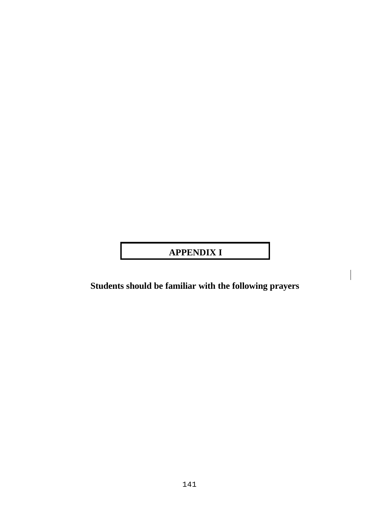# **APPENDIX I**

**Students should be familiar with the following prayers**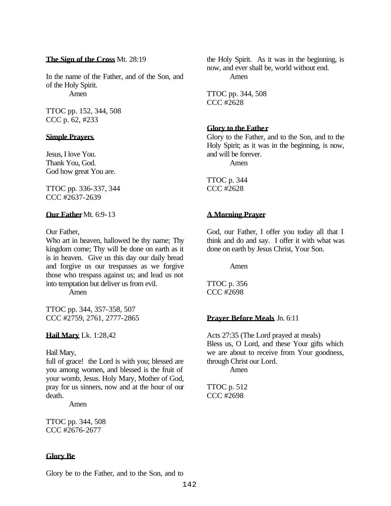#### **The Sign of the Cross** Mt. 28:19

In the name of the Father, and of the Son, and of the Holy Spirit. Amen

TTOC pp. 152, 344, 508 CCC p. 62, #233

#### **Simple Prayers**

Jesus, I love You. Thank You, God. God how great You are.

TTOC pp. 336-337, 344 CCC #2637-2639

#### **Our Father** Mt. 6:9-13

Our Father,

Who art in heaven, hallowed be thy name; Thy kingdom come; Thy will be done on earth as it is in heaven. Give us this day our daily bread and forgive us our trespasses as we forgive those who trespass against us; and lead us not into temptation but deliver us from evil.

Amen

TTOC pp. 344, 357-358, 507 CCC #2759, 2761, 2777-2865

**Hail Mary** Lk. 1:28,42

#### Hail Mary,

full of grace! the Lord is with you; blessed are you among women, and blessed is the fruit of your womb, Jesus. Holy Mary, Mother of God, pray for us sinners, now and at the hour of our death.

Amen

TTOC pp. 344, 508 CCC #2676-2677

#### **Glory Be**

Glory be to the Father, and to the Son, and to

the Holy Spirit. As it was in the beginning, is now, and ever shall be, world without end. Amen

TTOC pp. 344, 508 CCC #2628

#### **Glory to the Father**

Glory to the Father, and to the Son, and to the Holy Spirit; as it was in the beginning, is now, and will be forever. Amen

TTOC p. 344 CCC #2628

## **A Morning Prayer**

God, our Father, I offer you today all that I think and do and say. I offer it with what was done on earth by Jesus Christ, Your Son.

Amen

TTOC p. 356 CCC #2698

#### **Prayer Before Meals** Jn. 6:11

Acts 27:35 (The Lord prayed at meals) Bless us, O Lord, and these Your gifts which we are about to receive from Your goodness, through Christ our Lord.

Amen

TTOC p. 512 CCC #2698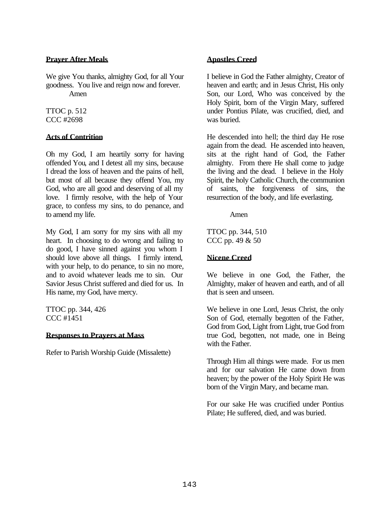#### **Prayer After Meals**

We give You thanks, almighty God, for all Your goodness. You live and reign now and forever. Amen

TTOC p. 512 CCC #2698

## **Acts of Contrition**

Oh my God, I am heartily sorry for having offended You, and I detest all my sins, because I dread the loss of heaven and the pains of hell, but most of all because they offend You, my God, who are all good and deserving of all my love. I firmly resolve, with the help of Your grace, to confess my sins, to do penance, and to amend my life.

My God, I am sorry for my sins with all my heart. In choosing to do wrong and failing to do good, I have sinned against you whom I should love above all things. I firmly intend, with your help, to do penance, to sin no more, and to avoid whatever leads me to sin. Our Savior Jesus Christ suffered and died for us. In His name, my God, have mercy.

TTOC pp. 344, 426 CCC #1451

## **Responses to Prayers at Mass**

Refer to Parish Worship Guide (Missalette)

## **Apostles Creed**

I believe in God the Father almighty, Creator of heaven and earth; and in Jesus Christ, His only Son, our Lord, Who was conceived by the Holy Spirit, born of the Virgin Mary, suffered under Pontius Pilate, was crucified, died, and was buried.

He descended into hell; the third day He rose again from the dead. He ascended into heaven, sits at the right hand of God, the Father almighty. From there He shall come to judge the living and the dead. I believe in the Holy Spirit, the holy Catholic Church, the communion of saints, the forgiveness of sins, the resurrection of the body, and life everlasting.

Amen

TTOC pp. 344, 510 CCC pp. 49 & 50

## **Nicene Creed**

We believe in one God, the Father, the Almighty, maker of heaven and earth, and of all that is seen and unseen.

We believe in one Lord, Jesus Christ, the only Son of God, eternally begotten of the Father, God from God, Light from Light, true God from true God, begotten, not made, one in Being with the Father.

Through Him all things were made. For us men and for our salvation He came down from heaven; by the power of the Holy Spirit He was born of the Virgin Mary, and became man.

For our sake He was crucified under Pontius Pilate; He suffered, died, and was buried.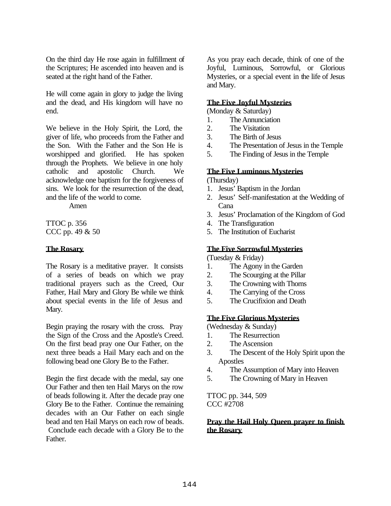On the third day He rose again in fulfillment of the Scriptures; He ascended into heaven and is seated at the right hand of the Father.

He will come again in glory to judge the living and the dead, and His kingdom will have no end.

We believe in the Holy Spirit, the Lord, the giver of life, who proceeds from the Father and the Son. With the Father and the Son He is worshipped and glorified. He has spoken through the Prophets. We believe in one holy catholic and apostolic Church. We acknowledge one baptism for the forgiveness of sins. We look for the resurrection of the dead, and the life of the world to come.

Amen

TTOC p. 356 CCC pp. 49 & 50

## **The Rosary**

The Rosary is a meditative prayer. It consists of a series of beads on which we pray traditional prayers such as the Creed, Our Father, Hail Mary and Glory Be while we think about special events in the life of Jesus and Mary.

Begin praying the rosary with the cross. Pray the Sign of the Cross and the Apostle's Creed. On the first bead pray one Our Father, on the next three beads a Hail Mary each and on the following bead one Glory Be to the Father.

Begin the first decade with the medal, say one Our Father and then ten Hail Marys on the row of beads following it. After the decade pray one Glory Be to the Father. Continue the remaining decades with an Our Father on each single bead and ten Hail Marys on each row of beads. Conclude each decade with a Glory Be to the Father.

As you pray each decade, think of one of the Joyful, Luminous, Sorrowful, or Glorious Mysteries, or a special event in the life of Jesus and Mary.

## **The Five Joyful Mysteries**

(Monday & Saturday)

- 1. The Annunciation
- 2. The Visitation
- 3. The Birth of Jesus
- 4. The Presentation of Jesus in the Temple
- 5. The Finding of Jesus in the Temple

## **The Five Luminous Mysteries**

(Thursday)

- 1. Jesus' Baptism in the Jordan
- 2. Jesus' Self-manifestation at the Wedding of Cana
- 3. Jesus' Proclamation of the Kingdom of God
- 4. The Transfiguration
- 5. The Institution of Eucharist

## **The Five Sorrowful Mysteries**

(Tuesday & Friday)

- 1. The Agony in the Garden
- 2. The Scourging at the Pillar
- 3. The Crowning with Thorns
- 4. The Carrying of the Cross
- 5. The Crucifixion and Death

## **The Five Glorious Mysteries**

(Wednesday & Sunday)

- 1. The Resurrection
- 2. The Ascension
- 3. The Descent of the Holy Spirit upon the Apostles
- 4. The Assumption of Mary into Heaven
- 5. The Crowning of Mary in Heaven

TTOC pp. 344, 509 CCC #2708

## **Pray the Hail Holy Queen prayer to finish the Rosary**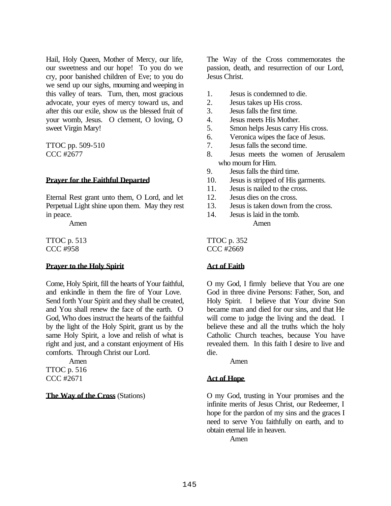Hail, Holy Queen, Mother of Mercy, our life, our sweetness and our hope! To you do we cry, poor banished children of Eve; to you do we send up our sighs, mourning and weeping in this valley of tears. Turn, then, most gracious advocate, your eyes of mercy toward us, and after this our exile, show us the blessed fruit of your womb, Jesus. O clement, O loving, O sweet Virgin Mary!

TTOC pp. 509-510 CCC #2677

#### **Prayer for the Faithful Departed**

Eternal Rest grant unto them, O Lord, and let Perpetual Light shine upon them. May they rest in peace.

Amen

TTOC p. 513 CCC #958

## **Prayer to the Holy Spirit**

Come, Holy Spirit, fill the hearts of Your faithful, and enkindle in them the fire of Your Love. Send forth Your Spirit and they shall be created, and You shall renew the face of the earth. O God, Who does instruct the hearts of the faithful by the light of the Holy Spirit, grant us by the same Holy Spirit, a love and relish of what is right and just, and a constant enjoyment of His comforts. Through Christ our Lord.

Amen TTOC p. 516 CCC #2671

## **The Way of the Cross** (Stations)

The Way of the Cross commemorates the passion, death, and resurrection of our Lord, Jesus Christ.

- 1. Jesus is condemned to die.
- 2. Jesus takes up His cross.
- 3. Jesus falls the first time.
- 4. Jesus meets His Mother.
- 5. Smon helps Jesus carry His cross.
- 6. Veronica wipes the face of Jesus.
- 7. Jesus falls the second time.
- 8. Jesus meets the women of Jerusalem who mourn for Him.
- 9. Jesus falls the third time.
- 10. Jesus is stripped of His garments.
- 11. Jesus is nailed to the cross.
- 12. Jesus dies on the cross.
- 13. Jesus is taken down from the cross.
- 14. Jesus is laid in the tomb. Amen

TTOC p. 352 CCC #2669

## **Act of Faith**

O my God, I firmly believe that You are one God in three divine Persons: Father, Son, and Holy Spirit. I believe that Your divine Son became man and died for our sins, and that He will come to judge the living and the dead. I believe these and all the truths which the holy Catholic Church teaches, because You have revealed them. In this faith I desire to live and die.

Amen

## **Act of Hope**

O my God, trusting in Your promises and the infinite merits of Jesus Christ, our Redeemer, I hope for the pardon of my sins and the graces I need to serve You faithfully on earth, and to obtain eternal life in heaven.

Amen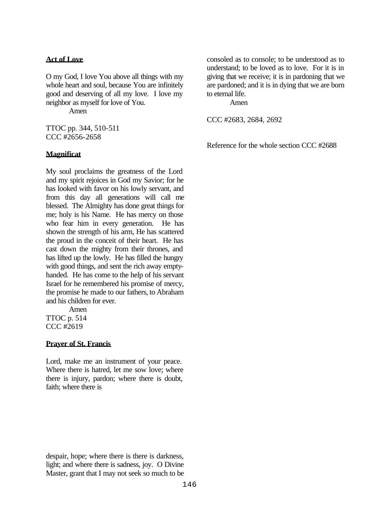#### **Act of Love**

O my God, I love You above all things with my whole heart and soul, because You are infinitely good and deserving of all my love. I love my neighbor as myself for love of You.

Amen

TTOC pp. 344, 510-511 CCC #2656-2658

#### **Magnificat**

My soul proclaims the greatness of the Lord and my spirit rejoices in God my Savior; for he has looked with favor on his lowly servant, and from this day all generations will call me blessed. The Almighty has done great things for me; holy is his Name. He has mercy on those who fear him in every generation. He has shown the strength of his arm, He has scattered the proud in the conceit of their heart. He has cast down the mighty from their thrones, and has lifted up the lowly. He has filled the hungry with good things, and sent the rich away emptyhanded. He has come to the help of his servant Israel for he remembered his promise of mercy, the promise he made to our fathers, to Abraham and his children for ever.

Amen TTOC p. 514 CCC #2619

#### **Prayer of St. Francis**

Lord, make me an instrument of your peace. Where there is hatred, let me sow love; where there is injury, pardon; where there is doubt, faith; where there is

consoled as to console; to be understood as to understand; to be loved as to love. For it is in giving that we receive; it is in pardoning that we are pardoned; and it is in dying that we are born to eternal life.

Amen

CCC #2683, 2684, 2692

Reference for the whole section CCC #2688

despair, hope; where there is there is darkness, light; and where there is sadness, joy. O Divine Master, grant that I may not seek so much to be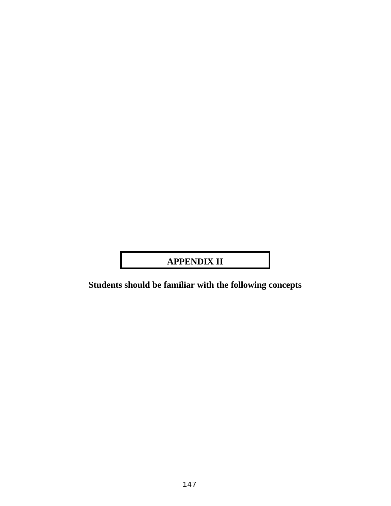## **APPENDIX II**

**Students should be familiar with the following concepts**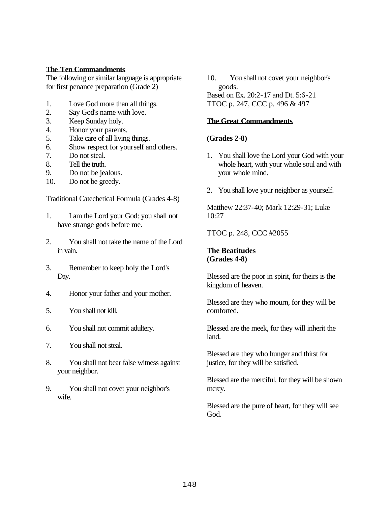#### **The Ten Commandments**

The following or similar language is appropriate for first penance preparation (Grade 2)

- 1. Love God more than all things.
- 2. Say God's name with love.
- 3. Keep Sunday holy.
- 4. Honor your parents.
- 5. Take care of all living things.
- 6. Show respect for yourself and others.
- 7. Do not steal.
- 8. Tell the truth.
- 9. Do not be jealous.
- 10. Do not be greedy.

Traditional Catechetical Formula (Grades 4-8)

- 1. I am the Lord your God: you shall not have strange gods before me.
- 2. You shall not take the name of the Lord in vain.
- 3. Remember to keep holy the Lord's Day.
- 4. Honor your father and your mother.
- 5. You shall not kill.
- 6. You shall not commit adultery.
- 7. You shall not steal.
- 8. You shall not bear false witness against your neighbor.
- 9. You shall not covet your neighbor's wife.

10. You shall not covet your neighbor's goods.

Based on Ex. 20:2-17 and Dt. 5:6-21 TTOC p. 247, CCC p. 496 & 497

#### **The Great Commandments**

## **(Grades 2-8)**

- 1. You shall love the Lord your God with your whole heart, with your whole soul and with your whole mind.
- 2. You shall love your neighbor as yourself.

Matthew 22:37-40; Mark 12:29-31; Luke 10:27

TTOC p. 248, CCC #2055

#### **The Beatitudes (Grades 4-8)**

Blessed are the poor in spirit, for theirs is the kingdom of heaven.

Blessed are they who mourn, for they will be comforted.

Blessed are the meek, for they will inherit the land.

Blessed are they who hunger and thirst for justice, for they will be satisfied.

Blessed are the merciful, for they will be shown mercy.

Blessed are the pure of heart, for they will see God.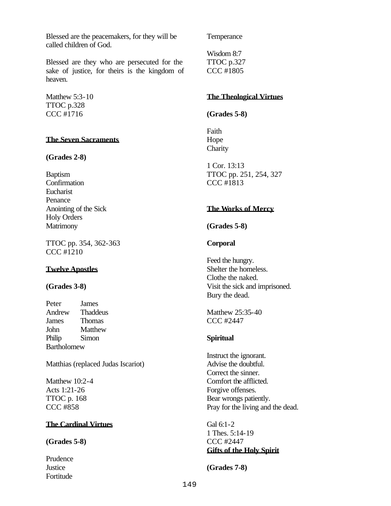Blessed are the peacemakers, for they will be called children of God.

Blessed are they who are persecuted for the sake of justice, for theirs is the kingdom of heaven.

Matthew 5:3-10 TTOC p.328 CCC #1716

#### **The Seven Sacraments**

#### **(Grades 2-8)**

Baptism **Confirmation** Eucharist Penance Anointing of the Sick Holy Orders **Matrimony** 

TTOC pp. 354, 362-363 CCC #1210

## **Twelve Apostles**

## **(Grades 3-8)**

Peter James Andrew Thaddeus James Thomas John Matthew Philip Simon Bartholomew

Matthias (replaced Judas Iscariot)

Matthew 10:2-4 Acts 1:21-26 TTOC p. 168 CCC #858

## **The Cardinal Virtues**

## **(Grades 5-8)**

Prudence **Justice** Fortitude

**Temperance** 

Wisdom 8:7 TTOC p.327 CCC #1805

#### **The Theological Virtues**

#### **(Grades 5-8)**

Faith Hope **Charity** 

1 Cor. 13:13 TTOC pp. 251, 254, 327 CCC #1813

## **The Works of Mercy**

#### **(Grades 5-8)**

## **Corporal**

Feed the hungry. Shelter the homeless. Clothe the naked. Visit the sick and imprisoned. Bury the dead.

Matthew 25:35-40 CCC #2447

#### **Spiritual**

Instruct the ignorant. Advise the doubtful. Correct the sinner. Comfort the afflicted. Forgive offenses. Bear wrongs patiently. Pray for the living and the dead.

Gal 6:1-2 1 Thes. 5:14-19 CCC #2447 **Gifts of the Holy Spirit**

**(Grades 7-8)**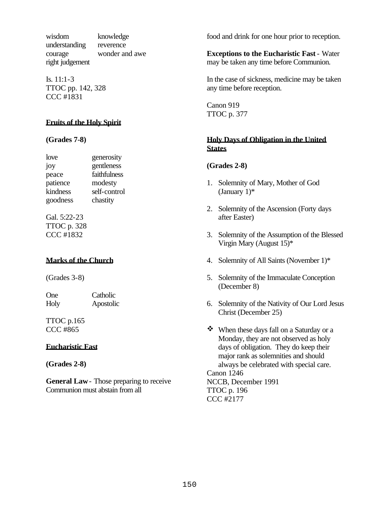wisdom knowledge understanding reverence courage wonder and awe right judgement

Is. 11:1-3 TTOC pp. 142, 328 CCC #1831

## **Fruits of the Holy Spirit**

#### **(Grades 7-8)**

love generosity joy gentleness peace faithfulness patience modesty kindness self-control goodness chastity

Gal. 5:22-23 TTOC p. 328 CCC #1832

## **Marks of the Church**

(Grades 3-8)

One Catholic Holy Apostolic

TTOC p.165 CCC #865

## **Eucharistic Fast**

**(Grades 2-8)**

**General Law**- Those preparing to receive Communion must abstain from all

food and drink for one hour prior to reception.

**Exceptions to the Eucharistic Fast** - Water may be taken any time before Communion.

In the case of sickness, medicine may be taken any time before reception.

Canon 919 TTOC p. 377

## **Holy Days of Obligation in the United States**

## **(Grades 2-8)**

- 1. Solemnity of Mary, Mother of God (January  $1$ )\*
- 2. Solemnity of the Ascension (Forty days after Easter)
- 3. Solemnity of the Assumption of the Blessed Virgin Mary (August 15)\*
- 4. Solemnity of All Saints (November 1)\*
- 5. Solemnity of the Immaculate Conception (December 8)
- 6. Solemnity of the Nativity of Our Lord Jesus Christ (December 25)
- $\mathbf{\hat{P}}$  When these days fall on a Saturday or a Monday, they are not observed as holy days of obligation. They do keep their major rank as solemnities and should always be celebrated with special care. Canon 1246 NCCB, December 1991

TTOC p. 196 CCC #2177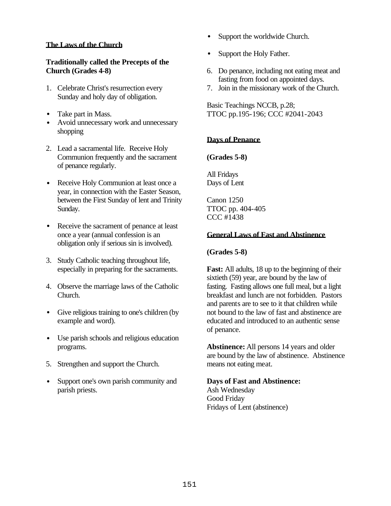## **The Laws of the Church**

## **Traditionally called the Precepts of the Church (Grades 4-8)**

- 1. Celebrate Christ's resurrection every Sunday and holy day of obligation.
- Take part in Mass.
- Avoid unnecessary work and unnecessary shopping
- 2. Lead a sacramental life. Receive Holy Communion frequently and the sacrament of penance regularly.
- Receive Holy Communion at least once a year, in connection with the Easter Season, between the First Sunday of lent and Trinity Sunday.
- Receive the sacrament of penance at least once a year (annual confession is an obligation only if serious sin is involved).
- 3. Study Catholic teaching throughout life, especially in preparing for the sacraments.
- 4. Observe the marriage laws of the Catholic Church.
- Give religious training to one's children (by example and word).
- Use parish schools and religious education programs.
- 5. Strengthen and support the Church.
- Support one's own parish community and parish priests.
- Support the worldwide Church.
- Support the Holy Father.
- 6. Do penance, including not eating meat and fasting from food on appointed days.
- 7. Join in the missionary work of the Church.

Basic Teachings NCCB, p.28; TTOC pp.195-196; CCC #2041-2043

## **Days of Penance**

**(Grades 5-8)**

All Fridays Days of Lent

Canon 1250 TTOC pp. 404-405 CCC #1438

## **General Laws of Fast and Abstinence**

## **(Grades 5-8)**

**Fast:** All adults, 18 up to the beginning of their sixtieth (59) year, are bound by the law of fasting. Fasting allows one full meal, but a light breakfast and lunch are not forbidden. Pastors and parents are to see to it that children while not bound to the law of fast and abstinence are educated and introduced to an authentic sense of penance.

**Abstinence:** All persons 14 years and older are bound by the law of abstinence. Abstinence means not eating meat.

## **Days of Fast and Abstinence:** Ash Wednesday Good Friday Fridays of Lent (abstinence)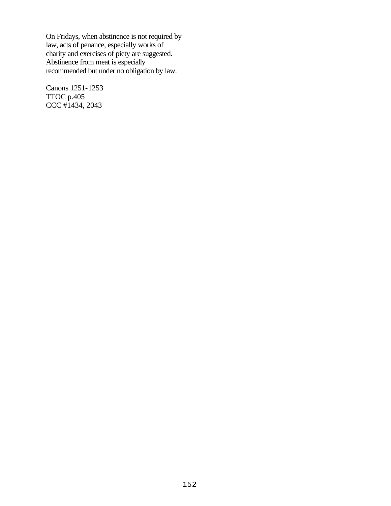On Fridays, when abstinence is not required by law, acts of penance, especially works of charity and exercises of piety are suggested. Abstinence from meat is especially recommended but under no obligation by law.

Canons 1251-1253 TTOC p.405 CCC #1434, 2043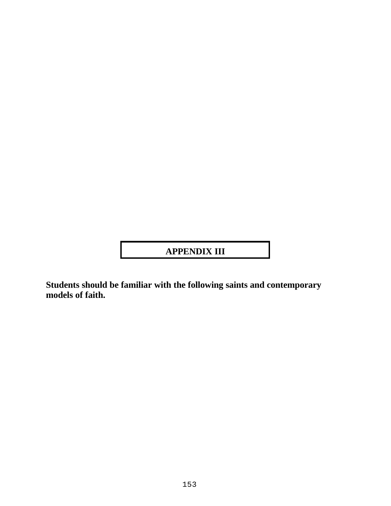# **APPENDIX III**

**Students should be familiar with the following saints and contemporary models of faith.**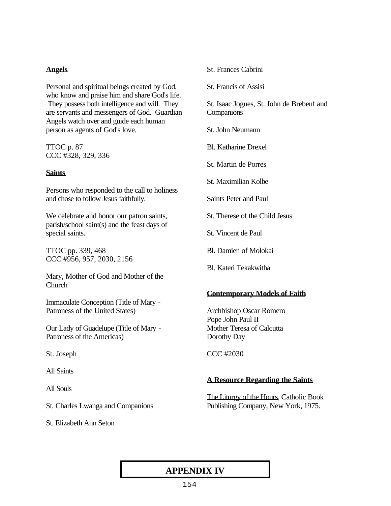## **Angels**

Personal and spiritual beings created by God, who know and praise him and share God's life. They possess both intelligence and will. They are servants and messengers of God. Guardian Angels watch over and guide each human person as agents of God's love.

TTOC p. 87 CCC #328, 329, 336

## **Saints**

Persons who responded to the call to holiness and chose to follow Jesus faithfully.

We celebrate and honor our patron saints, parish/school saint(s) and the feast days of special saints.

TTOC pp. 339, 468 CCC #956, 957, 2030, 2156

Mary, Mother of God and Mother of the Church

Immaculate Conception (Title of Mary - Patroness of the United States)

Our Lady of Guadelupe (Title of Mary - Patroness of the Americas)

St. Joseph

All Saints

All Souls

St. Charles Lwanga and Companions

St. Elizabeth Ann Seton

## St. Frances Cabrini

St. Francis of Assisi

St. Isaac Jogues, St. John de Brebeuf and **Companions** 

St. John Neumann

Bl. Katharine Drexel

St. Martin de Porres

St. Maximilian Kolbe

Saints Peter and Paul

St. Therese of the Child Jesus

St. Vincent de Paul

Bl. Damien of Molokai

Bl. Kateri Tekakwitha

## **Contemporary Models of Faith**

Archbishop Oscar Romero Pope John Paul II Mother Teresa of Calcutta Dorothy Day

CCC #2030

## **A Resource Regarding the Saints**

The Liturgy of the Hours, Catholic Book Publishing Company, New York, 1975.

## **APPENDIX IV**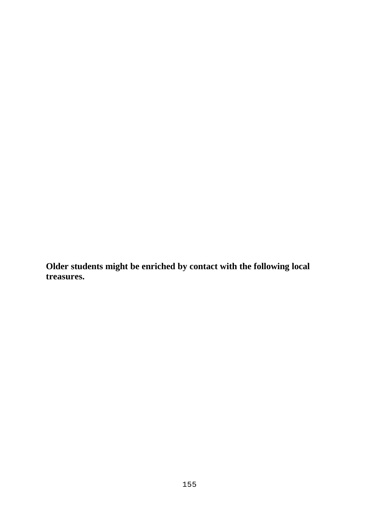**Older students might be enriched by contact with the following local treasures.**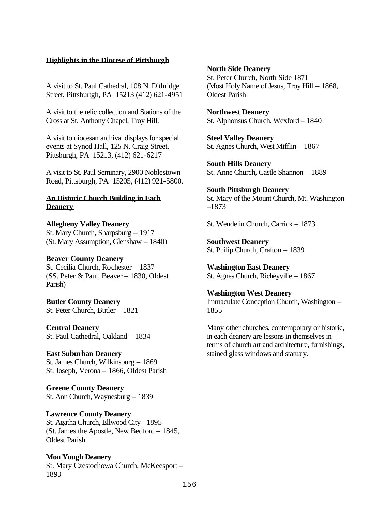## **Highlights in the Diocese of Pittsburgh**

A visit to St. Paul Cathedral, 108 N. Dithridge Street, Pittsburtgh, PA 15213 (412) 621-4951

A visit to the relic collection and Stations of the Cross at St. Anthony Chapel, Troy Hill.

A visit to diocesan archival displays for special events at Synod Hall, 125 N. Craig Street, Pittsburgh, PA 15213, (412) 621-6217

A visit to St. Paul Seminary, 2900 Noblestown Road, Pittsburgh, PA 15205, (412) 921-5800.

#### **An Historic Church Building in Each Deanery**

**Allegheny Valley Deanery** St. Mary Church, Sharpsburg – 1917 (St. Mary Assumption, Glenshaw – 1840)

## **Beaver County Deanery**

St. Cecilia Church, Rochester – 1837 (SS. Peter & Paul, Beaver – 1830, Oldest Parish)

**Butler County Deanery** St. Peter Church, Butler – 1821

**Central Deanery** St. Paul Cathedral, Oakland – 1834

**East Suburban Deanery** St. James Church, Wilkinsburg – 1869 St. Joseph, Verona – 1866, Oldest Parish

**Greene County Deanery** St. Ann Church, Waynesburg – 1839

**Lawrence County Deanery** St. Agatha Church, Ellwood City –1895 (St. James the Apostle, New Bedford – 1845, Oldest Parish

**Mon Yough Deanery** St. Mary Czestochowa Church, McKeesport – 1893

#### **North Side Deanery**

St. Peter Church, North Side 1871 (Most Holy Name of Jesus, Troy Hill – 1868, Oldest Parish

**Northwest Deanery** St. Alphonsus Church, Wexford – 1840

**Steel Valley Deanery** St. Agnes Church, West Mifflin – 1867

**South Hills Deanery** St. Anne Church, Castle Shannon – 1889

**South Pittsburgh Deanery**

St. Mary of the Mount Church, Mt. Washington –1873

St. Wendelin Church, Carrick – 1873

**Southwest Deanery** St. Philip Church, Crafton – 1839

**Washington East Deanery** St. Agnes Church, Richeyville – 1867

**Washington West Deanery** Immaculate Conception Church, Washington – 1855

Many other churches, contemporary or historic, in each deanery are lessons in themselves in terms of church art and architecture, furnishings, stained glass windows and statuary.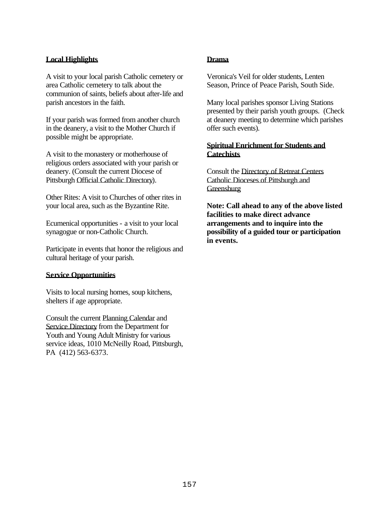## **Local Highlights**

A visit to your local parish Catholic cemetery or area Catholic cemetery to talk about the communion of saints, beliefs about after-life and parish ancestors in the faith.

If your parish was formed from another church in the deanery, a visit to the Mother Church if possible might be appropriate.

A visit to the monastery or motherhouse of religious orders associated with your parish or deanery. (Consult the current Diocese of Pittsburgh Official Catholic Directory).

Other Rites: A visit to Churches of other rites in your local area, such as the Byzantine Rite.

Ecumenical opportunities - a visit to your local synagogue or non-Catholic Church.

Participate in events that honor the religious and cultural heritage of your parish.

## **Service Opportunities**

Visits to local nursing homes, soup kitchens, shelters if age appropriate.

Consult the current Planning Calendar and Service Directory from the Department for Youth and Young Adult Ministry for various service ideas, 1010 McNeilly Road, Pittsburgh, PA (412) 563-6373.

#### **Drama**

Veronica's Veil for older students, Lenten Season, Prince of Peace Parish, South Side.

Many local parishes sponsor Living Stations presented by their parish youth groups. (Check at deanery meeting to determine which parishes offer such events).

## **Spiritual Enrichment for Students and Catechists**

Consult the Directory of Retreat Centers Catholic Dioceses of Pittsburgh and **Greensburg** 

**Note: Call ahead to any of the above listed facilities to make direct advance arrangements and to inquire into the possibility of a guided tour or participation in events.**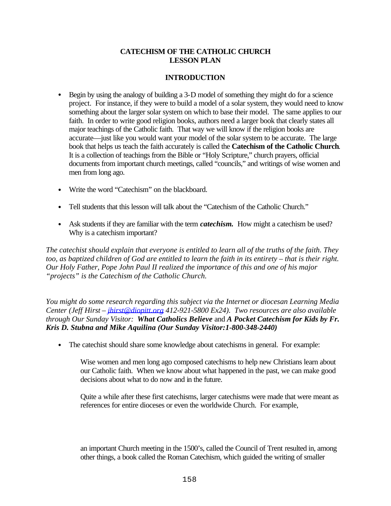## **CATECHISM OF THE CATHOLIC CHURCH LESSON PLAN**

## **INTRODUCTION**

- Begin by using the analogy of building a 3-D model of something they might do for a science project. For instance, if they were to build a model of a solar system, they would need to know something about the larger solar system on which to base their model. The same applies to our faith. In order to write good religion books, authors need a larger book that clearly states all major teachings of the Catholic faith. That way we will know if the religion books are accurate—just like you would want your model of the solar system to be accurate. The large book that helps us teach the faith accurately is called the **Catechism of the Catholic Church**. It is a collection of teachings from the Bible or "Holy Scripture," church prayers, official documents from important church meetings, called "councils," and writings of wise women and men from long ago.
- Write the word "Catechism" on the blackboard.
- Tell students that this lesson will talk about the "Catechism of the Catholic Church."
- Ask students if they are familiar with the term *catechism*. How might a catechism be used? Why is a catechism important?

*The catechist should explain that everyone is entitled to learn all of the truths of the faith. They too, as baptized children of God are entitled to learn the faith in its entirety – that is their right. Our Holy Father, Pope John Paul II realized the importance of this and one of his major "projects" is the Catechism of the Catholic Church.*

*You might do some research regarding this subject via the Internet or diocesan Learning Media Center (Jeff Hirst – jhirst@diopitt.org 412-921-5800 Ex24). Two resources are also available through Our Sunday Visitor: What Catholics Believe* and *A Pocket Catechism for Kids by Fr. Kris D. Stubna and Mike Aquilina (Our Sunday Visitor:1-800-348-2440)*

• The catechist should share some knowledge about catechisms in general. For example:

Wise women and men long ago composed catechisms to help new Christians learn about our Catholic faith. When we know about what happened in the past, we can make good decisions about what to do now and in the future.

Quite a while after these first catechisms, larger catechisms were made that were meant as references for entire dioceses or even the worldwide Church. For example,

an important Church meeting in the 1500's, called the Council of Trent resulted in, among other things, a book called the Roman Catechism, which guided the writing of smaller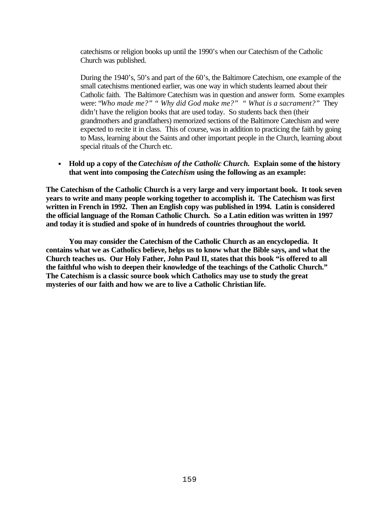catechisms or religion books up until the 1990's when our Catechism of the Catholic Church was published.

During the 1940's, 50's and part of the 60's, the Baltimore Catechism, one example of the small catechisms mentioned earlier, was one way in which students learned about their Catholic faith. The Baltimore Catechism was in question and answer form. Some examples were: "*Who made me?" " Why did God make me?" " What is a sacrament?"* They didn't have the religion books that are used today. So students back then (their grandmothers and grandfathers) memorized sections of the Baltimore Catechism and were expected to recite it in class. This of course, was in addition to practicing the faith by going to Mass, learning about the Saints and other important people in the Church, learning about special rituals of the Church etc.

• **Hold up a copy of the** *Catechism of the Catholic Church.* **Explain some of the history that went into composing the** *Catechism* **using the following as an example:**

**The Catechism of the Catholic Church is a very large and very important book. It took seven years to write and many people working together to accomplish it. The Catechism was first written in French in 1992. Then an English copy was published in 1994. Latin is considered the official language of the Roman Catholic Church. So a Latin edition was written in 1997 and today it is studied and spoke of in hundreds of countries throughout the world.** 

**You may consider the Catechism of the Catholic Church as an encyclopedia. It contains what we as Catholics believe, helps us to know what the Bible says, and what the Church teaches us. Our Holy Father, John Paul II, states that this book "is offered to all the faithful who wish to deepen their knowledge of the teachings of the Catholic Church." The Catechism is a classic source book which Catholics may use to study the great mysteries of our faith and how we are to live a Catholic Christian life.**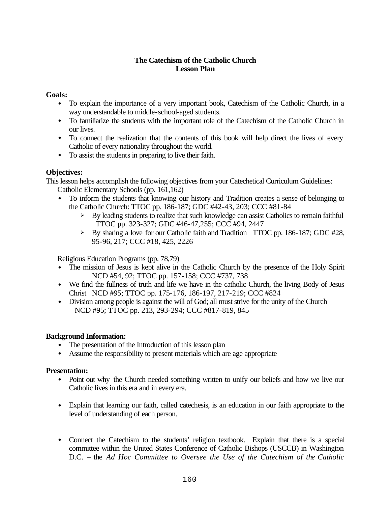## **The Catechism of the Catholic Church Lesson Plan**

## **Goals:**

- To explain the importance of a very important book, Catechism of the Catholic Church, in a way understandable to middle-school-aged students.
- To familiarize the students with the important role of the Catechism of the Catholic Church in our lives.
- To connect the realization that the contents of this book will help direct the lives of every Catholic of every nationality throughout the world.
- To assist the students in preparing to live their faith.

## **Objectives:**

This lesson helps accomplish the following objectives from your Catechetical Curriculum Guidelines: Catholic Elementary Schools (pp. 161,162)

- To inform the students that knowing our history and Tradition creates a sense of belonging to the Catholic Church: TTOC pp. 186-187; GDC #42-43, 203; CCC #81-84
	- $\triangleright$  By leading students to realize that such knowledge can assist Catholics to remain faithful TTOC pp. 323-327; GDC #46-47,255; CCC #94, 2447
	- $\triangleright$  By sharing a love for our Catholic faith and Tradition TTOC pp. 186-187; GDC #28, 95-96, 217; CCC #18, 425, 2226

Religious Education Programs (pp. 78,79)

- The mission of Jesus is kept alive in the Catholic Church by the presence of the Holy Spirit NCD #54, 92; TTOC pp. 157-158; CCC #737, 738
- We find the fullness of truth and life we have in the catholic Church, the living Body of Jesus Christ NCD #95; TTOC pp. 175-176, 186-197, 217-219; CCC #824
- Division among people is against the will of God; all must strive for the unity of the Church NCD #95; TTOC pp. 213, 293-294; CCC #817-819, 845

## **Background Information:**

- The presentation of the Introduction of this lesson plan
- Assume the responsibility to present materials which are age appropriate

## **Presentation:**

- Point out why the Church needed something written to unify our beliefs and how we live our Catholic lives in this era and in every era.
- Explain that learning our faith, called cate chesis, is an education in our faith appropriate to the level of understanding of each person.
- Connect the Catechism to the students' religion textbook. Explain that there is a special committee within the United States Conference of Catholic Bishops (USCCB) in Washington D.C. – the *Ad Hoc Committee to Oversee the Use of the Catechism of the Catholic*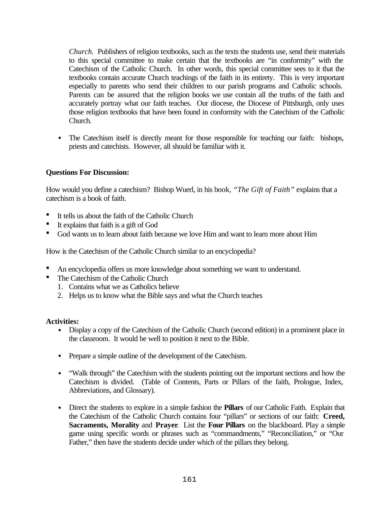*Church.* Publishers of religion textbooks, such as the texts the students use, send their materials to this special committee to make certain that the textbooks are "in conformity" with the Catechism of the Catholic Church. In other words, this special committee sees to it that the textbooks contain accurate Church teachings of the faith in its entirety. This is very important especially to parents who send their children to our parish programs and Catholic schools. Parents can be assured that the religion books we use contain all the truths of the faith and accurately portray what our faith teaches. Our diocese, the Diocese of Pittsburgh, only uses those religion textbooks that have been found in conformity with the Catechism of the Catholic Church.

• The Catechism itself is directly meant for those responsible for teaching our faith: bishops, priests and catechists. However, all should be familiar with it.

## **Questions For Discussion:**

How would you define a catechism? Bishop Wuerl, in his book, *"The Gift of Faith"* explains that a catechism is a book of faith.

- ß It tells us about the faith of the Catholic Church
- $\blacksquare$  It explains that faith is a gift of God
- ß God wants us to learn about faith because we love Him and want to learn more about Him

How is the Catechism of the Catholic Church similar to an encyclopedia?

- ß An encyclopedia offers us more knowledge about something we want to understand.
- The Catechism of the Catholic Church
	- 1. Contains what we as Catholics believe
	- 2. Helps us to know what the Bible says and what the Church teaches

## **Activities:**

- Display a copy of the Catechism of the Catholic Church (second edition) in a prominent place in the classroom. It would be well to position it next to the Bible.
- Prepare a simple outline of the development of the Catechism.
- "Walk through" the Catechism with the students pointing out the important sections and how the Catechism is divided. (Table of Contents, Parts or Pillars of the faith, Prologue, Index, Abbreviations, and Glossary).
- Direct the students to explore in a simple fashion the **Pillars** of our Catholic Faith. Explain that the Catechism of the Catholic Church contains four "pillars" or sections of our faith: **Creed, Sacraments, Morality** and **Prayer**. List the **Four Pillars** on the blackboard. Play a simple game using specific words or phrases such as "commandments," "Reconciliation," or "Our Father," then have the students decide under which of the pillars they belong.